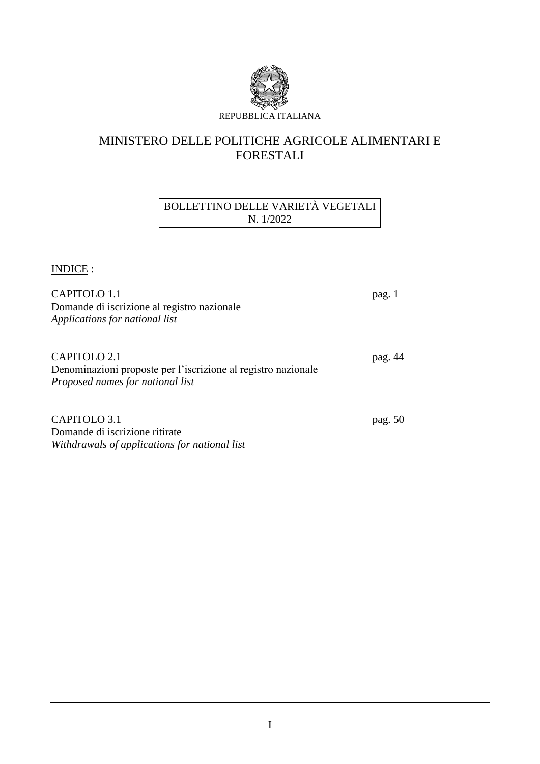

# MINISTERO DELLE POLITICHE AGRICOLE ALIMENTARI E FORESTALI

# BOLLETTINO DELLE VARIETÀ VEGETALI N. 1/2022

INDICE :

| CAPITOLO 1.1<br>Domande di iscrizione al registro nazionale<br>Applications for national list                     | pag. 1  |
|-------------------------------------------------------------------------------------------------------------------|---------|
| CAPITOLO 2.1<br>Denominazioni proposte per l'iscrizione al registro nazionale<br>Proposed names for national list | pag. 44 |
| CAPITOLO 3.1                                                                                                      | pag. 50 |

Domande di iscrizione ritirate *Withdrawals of applications for national list*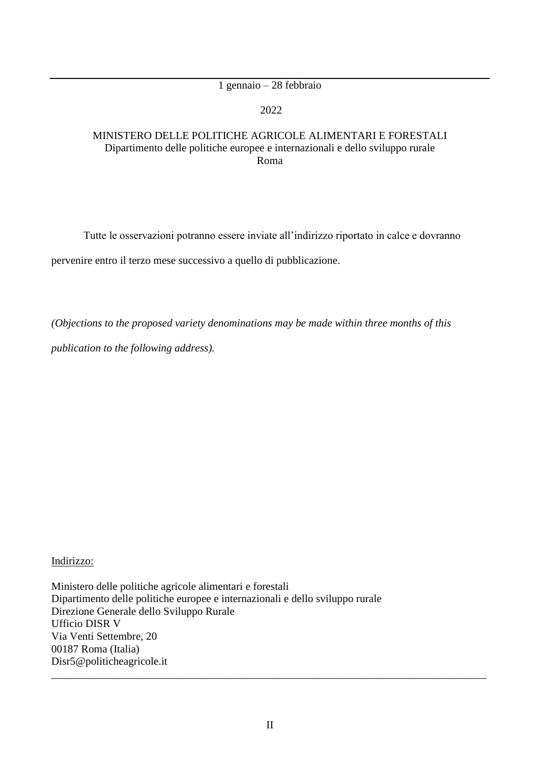# 1 gennaio – 28 febbraio

### 2022

## MINISTERO DELLE POLITICHE AGRICOLE ALIMENTARI E FORESTALI Dipartimento delle politiche europee e internazionali e dello sviluppo rurale Roma

Tutte le osservazioni potranno essere inviate all'indirizzo riportato in calce e dovranno pervenire entro il terzo mese successivo a quello di pubblicazione.

*(Objections to the proposed variety denominations may be made within three months of this* 

*publication to the following address).*

### Indirizzo:

Ministero delle politiche agricole alimentari e forestali Dipartimento delle politiche europee e internazionali e dello sviluppo rurale Direzione Generale dello Sviluppo Rurale Ufficio DISR V Via Venti Settembre, 20 00187 Roma (Italia) Disr5@politicheagricole.it \_\_\_\_\_\_\_\_\_\_\_\_\_\_\_\_\_\_\_\_\_\_\_\_\_\_\_\_\_\_\_\_\_\_\_\_\_\_\_\_\_\_\_\_\_\_\_\_\_\_\_\_\_\_\_\_\_\_\_\_\_\_\_\_\_\_\_\_\_\_\_\_\_\_\_\_\_\_\_\_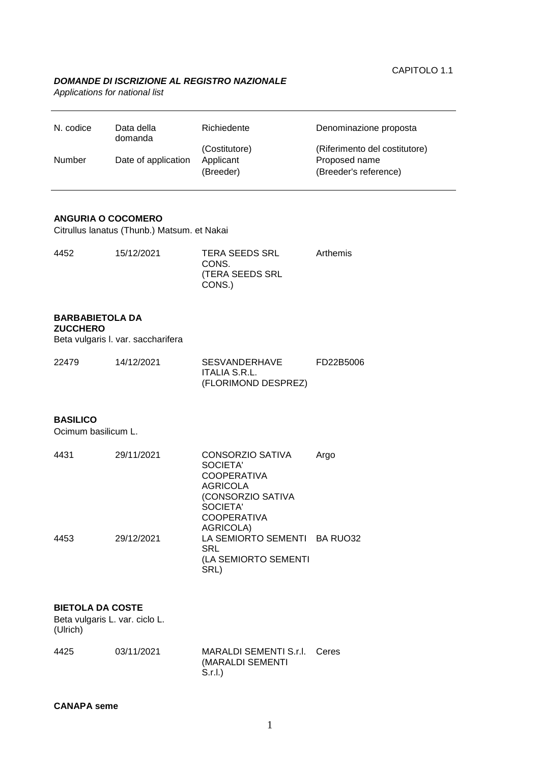#### *DOMANDE DI ISCRIZIONE AL REGISTRO NAZIONALE*

*Applications for national list*

| N. codice | Data della<br>domanda | Richiedente            | Denominazione proposta                 |
|-----------|-----------------------|------------------------|----------------------------------------|
|           |                       | (Costitutore)          | (Riferimento del costitutore)          |
| Number    | Date of application   | Applicant<br>(Breeder) | Proposed name<br>(Breeder's reference) |

### **ANGURIA O COCOMERO**

Citrullus lanatus (Thunb.) Matsum. et Nakai

| 4452 | 15/12/2021 | <b>TERA SEEDS SRL</b><br>CONS.<br>(TERA SEEDS SRL<br>CONS.) | Arthemis |
|------|------------|-------------------------------------------------------------|----------|
|      |            |                                                             |          |

#### **BARBABIETOLA DA**

**ZUCCHERO**

Beta vulgaris l. var. saccharifera

| 22479 | 14/12/2021 | SESVANDERHAVE       | FD22B5006 |
|-------|------------|---------------------|-----------|
|       |            | ITALIA S.R.L.       |           |
|       |            | (FLORIMOND DESPREZ) |           |

#### **BASILICO**

Ocimum basilicum L.

| 4431 | 29/11/2021 | <b>CONSORZIO SATIVA</b><br>SOCIETA'<br><b>COOPERATIVA</b> | Argo |
|------|------------|-----------------------------------------------------------|------|
|      |            | AGRICOLA                                                  |      |
|      |            | (CONSORZIO SATIVA                                         |      |
|      |            | SOCIETA'                                                  |      |
|      |            | <b>COOPERATIVA</b>                                        |      |
|      |            | AGRICOLA)                                                 |      |
| 4453 | 29/12/2021 | LA SEMIORTO SEMENTI BA RUO32<br>SRL                       |      |
|      |            | (LA SEMIORTO SEMENTI<br>SRL)                              |      |

#### **BIETOLA DA COSTE**

Beta vulgaris L. var. ciclo L. (Ulrich)

| 4425 | 03/11/2021 | MARALDI SEMENTI S.r.I. Ceres |  |
|------|------------|------------------------------|--|
|      |            | (MARALDI SEMENTI             |  |
|      |            | -S.r.l.)                     |  |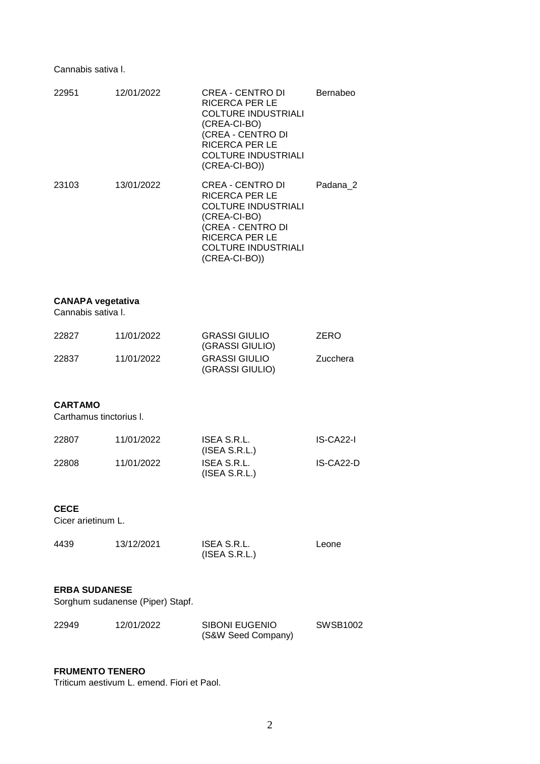Cannabis sativa l.

| 22951 | 12/01/2022 | CREA - CENTRO DI<br>RICERCA PER LE<br><b>COLTURE INDUSTRIALI</b><br>(CREA-CI-BO)<br>(CREA - CENTRO DI<br><b>RICERCA PER LE</b><br><b>COLTURE INDUSTRIALI</b><br>$(CREA-CI-BO))$      | Bernabeo |
|-------|------------|--------------------------------------------------------------------------------------------------------------------------------------------------------------------------------------|----------|
| 23103 | 13/01/2022 | CREA - CENTRO DI<br><b>RICERCA PER LE</b><br><b>COLTURE INDUSTRIALI</b><br>(CREA-CI-BO)<br>(CREA - CENTRO DI<br><b>RICERCA PER LE</b><br><b>COLTURE INDUSTRIALI</b><br>(CREA-CI-BO)) | Padana 2 |

# **CANAPA vegetativa**

Cannabis sativa l.

| 22827 | 11/01/2022 | <b>GRASSI GIULIO</b><br>(GRASSI GIULIO) | <b>ZERO</b> |
|-------|------------|-----------------------------------------|-------------|
| 22837 | 11/01/2022 | <b>GRASSI GIULIO</b><br>(GRASSI GIULIO) | Zucchera    |

#### **CARTAMO**

Carthamus tinctorius l.

| 22807 | 11/01/2022 | ISEA S.R.L.<br>(ISEA S.R.L.) | IS-CA22-I |
|-------|------------|------------------------------|-----------|
| 22808 | 11/01/2022 | ISEA S.R.L.<br>(ISEA S.R.L.) | IS-CA22-D |

#### **CECE**

Cicer arietinum L.

| 4439 | 13/12/2021 | ISEA S.R.L.   | Leone |
|------|------------|---------------|-------|
|      |            | (ISEA S.R.L.) |       |

### **ERBA SUDANESE**

Sorghum sudanense (Piper) Stapf.

| 22949 | 12/01/2022 | SIBONI EUGENIO     | SWSB1002 |
|-------|------------|--------------------|----------|
|       |            | (S&W Seed Company) |          |

### **FRUMENTO TENERO**

Triticum aestivum L. emend. Fiori et Paol.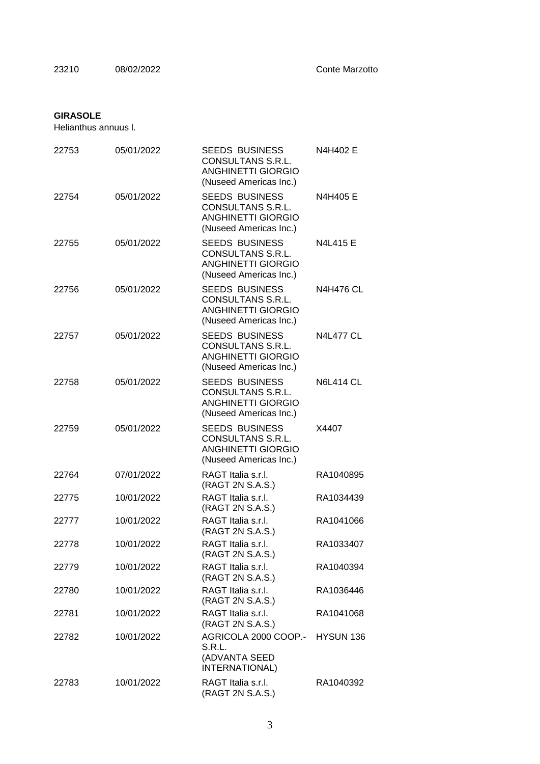### **GIRASOLE**

Helianthus annuus l.

| 22753 | 05/01/2022 | <b>SEEDS BUSINESS</b><br>CONSULTANS S.R.L.<br><b>ANGHINETTI GIORGIO</b><br>(Nuseed Americas Inc.)        | N4H402 E         |
|-------|------------|----------------------------------------------------------------------------------------------------------|------------------|
| 22754 | 05/01/2022 | <b>SEEDS BUSINESS</b><br><b>CONSULTANS S.R.L.</b><br><b>ANGHINETTI GIORGIO</b><br>(Nuseed Americas Inc.) | N4H405 E         |
| 22755 | 05/01/2022 | <b>SEEDS BUSINESS</b><br>CONSULTANS S.R.L.<br><b>ANGHINETTI GIORGIO</b><br>(Nuseed Americas Inc.)        | N4L415 E         |
| 22756 | 05/01/2022 | <b>SEEDS BUSINESS</b><br><b>CONSULTANS S.R.L.</b><br><b>ANGHINETTI GIORGIO</b><br>(Nuseed Americas Inc.) | <b>N4H476 CL</b> |
| 22757 | 05/01/2022 | <b>SEEDS BUSINESS</b><br><b>CONSULTANS S.R.L.</b><br><b>ANGHINETTI GIORGIO</b><br>(Nuseed Americas Inc.) | <b>N4L477 CL</b> |
| 22758 | 05/01/2022 | <b>SEEDS BUSINESS</b><br><b>CONSULTANS S.R.L.</b><br><b>ANGHINETTI GIORGIO</b><br>(Nuseed Americas Inc.) | <b>N6L414 CL</b> |
| 22759 | 05/01/2022 | <b>SEEDS BUSINESS</b><br>CONSULTANS S.R.L.<br><b>ANGHINETTI GIORGIO</b><br>(Nuseed Americas Inc.)        | X4407            |
| 22764 | 07/01/2022 | RAGT Italia s.r.l.<br>(RAGT 2N S.A.S.)                                                                   | RA1040895        |
| 22775 | 10/01/2022 | RAGT Italia s.r.l.<br>(RAGT 2N S.A.S.)                                                                   | RA1034439        |
| 22777 | 10/01/2022 | RAGT Italia s.r.l.<br>(RAGT 2N S.A.S.)                                                                   | RA1041066        |
| 22778 | 10/01/2022 | RAGT Italia s.r.l.<br>(RAGT 2N S.A.S.)                                                                   | RA1033407        |
| 22779 | 10/01/2022 | RAGT Italia s.r.l.<br>(RAGT 2N S.A.S.)                                                                   | RA1040394        |
| 22780 | 10/01/2022 | RAGT Italia s.r.l.<br>(RAGT 2N S.A.S.)                                                                   | RA1036446        |
| 22781 | 10/01/2022 | RAGT Italia s.r.l.<br>(RAGT 2N S.A.S.)                                                                   | RA1041068        |
| 22782 | 10/01/2022 | AGRICOLA 2000 COOP.-<br>S.R.L.<br>(ADVANTA SEED<br>INTERNATIONAL)                                        | HYSUN 136        |
| 22783 | 10/01/2022 | RAGT Italia s.r.l.<br>(RAGT 2N S.A.S.)                                                                   | RA1040392        |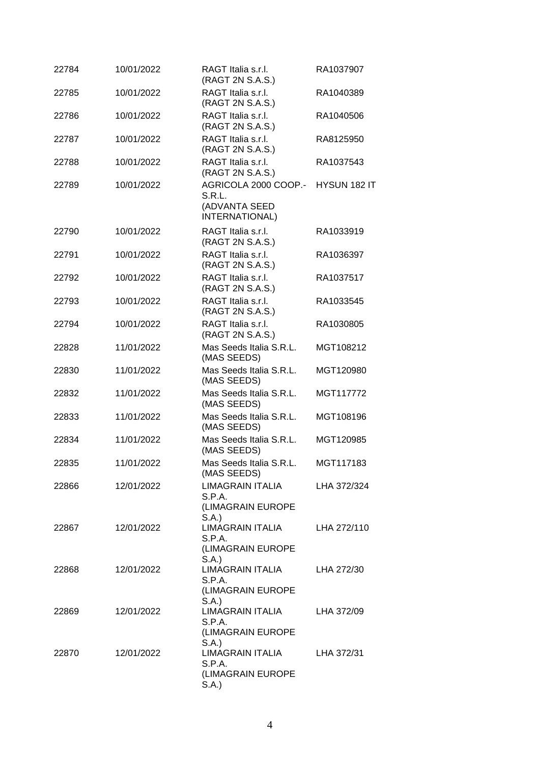| 22784 | 10/01/2022 | RAGT Italia s.r.l.<br>(RAGT 2N S.A.S.)                            | RA1037907    |
|-------|------------|-------------------------------------------------------------------|--------------|
| 22785 | 10/01/2022 | RAGT Italia s.r.l.<br>(RAGT 2N S.A.S.)                            | RA1040389    |
| 22786 | 10/01/2022 | RAGT Italia s.r.l.<br>(RAGT 2N S.A.S.)                            | RA1040506    |
| 22787 | 10/01/2022 | RAGT Italia s.r.l.<br>(RAGT 2N S.A.S.)                            | RA8125950    |
| 22788 | 10/01/2022 | RAGT Italia s.r.l.<br>(RAGT 2N S.A.S.)                            | RA1037543    |
| 22789 | 10/01/2022 | AGRICOLA 2000 COOP.-<br>S.R.L.<br>(ADVANTA SEED<br>INTERNATIONAL) | HYSUN 182 IT |
| 22790 | 10/01/2022 | RAGT Italia s.r.l.<br>(RAGT 2N S.A.S.)                            | RA1033919    |
| 22791 | 10/01/2022 | RAGT Italia s.r.l.<br>(RAGT 2N S.A.S.)                            | RA1036397    |
| 22792 | 10/01/2022 | RAGT Italia s.r.l.<br>(RAGT 2N S.A.S.)                            | RA1037517    |
| 22793 | 10/01/2022 | RAGT Italia s.r.l.<br>(RAGT 2N S.A.S.)                            | RA1033545    |
| 22794 | 10/01/2022 | RAGT Italia s.r.l.<br>(RAGT 2N S.A.S.)                            | RA1030805    |
| 22828 | 11/01/2022 | Mas Seeds Italia S.R.L.<br>(MAS SEEDS)                            | MGT108212    |
| 22830 | 11/01/2022 | Mas Seeds Italia S.R.L.<br>(MAS SEEDS)                            | MGT120980    |
| 22832 | 11/01/2022 | Mas Seeds Italia S.R.L.<br>(MAS SEEDS)                            | MGT117772    |
| 22833 | 11/01/2022 | Mas Seeds Italia S.R.L.<br>(MAS SEEDS)                            | MGT108196    |
| 22834 | 11/01/2022 | Mas Seeds Italia S.R.L.<br>(MAS SEEDS)                            | MGT120985    |
| 22835 | 11/01/2022 | Mas Seeds Italia S.R.L.<br>(MAS SEEDS)                            | MGT117183    |
| 22866 | 12/01/2022 | LIMAGRAIN ITALIA<br>S.P.A.<br>(LIMAGRAIN EUROPE<br>S.A.           | LHA 372/324  |
| 22867 | 12/01/2022 | <b>LIMAGRAIN ITALIA</b><br>S.P.A.<br>(LIMAGRAIN EUROPE<br>S.A.    | LHA 272/110  |
| 22868 | 12/01/2022 | <b>LIMAGRAIN ITALIA</b><br>S.P.A.<br>(LIMAGRAIN EUROPE<br>S.A.    | LHA 272/30   |
| 22869 | 12/01/2022 | LIMAGRAIN ITALIA<br>S.P.A.<br>(LIMAGRAIN EUROPE<br>S.A.)          | LHA 372/09   |
| 22870 | 12/01/2022 | LIMAGRAIN ITALIA<br>S.P.A.<br>(LIMAGRAIN EUROPE<br>S.A.           | LHA 372/31   |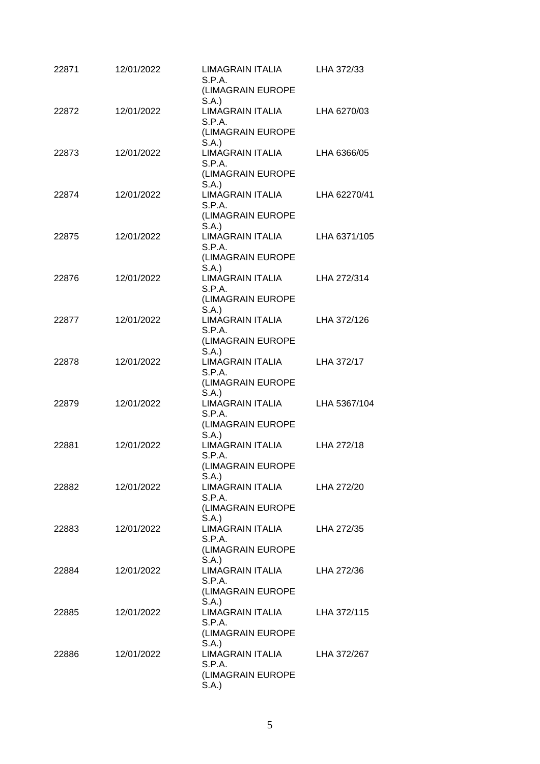| 22871 | 12/01/2022 | LIMAGRAIN ITALIA<br>S.P.A.<br>(LIMAGRAIN EUROPE                              | LHA 372/33   |
|-------|------------|------------------------------------------------------------------------------|--------------|
| 22872 | 12/01/2022 | S.A.<br><b>LIMAGRAIN ITALIA</b><br>S.P.A.<br>(LIMAGRAIN EUROPE               | LHA 6270/03  |
| 22873 | 12/01/2022 | S.A.<br><b>LIMAGRAIN ITALIA</b><br>S.P.A.<br>(LIMAGRAIN EUROPE               | LHA 6366/05  |
| 22874 | 12/01/2022 | S.A.<br><b>LIMAGRAIN ITALIA</b><br>S.P.A.                                    | LHA 62270/41 |
| 22875 | 12/01/2022 | (LIMAGRAIN EUROPE<br>S.A.<br><b>LIMAGRAIN ITALIA</b><br>S.P.A.               | LHA 6371/105 |
| 22876 | 12/01/2022 | (LIMAGRAIN EUROPE<br>S.A.<br>LIMAGRAIN ITALIA<br>S.P.A.                      | LHA 272/314  |
| 22877 | 12/01/2022 | (LIMAGRAIN EUROPE<br>S.A.<br>LIMAGRAIN ITALIA<br>S.P.A.                      | LHA 372/126  |
| 22878 | 12/01/2022 | (LIMAGRAIN EUROPE<br>S.A.<br><b>LIMAGRAIN ITALIA</b><br>S.P.A.               | LHA 372/17   |
| 22879 | 12/01/2022 | (LIMAGRAIN EUROPE<br>S.A.<br><b>LIMAGRAIN ITALIA</b><br>S.P.A.               | LHA 5367/104 |
| 22881 | 12/01/2022 | (LIMAGRAIN EUROPE<br>S.A.<br><b>LIMAGRAIN ITALIA</b><br>S.P.A.               | LHA 272/18   |
| 22882 | 12/01/2022 | (LIMAGRAIN EUROPE<br>S.A.)<br><b>LIMAGRAIN ITALIA</b><br>S.P.A.              | LHA 272/20   |
| 22883 | 12/01/2022 | (LIMAGRAIN EUROPE<br>S.A.)<br><b>LIMAGRAIN ITALIA</b><br>S.P.A.              | LHA 272/35   |
| 22884 | 12/01/2022 | (LIMAGRAIN EUROPE<br>S.A.<br>LIMAGRAIN ITALIA<br>S.P.A.                      | LHA 272/36   |
| 22885 | 12/01/2022 | (LIMAGRAIN EUROPE<br>S.A.)<br><b>LIMAGRAIN ITALIA</b><br>S.P.A.              | LHA 372/115  |
| 22886 | 12/01/2022 | (LIMAGRAIN EUROPE<br>S.A.<br>LIMAGRAIN ITALIA<br>S.P.A.<br>(LIMAGRAIN EUROPE | LHA 372/267  |
|       |            | S.A.                                                                         |              |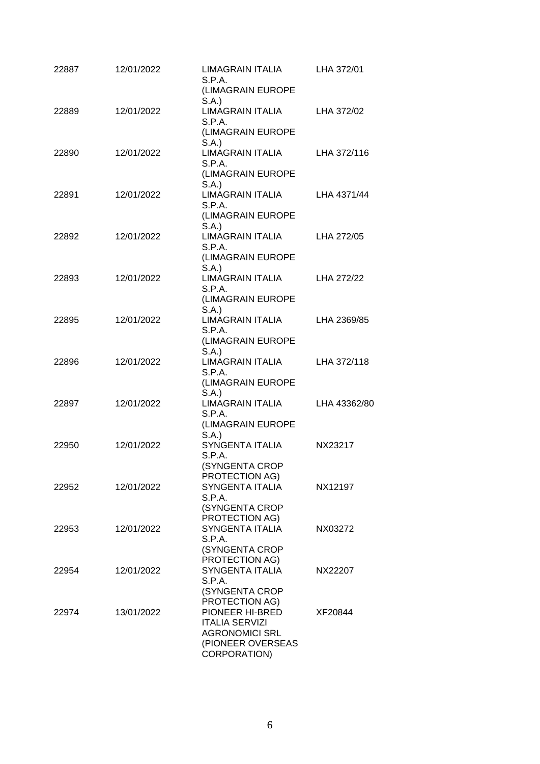| 22887 | 12/01/2022 | <b>LIMAGRAIN ITALIA</b><br>S.P.A.                      | LHA 372/01   |
|-------|------------|--------------------------------------------------------|--------------|
|       |            | (LIMAGRAIN EUROPE<br>S.A.)                             |              |
| 22889 | 12/01/2022 | <b>LIMAGRAIN ITALIA</b><br>S.P.A.                      | LHA 372/02   |
|       |            | (LIMAGRAIN EUROPE<br>S.A.                              |              |
| 22890 | 12/01/2022 | <b>LIMAGRAIN ITALIA</b><br>S.P.A.                      | LHA 372/116  |
|       |            | (LIMAGRAIN EUROPE<br>S.A.                              |              |
| 22891 | 12/01/2022 | <b>LIMAGRAIN ITALIA</b><br>S.P.A.<br>(LIMAGRAIN EUROPE | LHA 4371/44  |
| 22892 | 12/01/2022 | S.A.<br><b>LIMAGRAIN ITALIA</b>                        | LHA 272/05   |
|       |            | S.P.A.<br>(LIMAGRAIN EUROPE                            |              |
|       |            | S.A.                                                   |              |
| 22893 | 12/01/2022 | LIMAGRAIN ITALIA<br>S.P.A.                             | LHA 272/22   |
|       |            | (LIMAGRAIN EUROPE<br>S.A.                              |              |
| 22895 | 12/01/2022 | LIMAGRAIN ITALIA<br>S.P.A.                             | LHA 2369/85  |
|       |            | (LIMAGRAIN EUROPE<br>S.A.)                             |              |
| 22896 | 12/01/2022 | <b>LIMAGRAIN ITALIA</b><br>S.P.A.                      | LHA 372/118  |
|       |            | (LIMAGRAIN EUROPE<br>S.A.                              |              |
| 22897 | 12/01/2022 | <b>LIMAGRAIN ITALIA</b>                                | LHA 43362/80 |
|       |            | S.P.A.<br>(LIMAGRAIN EUROPE                            |              |
| 22950 | 12/01/2022 | S.A.<br>SYNGENTA ITALIA                                | NX23217      |
|       |            | S.P.A.<br>(SYNGENTA CROP                               |              |
| 22952 | 12/01/2022 | PROTECTION AG)<br><b>SYNGENTA ITALIA</b>               | NX12197      |
|       |            | S.P.A.<br>(SYNGENTA CROP                               |              |
| 22953 | 12/01/2022 | PROTECTION AG)<br>SYNGENTA ITALIA                      | NX03272      |
|       |            | S.P.A.                                                 |              |
|       |            | (SYNGENTA CROP<br>PROTECTION AG)                       |              |
| 22954 | 12/01/2022 | SYNGENTA ITALIA<br>S.P.A.                              | NX22207      |
|       |            | (SYNGENTA CROP                                         |              |
| 22974 | 13/01/2022 | PROTECTION AG)<br>PIONEER HI-BRED                      | XF20844      |
|       |            | <b>ITALIA SERVIZI</b>                                  |              |
|       |            | <b>AGRONOMICI SRL</b><br>(PIONEER OVERSEAS             |              |
|       |            | CORPORATION)                                           |              |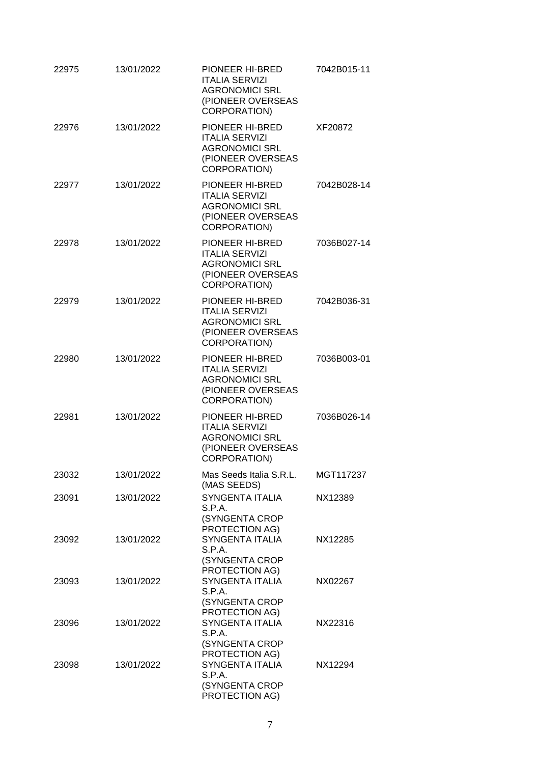| 22975 | 13/01/2022 | PIONEER HI-BRED<br><b>ITALIA SERVIZI</b><br><b>AGRONOMICI SRL</b><br>(PIONEER OVERSEAS<br>CORPORATION)        | 7042B015-11 |
|-------|------------|---------------------------------------------------------------------------------------------------------------|-------------|
| 22976 | 13/01/2022 | PIONEER HI-BRED<br><b>ITALIA SERVIZI</b><br><b>AGRONOMICI SRL</b><br>(PIONEER OVERSEAS<br><b>CORPORATION)</b> | XF20872     |
| 22977 | 13/01/2022 | PIONEER HI-BRED<br><b>ITALIA SERVIZI</b><br><b>AGRONOMICI SRL</b><br>(PIONEER OVERSEAS<br><b>CORPORATION)</b> | 7042B028-14 |
| 22978 | 13/01/2022 | PIONEER HI-BRED<br><b>ITALIA SERVIZI</b><br><b>AGRONOMICI SRL</b><br>(PIONEER OVERSEAS<br>CORPORATION)        | 7036B027-14 |
| 22979 | 13/01/2022 | PIONEER HI-BRED<br><b>ITALIA SERVIZI</b><br><b>AGRONOMICI SRL</b><br>(PIONEER OVERSEAS<br><b>CORPORATION)</b> | 7042B036-31 |
| 22980 | 13/01/2022 | PIONEER HI-BRED<br><b>ITALIA SERVIZI</b><br><b>AGRONOMICI SRL</b><br>(PIONEER OVERSEAS<br>CORPORATION)        | 7036B003-01 |
| 22981 | 13/01/2022 | PIONEER HI-BRED<br><b>ITALIA SERVIZI</b><br><b>AGRONOMICI SRL</b><br>(PIONEER OVERSEAS<br>CORPORATION)        | 7036B026-14 |
| 23032 | 13/01/2022 | Mas Seeds Italia S.R.L.<br>(MAS SEEDS)                                                                        | MGT117237   |
| 23091 | 13/01/2022 | <b>SYNGENTA ITALIA</b><br>S.P.A.<br>(SYNGENTA CROP<br>PROTECTION AG)                                          | NX12389     |
| 23092 | 13/01/2022 | <b>SYNGENTA ITALIA</b><br>S.P.A.<br>(SYNGENTA CROP<br>PROTECTION AG)                                          | NX12285     |
| 23093 | 13/01/2022 | SYNGENTA ITALIA<br>S.P.A.<br>(SYNGENTA CROP<br>PROTECTION AG)                                                 | NX02267     |
| 23096 | 13/01/2022 | SYNGENTA ITALIA<br>S.P.A.<br>(SYNGENTA CROP<br>PROTECTION AG)                                                 | NX22316     |
| 23098 | 13/01/2022 | SYNGENTA ITALIA<br>S.P.A.<br>(SYNGENTA CROP<br>PROTECTION AG)                                                 | NX12294     |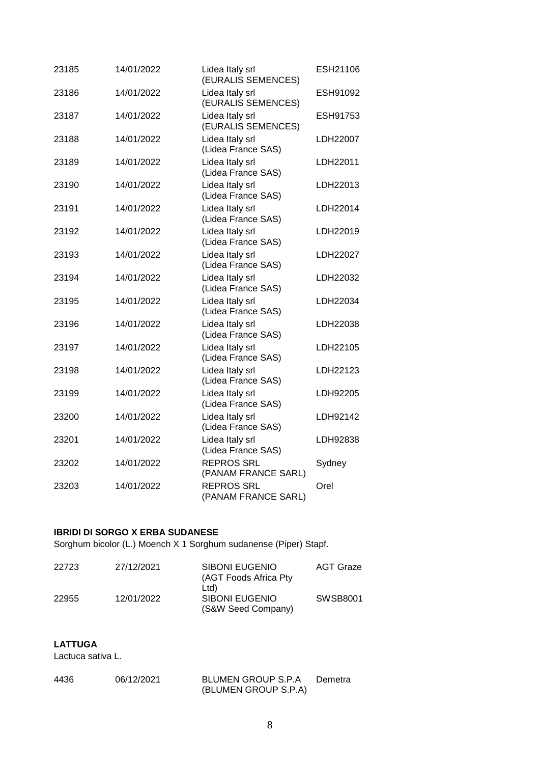| 23185 | 14/01/2022 | Lidea Italy srl<br>(EURALIS SEMENCES)    | ESH21106 |
|-------|------------|------------------------------------------|----------|
| 23186 | 14/01/2022 | Lidea Italy srl<br>(EURALIS SEMENCES)    | ESH91092 |
| 23187 | 14/01/2022 | Lidea Italy srl<br>(EURALIS SEMENCES)    | ESH91753 |
| 23188 | 14/01/2022 | Lidea Italy srl<br>(Lidea France SAS)    | LDH22007 |
| 23189 | 14/01/2022 | Lidea Italy srl<br>(Lidea France SAS)    | LDH22011 |
| 23190 | 14/01/2022 | Lidea Italy srl<br>(Lidea France SAS)    | LDH22013 |
| 23191 | 14/01/2022 | Lidea Italy srl<br>(Lidea France SAS)    | LDH22014 |
| 23192 | 14/01/2022 | Lidea Italy srl<br>(Lidea France SAS)    | LDH22019 |
| 23193 | 14/01/2022 | Lidea Italy srl<br>(Lidea France SAS)    | LDH22027 |
| 23194 | 14/01/2022 | Lidea Italy srl<br>(Lidea France SAS)    | LDH22032 |
| 23195 | 14/01/2022 | Lidea Italy srl<br>(Lidea France SAS)    | LDH22034 |
| 23196 | 14/01/2022 | Lidea Italy srl<br>(Lidea France SAS)    | LDH22038 |
| 23197 | 14/01/2022 | Lidea Italy srl<br>(Lidea France SAS)    | LDH22105 |
| 23198 | 14/01/2022 | Lidea Italy srl<br>(Lidea France SAS)    | LDH22123 |
| 23199 | 14/01/2022 | Lidea Italy srl<br>(Lidea France SAS)    | LDH92205 |
| 23200 | 14/01/2022 | Lidea Italy srl<br>(Lidea France SAS)    | LDH92142 |
| 23201 | 14/01/2022 | Lidea Italy srl<br>(Lidea France SAS)    | LDH92838 |
| 23202 | 14/01/2022 | <b>REPROS SRL</b><br>(PANAM FRANCE SARL) | Sydney   |
| 23203 | 14/01/2022 | <b>REPROS SRL</b><br>(PANAM FRANCE SARL) | Orel     |

# **IBRIDI DI SORGO X ERBA SUDANESE**

Sorghum bicolor (L.) Moench X 1 Sorghum sudanense (Piper) Stapf.

| 22723 | 27/12/2021 | SIBONI EUGENIO<br>(AGT Foods Africa Pty)<br>Ltd) | AGT Graze |
|-------|------------|--------------------------------------------------|-----------|
| 22955 | 12/01/2022 | SIBONI EUGENIO<br>(S&W Seed Company)             | SWSB8001  |

## **LATTUGA**

Lactuca sativa L.

| 4436 | 06/12/2021 | <b>BLUMEN GROUP S.P.A</b> | Demetra |
|------|------------|---------------------------|---------|
|      |            | (BLUMEN GROUP S.P.A)      |         |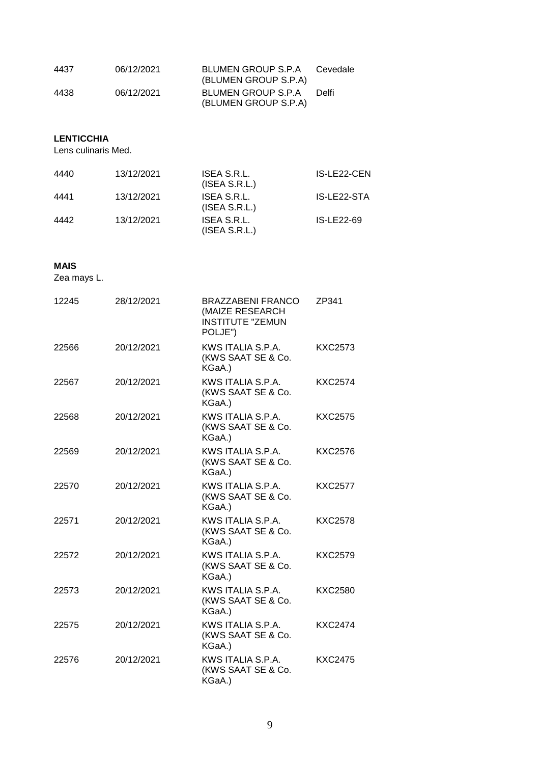| 4437 | 06/12/2021 | BLUMEN GROUP S.P.A<br>(BLUMEN GROUP S.P.A) | Cevedale |
|------|------------|--------------------------------------------|----------|
| 4438 | 06/12/2021 | BLUMEN GROUP S.P.A<br>(BLUMEN GROUP S.P.A) | Delfi    |

### **LENTICCHIA**

Lens culinaris Med.

| 4440 | 13/12/2021 | ISEA S.R.L.<br>(ISEA S.R.L.) | IS-LE22-CEN |
|------|------------|------------------------------|-------------|
| 4441 | 13/12/2021 | ISEA S.R.L.<br>(ISEA S.R.L.) | IS-LE22-STA |
| 4442 | 13/12/2021 | ISEA S.R.L.<br>(ISEA S.R.L.) | IS-LE22-69  |

#### **MAIS**

Zea mays L.

| 12245 | 28/12/2021 | <b>BRAZZABENI FRANCO</b><br>(MAIZE RESEARCH<br><b>INSTITUTE "ZEMUN</b><br>POLJE") | ZP341          |
|-------|------------|-----------------------------------------------------------------------------------|----------------|
| 22566 | 20/12/2021 | KWS ITALIA S.P.A.<br>(KWS SAAT SE & Co.<br>KGaA.)                                 | <b>KXC2573</b> |
| 22567 | 20/12/2021 | KWS ITALIA S.P.A.<br>(KWS SAAT SE & Co.<br>KGaA.)                                 | <b>KXC2574</b> |
| 22568 | 20/12/2021 | KWS ITALIA S.P.A.<br>(KWS SAAT SE & Co.<br>KGaA.)                                 | <b>KXC2575</b> |
| 22569 | 20/12/2021 | KWS ITALIA S.P.A.<br>(KWS SAAT SE & Co.<br>KGaA.)                                 | <b>KXC2576</b> |
| 22570 | 20/12/2021 | KWS ITALIA S.P.A.<br>(KWS SAAT SE & Co.<br>KGaA.)                                 | <b>KXC2577</b> |
| 22571 | 20/12/2021 | KWS ITALIA S.P.A.<br>(KWS SAAT SE & Co.<br>KGaA.)                                 | <b>KXC2578</b> |
| 22572 | 20/12/2021 | KWS ITALIA S.P.A.<br>(KWS SAAT SE & Co.<br>KGaA.)                                 | <b>KXC2579</b> |
| 22573 | 20/12/2021 | KWS ITALIA S.P.A.<br>(KWS SAAT SE & Co.<br>KGaA.)                                 | <b>KXC2580</b> |
| 22575 | 20/12/2021 | KWS ITALIA S.P.A.<br>(KWS SAAT SE & Co.<br>KGaA.)                                 | <b>KXC2474</b> |
| 22576 | 20/12/2021 | KWS ITALIA S.P.A.<br>(KWS SAAT SE & Co.<br>KGaA.)                                 | <b>KXC2475</b> |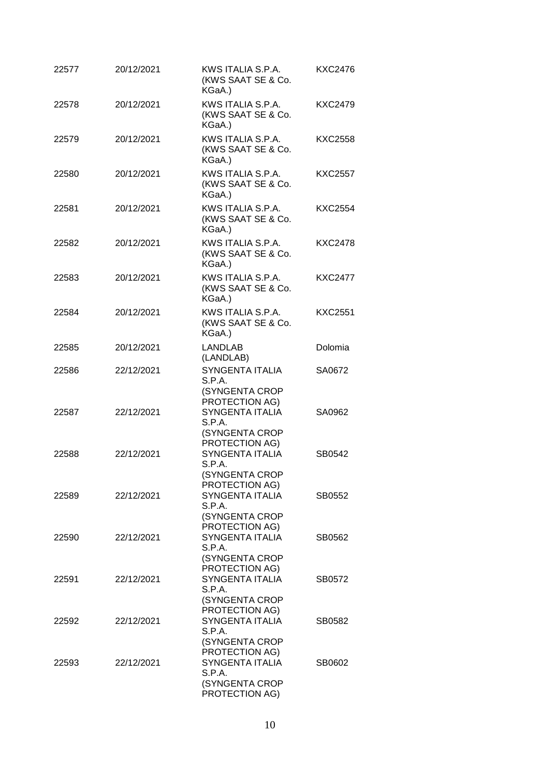|       |            | (KWS SAAT SE & Co.<br>KGaA.)                                                    | KXC2476        |
|-------|------------|---------------------------------------------------------------------------------|----------------|
| 22578 | 20/12/2021 | KWS ITALIA S.P.A.<br>(KWS SAAT SE & Co.<br>KGaA.)                               | KXC2479        |
| 22579 | 20/12/2021 | KWS ITALIA S.P.A.<br>(KWS SAAT SE & Co.<br>KGaA.)                               | <b>KXC2558</b> |
| 22580 | 20/12/2021 | KWS ITALIA S.P.A.<br>(KWS SAAT SE & Co.<br>KGaA.)                               | <b>KXC2557</b> |
| 22581 | 20/12/2021 | KWS ITALIA S.P.A.<br>(KWS SAAT SE & Co.<br>KGaA.)                               | <b>KXC2554</b> |
| 22582 | 20/12/2021 | KWS ITALIA S.P.A.<br>(KWS SAAT SE & Co.<br>KGaA.)                               | <b>KXC2478</b> |
| 22583 | 20/12/2021 | KWS ITALIA S.P.A.<br>(KWS SAAT SE & Co.<br>KGaA.)                               | <b>KXC2477</b> |
| 22584 | 20/12/2021 | KWS ITALIA S.P.A.<br>(KWS SAAT SE & Co.<br>KGaA.)                               | <b>KXC2551</b> |
| 22585 | 20/12/2021 | <b>LANDLAB</b><br>(LANDLAB)                                                     | Dolomia        |
| 22586 | 22/12/2021 | <b>SYNGENTA ITALIA</b><br>S.P.A.<br>(SYNGENTA CROP                              | SA0672         |
| 22587 | 22/12/2021 | PROTECTION AG)<br>SYNGENTA ITALIA<br>S.P.A.<br>(SYNGENTA CROP                   | SA0962         |
| 22588 | 22/12/2021 | PROTECTION AG)<br><b>SYNGENTA ITALIA</b><br>S.P.A.<br>(SYNGENTA CROP            | SB0542         |
| 22589 | 22/12/2021 | PROTECTION AG)<br>SYNGENTA ITALIA<br>S.P.A.<br>(SYNGENTA CROP<br>PROTECTION AG) | SB0552         |
| 22590 | 22/12/2021 | SYNGENTA ITALIA<br>S.P.A.<br>(SYNGENTA CROP                                     | SB0562         |
| 22591 | 22/12/2021 | PROTECTION AG)<br>SYNGENTA ITALIA<br>S.P.A.<br>(SYNGENTA CROP                   | SB0572         |
| 22592 | 22/12/2021 | PROTECTION AG)<br><b>SYNGENTA ITALIA</b><br>S.P.A.<br>(SYNGENTA CROP            | SB0582         |
| 22593 | 22/12/2021 | PROTECTION AG)<br>SYNGENTA ITALIA<br>S.P.A.<br>(SYNGENTA CROP<br>PROTECTION AG) | SB0602         |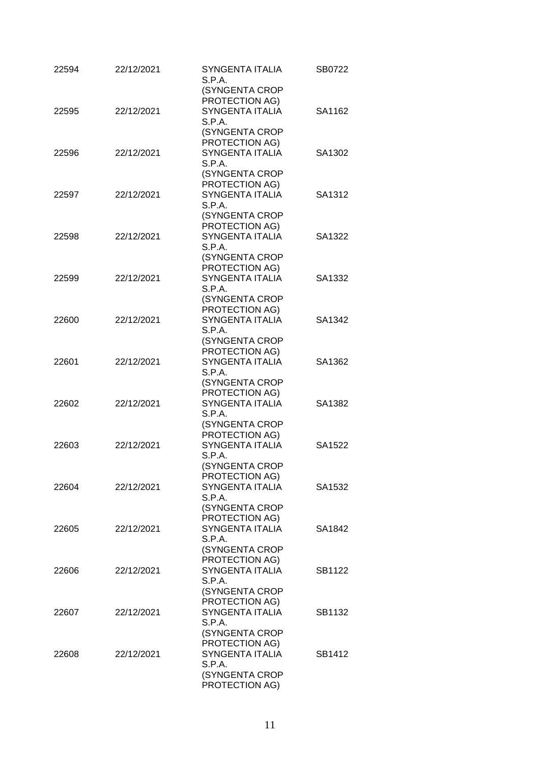| 22594 | 22/12/2021 | <b>SYNGENTA ITALIA</b><br>S.P.A.         | SB0722 |
|-------|------------|------------------------------------------|--------|
|       |            | (SYNGENTA CROP                           |        |
| 22595 | 22/12/2021 | PROTECTION AG)<br><b>SYNGENTA ITALIA</b> | SA1162 |
|       |            | S.P.A.                                   |        |
|       |            | (SYNGENTA CROP                           |        |
|       |            | PROTECTION AG)                           |        |
| 22596 | 22/12/2021 | SYNGENTA ITALIA                          | SA1302 |
|       |            | S.P.A.                                   |        |
|       |            | (SYNGENTA CROP                           |        |
|       |            | PROTECTION AG)                           |        |
| 22597 | 22/12/2021 | SYNGENTA ITALIA                          | SA1312 |
|       |            | S.P.A.                                   |        |
|       |            | (SYNGENTA CROP                           |        |
|       |            | PROTECTION AG)                           |        |
| 22598 | 22/12/2021 | <b>SYNGENTA ITALIA</b>                   | SA1322 |
|       |            | S.P.A.                                   |        |
|       |            | (SYNGENTA CROP                           |        |
|       |            | PROTECTION AG)                           |        |
| 22599 | 22/12/2021 | <b>SYNGENTA ITALIA</b>                   | SA1332 |
|       |            | S.P.A.                                   |        |
|       |            | (SYNGENTA CROP                           |        |
| 22600 | 22/12/2021 | PROTECTION AG)<br><b>SYNGENTA ITALIA</b> | SA1342 |
|       |            | S.P.A.                                   |        |
|       |            | (SYNGENTA CROP                           |        |
|       |            | PROTECTION AG)                           |        |
| 22601 | 22/12/2021 | <b>SYNGENTA ITALIA</b>                   | SA1362 |
|       |            | S.P.A.                                   |        |
|       |            | (SYNGENTA CROP                           |        |
|       |            | PROTECTION AG)                           |        |
| 22602 | 22/12/2021 | SYNGENTA ITALIA                          | SA1382 |
|       |            | S.P.A.                                   |        |
|       |            | (SYNGENTA CROP                           |        |
|       |            | PROTECTION AG)                           |        |
| 22603 | 22/12/2021 | SYNGENTA ITALIA                          | SA1522 |
|       |            | S.P.A.                                   |        |
|       |            | (SYNGENTA CROP                           |        |
| 22604 | 22/12/2021 | PROTECTION AG)<br><b>SYNGENTA ITALIA</b> | SA1532 |
|       |            | S.P.A.                                   |        |
|       |            | (SYNGENTA CROP                           |        |
|       |            | PROTECTION AG)                           |        |
| 22605 | 22/12/2021 | SYNGENTA ITALIA                          | SA1842 |
|       |            | S.P.A.                                   |        |
|       |            | (SYNGENTA CROP                           |        |
|       |            | PROTECTION AG)                           |        |
| 22606 | 22/12/2021 | <b>SYNGENTA ITALIA</b>                   | SB1122 |
|       |            | S.P.A.                                   |        |
|       |            | (SYNGENTA CROP                           |        |
|       |            | PROTECTION AG)                           |        |
| 22607 | 22/12/2021 | SYNGENTA ITALIA                          | SB1132 |
|       |            | S.P.A.                                   |        |
|       |            | (SYNGENTA CROP<br>PROTECTION AG)         |        |
| 22608 | 22/12/2021 | SYNGENTA ITALIA                          | SB1412 |
|       |            | S.P.A.                                   |        |
|       |            | (SYNGENTA CROP                           |        |
|       |            | PROTECTION AG)                           |        |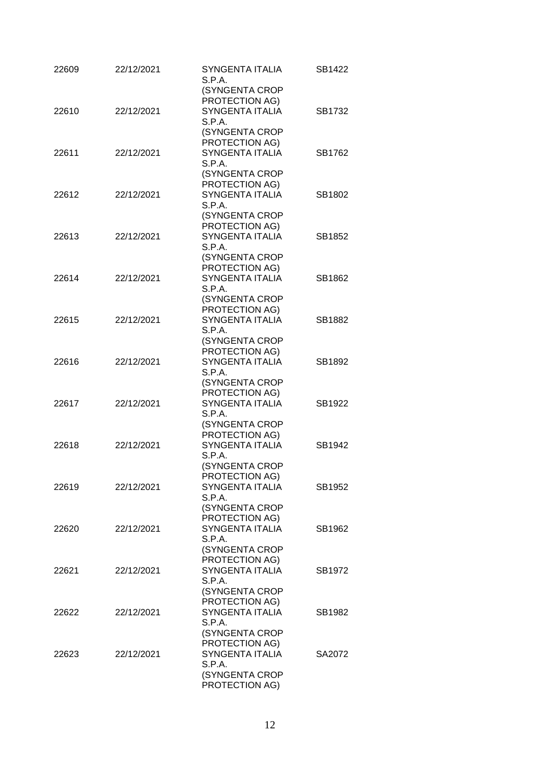| 22609 | 22/12/2021 | SYNGENTA ITALIA<br>S.P.A.<br>(SYNGENTA CROP | SB1422 |
|-------|------------|---------------------------------------------|--------|
|       |            | PROTECTION AG)                              |        |
| 22610 | 22/12/2021 | <b>SYNGENTA ITALIA</b><br>S.P.A.            | SB1732 |
|       |            | (SYNGENTA CROP                              |        |
|       |            | PROTECTION AG)                              |        |
| 22611 | 22/12/2021 | SYNGENTA ITALIA<br>S.P.A.                   | SB1762 |
|       |            | (SYNGENTA CROP                              |        |
| 22612 | 22/12/2021 | PROTECTION AG)<br><b>SYNGENTA ITALIA</b>    | SB1802 |
|       |            | S.P.A.                                      |        |
|       |            | (SYNGENTA CROP                              |        |
|       |            | PROTECTION AG)                              |        |
| 22613 | 22/12/2021 | <b>SYNGENTA ITALIA</b><br>S.P.A.            | SB1852 |
|       |            | (SYNGENTA CROP                              |        |
|       |            | PROTECTION AG)                              |        |
| 22614 | 22/12/2021 | SYNGENTA ITALIA<br>S.P.A.                   | SB1862 |
|       |            | (SYNGENTA CROP                              |        |
|       |            | PROTECTION AG)                              |        |
| 22615 | 22/12/2021 | <b>SYNGENTA ITALIA</b>                      | SB1882 |
|       |            | S.P.A.<br>(SYNGENTA CROP                    |        |
|       |            | PROTECTION AG)                              |        |
| 22616 | 22/12/2021 | <b>SYNGENTA ITALIA</b>                      | SB1892 |
|       |            | S.P.A.                                      |        |
|       |            | (SYNGENTA CROP                              |        |
|       |            | PROTECTION AG)                              |        |
| 22617 | 22/12/2021 | <b>SYNGENTA ITALIA</b><br>S.P.A.            | SB1922 |
|       |            | (SYNGENTA CROP                              |        |
|       |            | PROTECTION AG)                              |        |
| 22618 | 22/12/2021 | SYNGENTA ITALIA                             | SB1942 |
|       |            | S.P.A.                                      |        |
|       |            | (SYNGENTA CROP                              |        |
|       |            | PROTECTION AG)                              |        |
| 22619 | 22/12/2021 | <b>SYNGENTA ITALIA</b><br>S.P.A.            | SB1952 |
|       |            | (SYNGENTA CROP                              |        |
|       |            | PROTECTION AG)                              |        |
| 22620 | 22/12/2021 | <b>SYNGENTA ITALIA</b>                      | SB1962 |
|       |            | S.P.A.                                      |        |
|       |            | (SYNGENTA CROP                              |        |
|       |            | PROTECTION AG)                              |        |
| 22621 | 22/12/2021 | SYNGENTA ITALIA<br>S.P.A.                   | SB1972 |
|       |            | (SYNGENTA CROP                              |        |
|       |            | PROTECTION AG)                              |        |
| 22622 | 22/12/2021 | <b>SYNGENTA ITALIA</b>                      | SB1982 |
|       |            | S.P.A.                                      |        |
|       |            | (SYNGENTA CROP                              |        |
|       |            | PROTECTION AG)                              |        |
| 22623 | 22/12/2021 | <b>SYNGENTA ITALIA</b><br>S.P.A.            | SA2072 |
|       |            | (SYNGENTA CROP                              |        |
|       |            | PROTECTION AG)                              |        |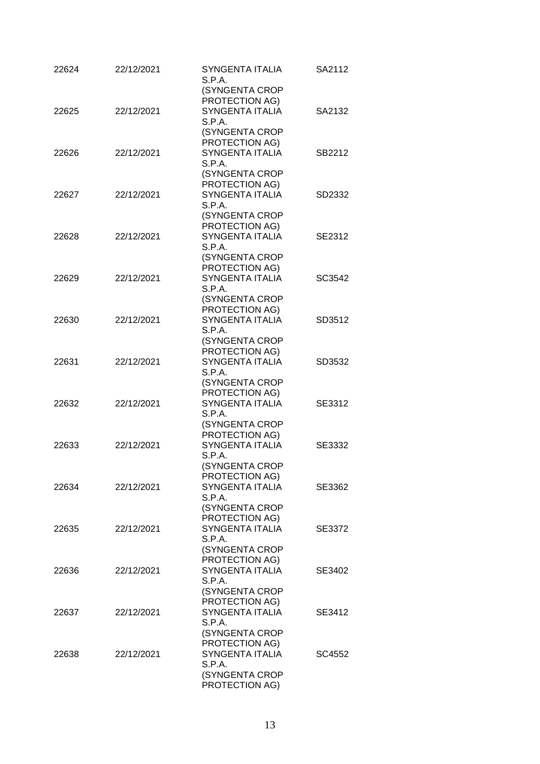| 22624 | 22/12/2021 | <b>SYNGENTA ITALIA</b><br>S.P.A.         | SA2112 |
|-------|------------|------------------------------------------|--------|
|       |            | (SYNGENTA CROP                           |        |
| 22625 | 22/12/2021 | PROTECTION AG)<br><b>SYNGENTA ITALIA</b> | SA2132 |
|       |            | S.P.A.                                   |        |
|       |            | (SYNGENTA CROP                           |        |
|       |            | PROTECTION AG)                           |        |
| 22626 | 22/12/2021 | SYNGENTA ITALIA                          | SB2212 |
|       |            | S.P.A.                                   |        |
|       |            | (SYNGENTA CROP                           |        |
|       |            | PROTECTION AG)                           |        |
| 22627 | 22/12/2021 | <b>SYNGENTA ITALIA</b>                   | SD2332 |
|       |            | S.P.A.<br>(SYNGENTA CROP                 |        |
|       |            | PROTECTION AG)                           |        |
| 22628 | 22/12/2021 | <b>SYNGENTA ITALIA</b>                   | SE2312 |
|       |            | S.P.A.                                   |        |
|       |            | (SYNGENTA CROP                           |        |
|       |            | PROTECTION AG)                           |        |
| 22629 | 22/12/2021 | <b>SYNGENTA ITALIA</b>                   | SC3542 |
|       |            | S.P.A.                                   |        |
|       |            | (SYNGENTA CROP                           |        |
|       |            | PROTECTION AG)                           |        |
| 22630 | 22/12/2021 | <b>SYNGENTA ITALIA</b>                   | SD3512 |
|       |            | S.P.A.<br>(SYNGENTA CROP                 |        |
|       |            | PROTECTION AG)                           |        |
| 22631 | 22/12/2021 | <b>SYNGENTA ITALIA</b>                   | SD3532 |
|       |            | S.P.A.                                   |        |
|       |            | (SYNGENTA CROP                           |        |
|       |            | PROTECTION AG)                           |        |
| 22632 | 22/12/2021 | <b>SYNGENTA ITALIA</b>                   | SE3312 |
|       |            | S.P.A.                                   |        |
|       |            | (SYNGENTA CROP                           |        |
| 22633 | 22/12/2021 | PROTECTION AG)<br>SYNGENTA ITALIA        | SE3332 |
|       |            | S.P.A.                                   |        |
|       |            | (SYNGENTA CROP                           |        |
|       |            | PROTECTION AG)                           |        |
| 22634 | 22/12/2021 | <b>SYNGENTA ITALIA</b>                   | SE3362 |
|       |            | S.P.A.                                   |        |
|       |            | (SYNGENTA CROP                           |        |
|       |            | PROTECTION AG)                           |        |
| 22635 | 22/12/2021 | SYNGENTA ITALIA                          | SE3372 |
|       |            | S.P.A.<br>(SYNGENTA CROP                 |        |
|       |            | PROTECTION AG)                           |        |
| 22636 | 22/12/2021 | SYNGENTA ITALIA                          | SE3402 |
|       |            | S.P.A.                                   |        |
|       |            | (SYNGENTA CROP                           |        |
|       |            | PROTECTION AG)                           |        |
| 22637 | 22/12/2021 | SYNGENTA ITALIA                          | SE3412 |
|       |            | S.P.A.                                   |        |
|       |            | (SYNGENTA CROP                           |        |
|       |            | PROTECTION AG)                           |        |
| 22638 | 22/12/2021 | SYNGENTA ITALIA<br>S.P.A.                | SC4552 |
|       |            | (SYNGENTA CROP                           |        |
|       |            | PROTECTION AG)                           |        |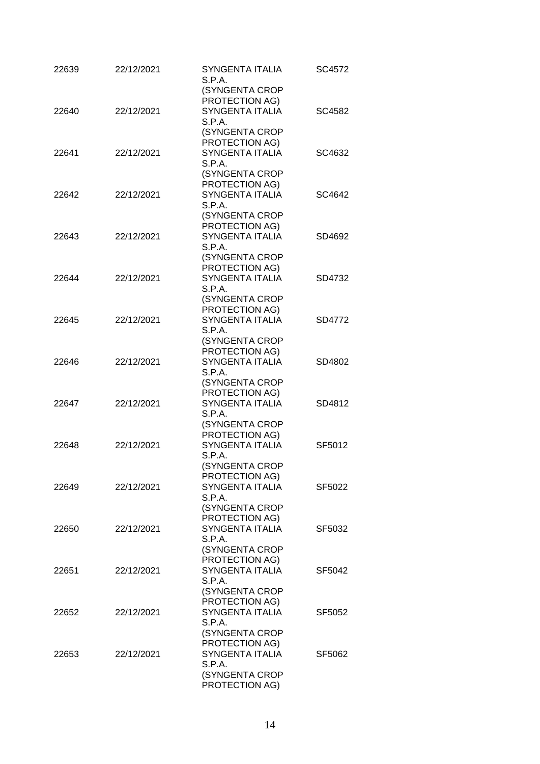| 22639 | 22/12/2021 | <b>SYNGENTA ITALIA</b><br>S.P.A.         | SC4572 |
|-------|------------|------------------------------------------|--------|
|       |            | (SYNGENTA CROP<br>PROTECTION AG)         |        |
| 22640 | 22/12/2021 | <b>SYNGENTA ITALIA</b>                   | SC4582 |
|       |            | S.P.A.                                   |        |
|       |            | (SYNGENTA CROP                           |        |
|       |            | PROTECTION AG)                           |        |
| 22641 | 22/12/2021 | SYNGENTA ITALIA                          | SC4632 |
|       |            | S.P.A.                                   |        |
|       |            | (SYNGENTA CROP<br>PROTECTION AG)         |        |
| 22642 | 22/12/2021 | <b>SYNGENTA ITALIA</b>                   | SC4642 |
|       |            | S.P.A.                                   |        |
|       |            | (SYNGENTA CROP                           |        |
|       |            | PROTECTION AG)                           |        |
| 22643 | 22/12/2021 | <b>SYNGENTA ITALIA</b>                   | SD4692 |
|       |            | S.P.A.                                   |        |
|       |            | (SYNGENTA CROP                           |        |
| 22644 | 22/12/2021 | PROTECTION AG)<br><b>SYNGENTA ITALIA</b> | SD4732 |
|       |            | S.P.A.                                   |        |
|       |            | (SYNGENTA CROP                           |        |
|       |            | PROTECTION AG)                           |        |
| 22645 | 22/12/2021 | <b>SYNGENTA ITALIA</b>                   | SD4772 |
|       |            | S.P.A.                                   |        |
|       |            | (SYNGENTA CROP                           |        |
|       |            | PROTECTION AG)<br><b>SYNGENTA ITALIA</b> |        |
| 22646 | 22/12/2021 | S.P.A.                                   | SD4802 |
|       |            | (SYNGENTA CROP                           |        |
|       |            | PROTECTION AG)                           |        |
| 22647 | 22/12/2021 | <b>SYNGENTA ITALIA</b>                   | SD4812 |
|       |            | S.P.A.                                   |        |
|       |            | (SYNGENTA CROP                           |        |
| 22648 |            | PROTECTION AG)<br>SYNGENTA ITALIA        |        |
|       | 22/12/2021 | S.P.A.                                   | SF5012 |
|       |            | (SYNGENTA CROP                           |        |
|       |            | PROTECTION AG)                           |        |
| 22649 | 22/12/2021 | <b>SYNGENTA ITALIA</b>                   | SF5022 |
|       |            | S.P.A.                                   |        |
|       |            | (SYNGENTA CROP                           |        |
|       |            | PROTECTION AG)                           |        |
| 22650 | 22/12/2021 | <b>SYNGENTA ITALIA</b><br>S.P.A.         | SF5032 |
|       |            | (SYNGENTA CROP                           |        |
|       |            | PROTECTION AG)                           |        |
| 22651 | 22/12/2021 | <b>SYNGENTA ITALIA</b>                   | SF5042 |
|       |            | S.P.A.                                   |        |
|       |            | (SYNGENTA CROP                           |        |
|       |            | PROTECTION AG)                           |        |
| 22652 | 22/12/2021 | <b>SYNGENTA ITALIA</b>                   | SF5052 |
|       |            | S.P.A.<br>(SYNGENTA CROP                 |        |
|       |            | PROTECTION AG)                           |        |
| 22653 | 22/12/2021 | <b>SYNGENTA ITALIA</b>                   | SF5062 |
|       |            | S.P.A.                                   |        |
|       |            | (SYNGENTA CROP                           |        |
|       |            | PROTECTION AG)                           |        |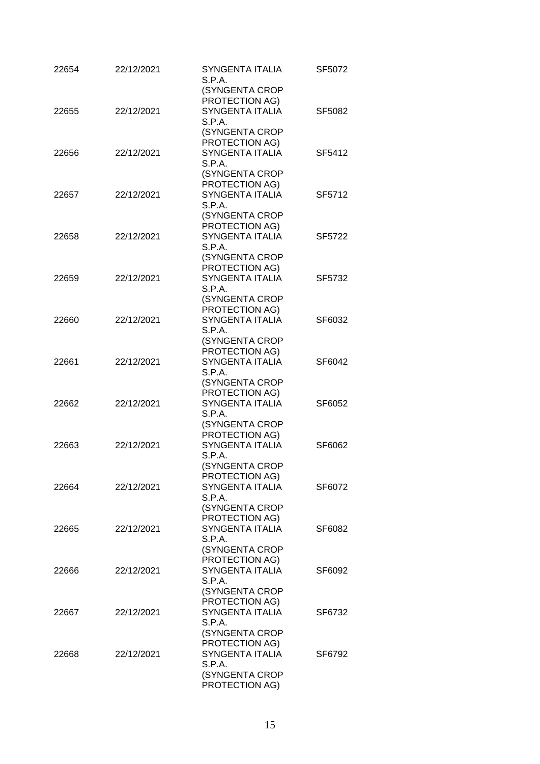| 22654 | 22/12/2021 | <b>SYNGENTA ITALIA</b><br>S.P.A.         | SF5072 |
|-------|------------|------------------------------------------|--------|
|       |            | (SYNGENTA CROP                           |        |
| 22655 | 22/12/2021 | PROTECTION AG)<br><b>SYNGENTA ITALIA</b> | SF5082 |
|       |            | S.P.A.                                   |        |
|       |            | (SYNGENTA CROP                           |        |
|       |            | PROTECTION AG)                           |        |
| 22656 | 22/12/2021 | SYNGENTA ITALIA                          | SF5412 |
|       |            | S.P.A.                                   |        |
|       |            | (SYNGENTA CROP                           |        |
|       |            | PROTECTION AG)                           |        |
| 22657 | 22/12/2021 | SYNGENTA ITALIA                          | SF5712 |
|       |            | S.P.A.                                   |        |
|       |            | (SYNGENTA CROP                           |        |
|       |            | PROTECTION AG)                           |        |
| 22658 | 22/12/2021 | <b>SYNGENTA ITALIA</b>                   | SF5722 |
|       |            | S.P.A.                                   |        |
|       |            | (SYNGENTA CROP                           |        |
|       |            | PROTECTION AG)                           |        |
| 22659 | 22/12/2021 | <b>SYNGENTA ITALIA</b>                   | SF5732 |
|       |            | S.P.A.                                   |        |
|       |            | (SYNGENTA CROP                           |        |
|       |            | PROTECTION AG)                           |        |
| 22660 | 22/12/2021 | <b>SYNGENTA ITALIA</b>                   | SF6032 |
|       |            | S.P.A.                                   |        |
|       |            | (SYNGENTA CROP                           |        |
|       |            | PROTECTION AG)                           |        |
| 22661 | 22/12/2021 | <b>SYNGENTA ITALIA</b><br>S.P.A.         | SF6042 |
|       |            | (SYNGENTA CROP                           |        |
|       |            | PROTECTION AG)                           |        |
| 22662 | 22/12/2021 | <b>SYNGENTA ITALIA</b>                   | SF6052 |
|       |            | S.P.A.                                   |        |
|       |            | (SYNGENTA CROP                           |        |
|       |            | PROTECTION AG)                           |        |
| 22663 | 22/12/2021 | SYNGENTA ITALIA                          | SF6062 |
|       |            | S.P.A.                                   |        |
|       |            | (SYNGENTA CROP                           |        |
|       |            | PROTECTION AG)                           |        |
| 22664 | 22/12/2021 | <b>SYNGENTA ITALIA</b>                   | SF6072 |
|       |            | S.P.A.                                   |        |
|       |            | (SYNGENTA CROP                           |        |
|       |            | PROTECTION AG)                           |        |
| 22665 | 22/12/2021 | SYNGENTA ITALIA                          | SF6082 |
|       |            | S.P.A.                                   |        |
|       |            | (SYNGENTA CROP                           |        |
|       |            | PROTECTION AG)                           |        |
| 22666 | 22/12/2021 | SYNGENTA ITALIA                          | SF6092 |
|       |            | S.P.A.                                   |        |
|       |            | (SYNGENTA CROP                           |        |
|       |            | PROTECTION AG)                           |        |
| 22667 | 22/12/2021 | SYNGENTA ITALIA                          | SF6732 |
|       |            | S.P.A.                                   |        |
|       |            | (SYNGENTA CROP<br>PROTECTION AG)         |        |
| 22668 | 22/12/2021 | SYNGENTA ITALIA                          | SF6792 |
|       |            | S.P.A.                                   |        |
|       |            | (SYNGENTA CROP                           |        |
|       |            | PROTECTION AG)                           |        |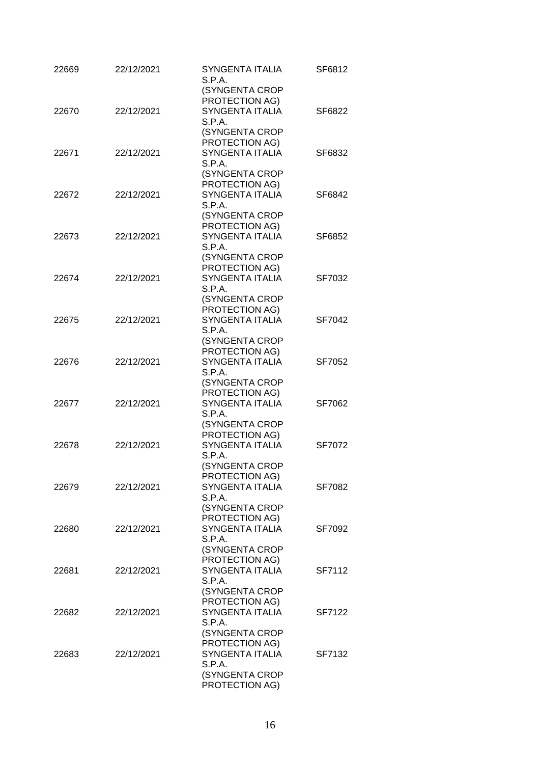| 22669 | 22/12/2021 | <b>SYNGENTA ITALIA</b><br>S.P.A.         | SF6812 |
|-------|------------|------------------------------------------|--------|
|       |            | (SYNGENTA CROP                           |        |
| 22670 | 22/12/2021 | PROTECTION AG)<br><b>SYNGENTA ITALIA</b> | SF6822 |
|       |            | S.P.A.                                   |        |
|       |            | (SYNGENTA CROP                           |        |
|       |            | PROTECTION AG)                           |        |
| 22671 | 22/12/2021 | SYNGENTA ITALIA                          | SF6832 |
|       |            | S.P.A.                                   |        |
|       |            | (SYNGENTA CROP                           |        |
|       |            | PROTECTION AG)                           |        |
| 22672 | 22/12/2021 | <b>SYNGENTA ITALIA</b>                   | SF6842 |
|       |            | S.P.A.                                   |        |
|       |            | (SYNGENTA CROP                           |        |
|       |            | PROTECTION AG)                           |        |
| 22673 | 22/12/2021 | <b>SYNGENTA ITALIA</b>                   | SF6852 |
|       |            | S.P.A.                                   |        |
|       |            | (SYNGENTA CROP                           |        |
|       |            | PROTECTION AG)                           |        |
| 22674 | 22/12/2021 | <b>SYNGENTA ITALIA</b>                   | SF7032 |
|       |            | S.P.A.                                   |        |
|       |            | (SYNGENTA CROP                           |        |
|       |            | PROTECTION AG)                           |        |
| 22675 | 22/12/2021 | <b>SYNGENTA ITALIA</b>                   | SF7042 |
|       |            | S.P.A.                                   |        |
|       |            | (SYNGENTA CROP                           |        |
|       |            | PROTECTION AG)                           |        |
| 22676 | 22/12/2021 | <b>SYNGENTA ITALIA</b><br>S.P.A.         | SF7052 |
|       |            | (SYNGENTA CROP                           |        |
|       |            | PROTECTION AG)                           |        |
| 22677 | 22/12/2021 | <b>SYNGENTA ITALIA</b>                   | SF7062 |
|       |            | S.P.A.                                   |        |
|       |            | (SYNGENTA CROP                           |        |
|       |            | PROTECTION AG)                           |        |
| 22678 | 22/12/2021 | SYNGENTA ITALIA                          | SF7072 |
|       |            | S.P.A.                                   |        |
|       |            | (SYNGENTA CROP                           |        |
|       |            | PROTECTION AG)                           |        |
| 22679 | 22/12/2021 | SYNGENTA ITALIA                          | SF7082 |
|       |            | S.P.A.                                   |        |
|       |            | (SYNGENTA CROP                           |        |
|       |            | PROTECTION AG)                           |        |
| 22680 | 22/12/2021 | <b>SYNGENTA ITALIA</b>                   | SF7092 |
|       |            | S.P.A.                                   |        |
|       |            | (SYNGENTA CROP                           |        |
|       |            | PROTECTION AG)                           |        |
| 22681 | 22/12/2021 | SYNGENTA ITALIA                          | SF7112 |
|       |            | S.P.A.                                   |        |
|       |            | (SYNGENTA CROP                           |        |
|       |            | PROTECTION AG)                           |        |
| 22682 | 22/12/2021 | SYNGENTA ITALIA                          | SF7122 |
|       |            | S.P.A.                                   |        |
|       |            | (SYNGENTA CROP<br>PROTECTION AG)         |        |
| 22683 | 22/12/2021 | <b>SYNGENTA ITALIA</b>                   | SF7132 |
|       |            | S.P.A.                                   |        |
|       |            | (SYNGENTA CROP                           |        |
|       |            | PROTECTION AG)                           |        |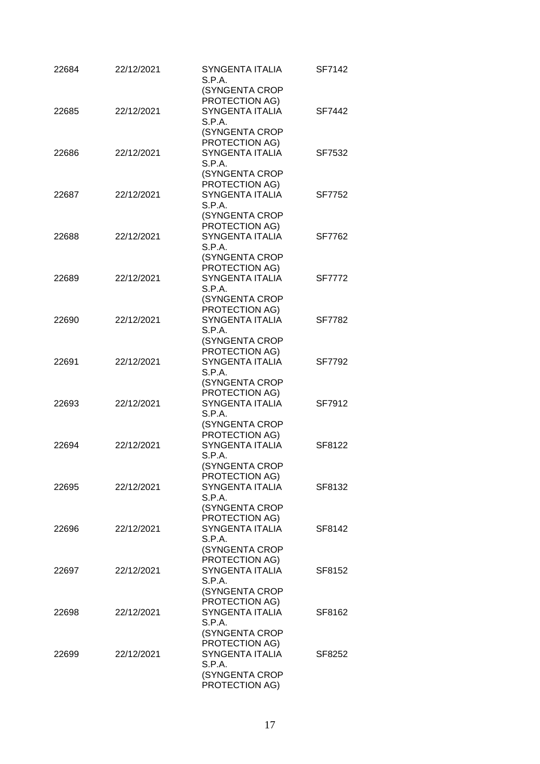| 22684 | 22/12/2021 | <b>SYNGENTA ITALIA</b><br>S.P.A.         | SF7142        |
|-------|------------|------------------------------------------|---------------|
|       |            | (SYNGENTA CROP                           |               |
| 22685 | 22/12/2021 | PROTECTION AG)<br><b>SYNGENTA ITALIA</b> | SF7442        |
|       |            | S.P.A.                                   |               |
|       |            | (SYNGENTA CROP                           |               |
|       |            | PROTECTION AG)                           |               |
| 22686 | 22/12/2021 | <b>SYNGENTA ITALIA</b>                   | SF7532        |
|       |            | S.P.A.                                   |               |
|       |            | (SYNGENTA CROP                           |               |
|       |            | PROTECTION AG)                           |               |
| 22687 | 22/12/2021 | SYNGENTA ITALIA                          | SF7752        |
|       |            | S.P.A.                                   |               |
|       |            | (SYNGENTA CROP                           |               |
|       |            | PROTECTION AG)                           |               |
| 22688 | 22/12/2021 | <b>SYNGENTA ITALIA</b>                   | SF7762        |
|       |            | S.P.A.                                   |               |
|       |            | (SYNGENTA CROP                           |               |
|       |            | PROTECTION AG)                           |               |
| 22689 | 22/12/2021 | <b>SYNGENTA ITALIA</b>                   | <b>SF7772</b> |
|       |            | S.P.A.                                   |               |
|       |            | (SYNGENTA CROP                           |               |
|       |            | PROTECTION AG)                           |               |
| 22690 | 22/12/2021 | <b>SYNGENTA ITALIA</b>                   | <b>SF7782</b> |
|       |            | S.P.A.                                   |               |
|       |            | (SYNGENTA CROP                           |               |
|       |            | PROTECTION AG)                           |               |
| 22691 | 22/12/2021 | <b>SYNGENTA ITALIA</b><br>S.P.A.         | SF7792        |
|       |            | (SYNGENTA CROP                           |               |
|       |            | PROTECTION AG)                           |               |
| 22693 | 22/12/2021 | <b>SYNGENTA ITALIA</b>                   | SF7912        |
|       |            | S.P.A.                                   |               |
|       |            | (SYNGENTA CROP                           |               |
|       |            | PROTECTION AG)                           |               |
| 22694 | 22/12/2021 | SYNGENTA ITALIA                          | SF8122        |
|       |            | S.P.A.                                   |               |
|       |            | (SYNGENTA CROP                           |               |
|       |            | PROTECTION AG)                           |               |
| 22695 | 22/12/2021 | SYNGENTA ITALIA                          | SF8132        |
|       |            | S.P.A.                                   |               |
|       |            | (SYNGENTA CROP                           |               |
|       |            | PROTECTION AG)                           |               |
| 22696 | 22/12/2021 | <b>SYNGENTA ITALIA</b>                   | SF8142        |
|       |            | S.P.A.                                   |               |
|       |            | (SYNGENTA CROP                           |               |
|       |            | PROTECTION AG)                           |               |
| 22697 | 22/12/2021 | <b>SYNGENTA ITALIA</b>                   | SF8152        |
|       |            | S.P.A.                                   |               |
|       |            | (SYNGENTA CROP                           |               |
|       |            | PROTECTION AG)                           |               |
| 22698 | 22/12/2021 | SYNGENTA ITALIA                          | SF8162        |
|       |            | S.P.A.                                   |               |
|       |            | (SYNGENTA CROP<br>PROTECTION AG)         |               |
| 22699 | 22/12/2021 | <b>SYNGENTA ITALIA</b>                   | SF8252        |
|       |            | S.P.A.                                   |               |
|       |            | (SYNGENTA CROP                           |               |
|       |            | PROTECTION AG)                           |               |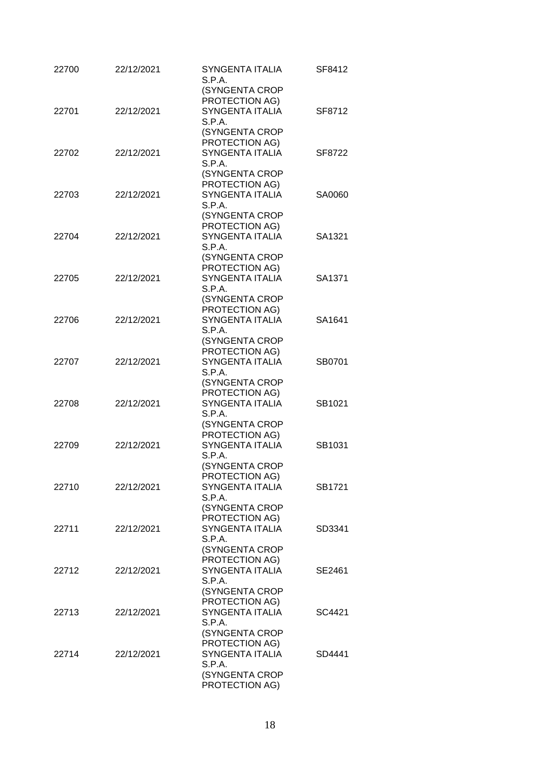| 22700 | 22/12/2021 | <b>SYNGENTA ITALIA</b><br>S.P.A.<br>(SYNGENTA CROP<br>PROTECTION AG)            | SF8412 |
|-------|------------|---------------------------------------------------------------------------------|--------|
| 22701 | 22/12/2021 | <b>SYNGENTA ITALIA</b><br>S.P.A.<br>(SYNGENTA CROP<br>PROTECTION AG)            | SF8712 |
| 22702 | 22/12/2021 | SYNGENTA ITALIA<br>S.P.A.<br>(SYNGENTA CROP                                     | SF8722 |
| 22703 | 22/12/2021 | PROTECTION AG)<br><b>SYNGENTA ITALIA</b><br>S.P.A.<br>(SYNGENTA CROP            | SA0060 |
| 22704 | 22/12/2021 | PROTECTION AG)<br><b>SYNGENTA ITALIA</b><br>S.P.A.                              | SA1321 |
| 22705 | 22/12/2021 | (SYNGENTA CROP<br>PROTECTION AG)<br>SYNGENTA ITALIA<br>S.P.A.<br>(SYNGENTA CROP | SA1371 |
| 22706 | 22/12/2021 | PROTECTION AG)<br><b>SYNGENTA ITALIA</b><br>S.P.A.<br>(SYNGENTA CROP            | SA1641 |
| 22707 | 22/12/2021 | PROTECTION AG)<br><b>SYNGENTA ITALIA</b><br>S.P.A.<br>(SYNGENTA CROP            | SB0701 |
| 22708 | 22/12/2021 | PROTECTION AG)<br><b>SYNGENTA ITALIA</b><br>S.P.A.<br>(SYNGENTA CROP            | SB1021 |
| 22709 | 22/12/2021 | PROTECTION AG)<br>SYNGENTA ITALIA<br>S.P.A.<br>(SYNGENTA CROP                   | SB1031 |
| 22710 | 22/12/2021 | PROTECTION AG)<br><b>SYNGENTA ITALIA</b><br>S.P.A.<br>(SYNGENTA CROP            | SB1721 |
| 22711 | 22/12/2021 | PROTECTION AG)<br>SYNGENTA ITALIA<br>S.P.A.<br>(SYNGENTA CROP                   | SD3341 |
| 22712 | 22/12/2021 | PROTECTION AG)<br>SYNGENTA ITALIA<br>S.P.A.<br>(SYNGENTA CROP                   | SE2461 |
| 22713 | 22/12/2021 | PROTECTION AG)<br><b>SYNGENTA ITALIA</b><br>S.P.A.<br>(SYNGENTA CROP            | SC4421 |
| 22714 | 22/12/2021 | PROTECTION AG)<br>SYNGENTA ITALIA<br>S.P.A.<br>(SYNGENTA CROP<br>PROTECTION AG) | SD4441 |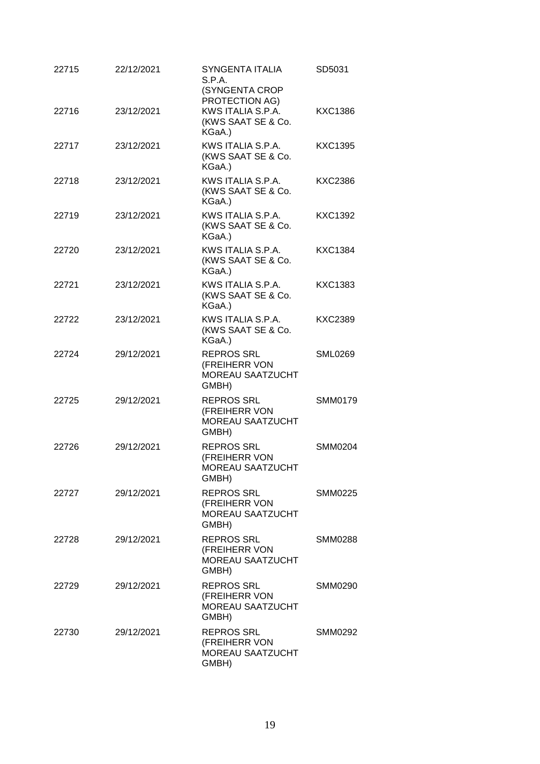| 22715 | 22/12/2021 | SYNGENTA ITALIA<br>S.P.A.<br>(SYNGENTA CROP<br>PROTECTION AG)          | SD5031         |
|-------|------------|------------------------------------------------------------------------|----------------|
| 22716 | 23/12/2021 | KWS ITALIA S.P.A.<br>(KWS SAAT SE & Co.<br>KGaA.)                      | <b>KXC1386</b> |
| 22717 | 23/12/2021 | KWS ITALIA S.P.A.<br>(KWS SAAT SE & Co.<br>KGaA.)                      | <b>KXC1395</b> |
| 22718 | 23/12/2021 | KWS ITALIA S.P.A.<br>(KWS SAAT SE & Co.<br>KGaA.)                      | <b>KXC2386</b> |
| 22719 | 23/12/2021 | KWS ITALIA S.P.A.<br>(KWS SAAT SE & Co.<br>KGaA.)                      | KXC1392        |
| 22720 | 23/12/2021 | KWS ITALIA S.P.A.<br>(KWS SAAT SE & Co.<br>KGaA.)                      | <b>KXC1384</b> |
| 22721 | 23/12/2021 | KWS ITALIA S.P.A.<br>(KWS SAAT SE & Co.<br>KGaA.)                      | KXC1383        |
| 22722 | 23/12/2021 | KWS ITALIA S.P.A.<br>(KWS SAAT SE & Co.<br>KGaA.)                      | KXC2389        |
| 22724 | 29/12/2021 | <b>REPROS SRL</b><br>(FREIHERR VON<br><b>MOREAU SAATZUCHT</b><br>GMBH) | <b>SML0269</b> |
| 22725 | 29/12/2021 | <b>REPROS SRL</b><br>(FREIHERR VON<br><b>MOREAU SAATZUCHT</b><br>GMBH) | SMM0179        |
| 22726 | 29/12/2021 | <b>REPROS SRL</b><br>(FREIHERR VON<br><b>MOREAU SAATZUCHT</b><br>GMBH) | <b>SMM0204</b> |
| 22727 | 29/12/2021 | <b>REPROS SRL</b><br>(FREIHERR VON<br><b>MOREAU SAATZUCHT</b><br>GMBH) | <b>SMM0225</b> |
| 22728 | 29/12/2021 | <b>REPROS SRL</b><br>(FREIHERR VON<br><b>MOREAU SAATZUCHT</b><br>GMBH) | <b>SMM0288</b> |
| 22729 | 29/12/2021 | <b>REPROS SRL</b><br>(FREIHERR VON<br><b>MOREAU SAATZUCHT</b><br>GMBH) | <b>SMM0290</b> |
| 22730 | 29/12/2021 | <b>REPROS SRL</b><br>(FREIHERR VON<br><b>MOREAU SAATZUCHT</b><br>GMBH) | SMM0292        |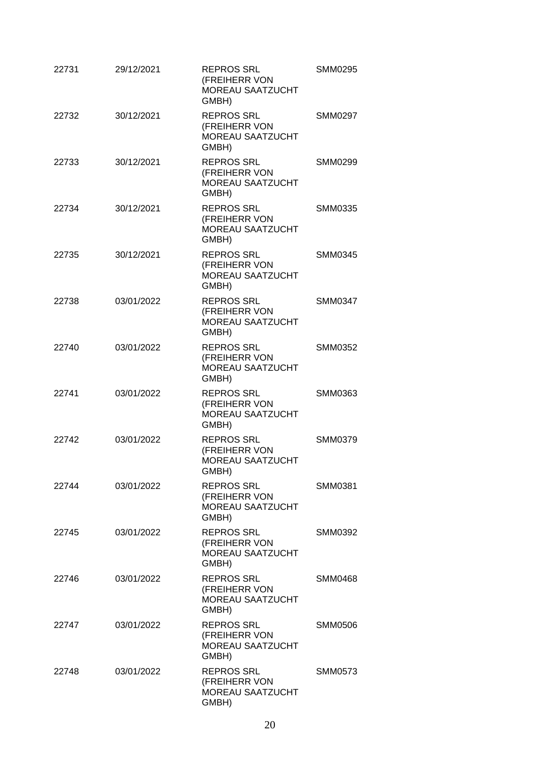| 22731 | 29/12/2021 | <b>REPROS SRL</b><br>(FREIHERR VON<br><b>MOREAU SAATZUCHT</b><br>GMBH) | SMM0295        |
|-------|------------|------------------------------------------------------------------------|----------------|
| 22732 | 30/12/2021 | <b>REPROS SRL</b><br>(FREIHERR VON<br><b>MOREAU SAATZUCHT</b><br>GMBH) | <b>SMM0297</b> |
| 22733 | 30/12/2021 | <b>REPROS SRL</b><br>(FREIHERR VON<br><b>MOREAU SAATZUCHT</b><br>GMBH) | SMM0299        |
| 22734 | 30/12/2021 | <b>REPROS SRL</b><br>(FREIHERR VON<br><b>MOREAU SAATZUCHT</b><br>GMBH) | SMM0335        |
| 22735 | 30/12/2021 | <b>REPROS SRL</b><br>(FREIHERR VON<br><b>MOREAU SAATZUCHT</b><br>GMBH) | <b>SMM0345</b> |
| 22738 | 03/01/2022 | <b>REPROS SRL</b><br>(FREIHERR VON<br><b>MOREAU SAATZUCHT</b><br>GMBH) | <b>SMM0347</b> |
| 22740 | 03/01/2022 | <b>REPROS SRL</b><br>(FREIHERR VON<br><b>MOREAU SAATZUCHT</b><br>GMBH) | <b>SMM0352</b> |
| 22741 | 03/01/2022 | <b>REPROS SRL</b><br>(FREIHERR VON<br><b>MOREAU SAATZUCHT</b><br>GMBH) | SMM0363        |
| 22742 | 03/01/2022 | <b>REPROS SRL</b><br>(FREIHERR VON<br><b>MOREAU SAATZUCHT</b><br>GMBH) | <b>SMM0379</b> |
| 22744 | 03/01/2022 | <b>REPROS SRL</b><br>(FREIHERR VON<br>MOREAU SAATZUCHT<br>GMBH)        | SMM0381        |
| 22745 | 03/01/2022 | <b>REPROS SRL</b><br>(FREIHERR VON<br>MOREAU SAATZUCHT<br>GMBH)        | SMM0392        |
| 22746 | 03/01/2022 | <b>REPROS SRL</b><br>(FREIHERR VON<br><b>MOREAU SAATZUCHT</b><br>GMBH) | <b>SMM0468</b> |
| 22747 | 03/01/2022 | <b>REPROS SRL</b><br>(FREIHERR VON<br><b>MOREAU SAATZUCHT</b><br>GMBH) | <b>SMM0506</b> |
| 22748 | 03/01/2022 | <b>REPROS SRL</b><br>(FREIHERR VON<br><b>MOREAU SAATZUCHT</b><br>GMBH) | SMM0573        |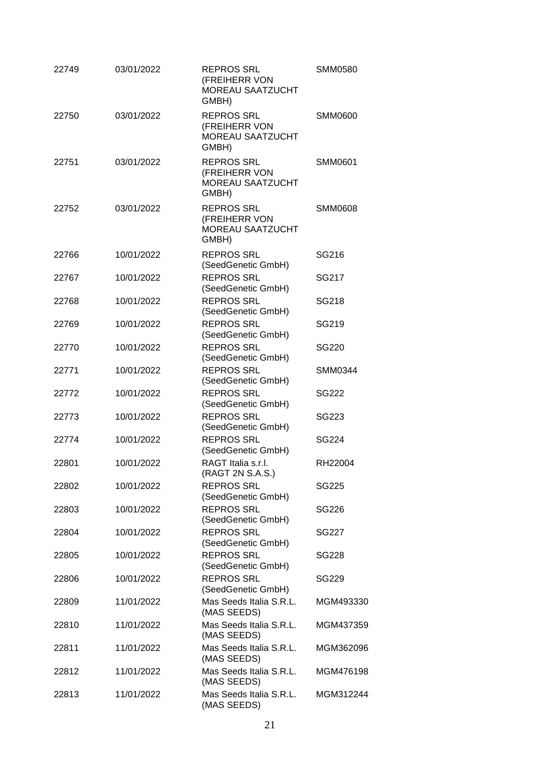| 22749 | 03/01/2022 | <b>REPROS SRL</b><br>(FREIHERR VON<br><b>MOREAU SAATZUCHT</b><br>GMBH) | <b>SMM0580</b> |
|-------|------------|------------------------------------------------------------------------|----------------|
| 22750 | 03/01/2022 | <b>REPROS SRL</b><br>(FREIHERR VON<br><b>MOREAU SAATZUCHT</b><br>GMBH) | <b>SMM0600</b> |
| 22751 | 03/01/2022 | <b>REPROS SRL</b><br>(FREIHERR VON<br><b>MOREAU SAATZUCHT</b><br>GMBH) | <b>SMM0601</b> |
| 22752 | 03/01/2022 | <b>REPROS SRL</b><br>(FREIHERR VON<br><b>MOREAU SAATZUCHT</b><br>GMBH) | <b>SMM0608</b> |
| 22766 | 10/01/2022 | <b>REPROS SRL</b><br>(SeedGenetic GmbH)                                | SG216          |
| 22767 | 10/01/2022 | <b>REPROS SRL</b><br>(SeedGenetic GmbH)                                | SG217          |
| 22768 | 10/01/2022 | <b>REPROS SRL</b><br>(SeedGenetic GmbH)                                | SG218          |
| 22769 | 10/01/2022 | <b>REPROS SRL</b><br>(SeedGenetic GmbH)                                | SG219          |
| 22770 | 10/01/2022 | <b>REPROS SRL</b><br>(SeedGenetic GmbH)                                | SG220          |
| 22771 | 10/01/2022 | <b>REPROS SRL</b><br>(SeedGenetic GmbH)                                | SMM0344        |
| 22772 | 10/01/2022 | <b>REPROS SRL</b><br>(SeedGenetic GmbH)                                | SG222          |
| 22773 | 10/01/2022 | <b>REPROS SRL</b><br>(SeedGenetic GmbH)                                | SG223          |
| 22774 | 10/01/2022 | <b>REPROS SRL</b><br>(SeedGenetic GmbH)                                | <b>SG224</b>   |
| 22801 | 10/01/2022 | RAGT Italia s.r.l.<br>(RAGT 2N S.A.S.)                                 | RH22004        |
| 22802 | 10/01/2022 | <b>REPROS SRL</b><br>(SeedGenetic GmbH)                                | SG225          |
| 22803 | 10/01/2022 | <b>REPROS SRL</b><br>(SeedGenetic GmbH)                                | SG226          |
| 22804 | 10/01/2022 | <b>REPROS SRL</b><br>(SeedGenetic GmbH)                                | SG227          |
| 22805 | 10/01/2022 | <b>REPROS SRL</b><br>(SeedGenetic GmbH)                                | <b>SG228</b>   |
| 22806 | 10/01/2022 | <b>REPROS SRL</b><br>(SeedGenetic GmbH)                                | SG229          |
| 22809 | 11/01/2022 | Mas Seeds Italia S.R.L.<br>(MAS SEEDS)                                 | MGM493330      |
| 22810 | 11/01/2022 | Mas Seeds Italia S.R.L.<br>(MAS SEEDS)                                 | MGM437359      |
| 22811 | 11/01/2022 | Mas Seeds Italia S.R.L.<br>(MAS SEEDS)                                 | MGM362096      |
| 22812 | 11/01/2022 | Mas Seeds Italia S.R.L.<br>(MAS SEEDS)                                 | MGM476198      |
| 22813 | 11/01/2022 | Mas Seeds Italia S.R.L.<br>(MAS SEEDS)                                 | MGM312244      |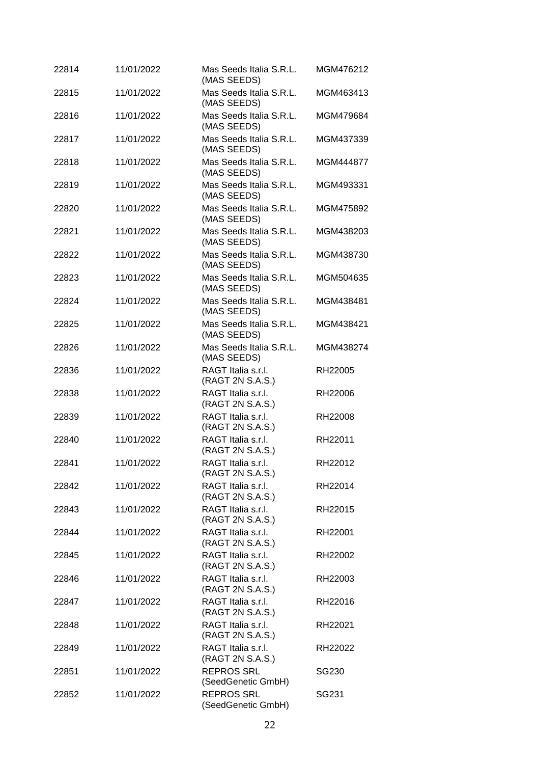| 22814 | 11/01/2022 | Mas Seeds Italia S.R.L.<br>(MAS SEEDS)  | MGM476212 |
|-------|------------|-----------------------------------------|-----------|
| 22815 | 11/01/2022 | Mas Seeds Italia S.R.L.<br>(MAS SEEDS)  | MGM463413 |
| 22816 | 11/01/2022 | Mas Seeds Italia S.R.L.<br>(MAS SEEDS)  | MGM479684 |
| 22817 | 11/01/2022 | Mas Seeds Italia S.R.L.<br>(MAS SEEDS)  | MGM437339 |
| 22818 | 11/01/2022 | Mas Seeds Italia S.R.L.<br>(MAS SEEDS)  | MGM444877 |
| 22819 | 11/01/2022 | Mas Seeds Italia S.R.L.<br>(MAS SEEDS)  | MGM493331 |
| 22820 | 11/01/2022 | Mas Seeds Italia S.R.L.<br>(MAS SEEDS)  | MGM475892 |
| 22821 | 11/01/2022 | Mas Seeds Italia S.R.L.<br>(MAS SEEDS)  | MGM438203 |
| 22822 | 11/01/2022 | Mas Seeds Italia S.R.L.<br>(MAS SEEDS)  | MGM438730 |
| 22823 | 11/01/2022 | Mas Seeds Italia S.R.L.<br>(MAS SEEDS)  | MGM504635 |
| 22824 | 11/01/2022 | Mas Seeds Italia S.R.L.<br>(MAS SEEDS)  | MGM438481 |
| 22825 | 11/01/2022 | Mas Seeds Italia S.R.L.<br>(MAS SEEDS)  | MGM438421 |
| 22826 | 11/01/2022 | Mas Seeds Italia S.R.L.<br>(MAS SEEDS)  | MGM438274 |
| 22836 | 11/01/2022 | RAGT Italia s.r.l.<br>(RAGT 2N S.A.S.)  | RH22005   |
| 22838 | 11/01/2022 | RAGT Italia s.r.l.<br>(RAGT 2N S.A.S.)  | RH22006   |
| 22839 | 11/01/2022 | RAGT Italia s.r.l.<br>(RAGT 2N S.A.S.)  | RH22008   |
| 22840 | 11/01/2022 | RAGT Italia s.r.l.<br>(RAGT 2N S.A.S.)  | RH22011   |
| 22841 | 11/01/2022 | RAGT Italia s.r.l.<br>(RAGT 2N S.A.S.)  | RH22012   |
| 22842 | 11/01/2022 | RAGT Italia s.r.l.<br>(RAGT 2N S.A.S.)  | RH22014   |
| 22843 | 11/01/2022 | RAGT Italia s.r.l.<br>(RAGT 2N S.A.S.)  | RH22015   |
| 22844 | 11/01/2022 | RAGT Italia s.r.l.<br>(RAGT 2N S.A.S.)  | RH22001   |
| 22845 | 11/01/2022 | RAGT Italia s.r.l.<br>(RAGT 2N S.A.S.)  | RH22002   |
| 22846 | 11/01/2022 | RAGT Italia s.r.l.<br>(RAGT 2N S.A.S.)  | RH22003   |
| 22847 | 11/01/2022 | RAGT Italia s.r.l.<br>(RAGT 2N S.A.S.)  | RH22016   |
| 22848 | 11/01/2022 | RAGT Italia s.r.l.<br>(RAGT 2N S.A.S.)  | RH22021   |
| 22849 | 11/01/2022 | RAGT Italia s.r.l.<br>(RAGT 2N S.A.S.)  | RH22022   |
| 22851 | 11/01/2022 | <b>REPROS SRL</b><br>(SeedGenetic GmbH) | SG230     |
| 22852 | 11/01/2022 | <b>REPROS SRL</b><br>(SeedGenetic GmbH) | SG231     |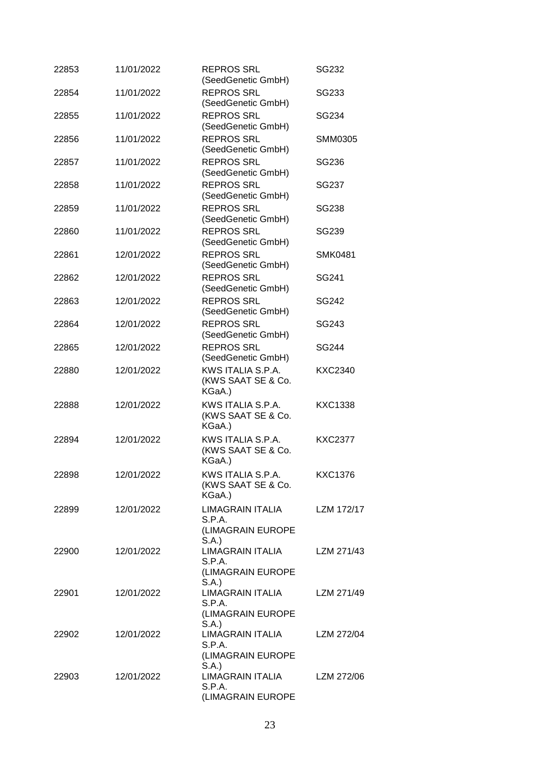| 22853 | 11/01/2022 | <b>REPROS SRL</b><br>(SeedGenetic GmbH)                         | SG232          |
|-------|------------|-----------------------------------------------------------------|----------------|
| 22854 | 11/01/2022 | <b>REPROS SRL</b><br>(SeedGenetic GmbH)                         | SG233          |
| 22855 | 11/01/2022 | <b>REPROS SRL</b><br>(SeedGenetic GmbH)                         | SG234          |
| 22856 | 11/01/2022 | <b>REPROS SRL</b><br>(SeedGenetic GmbH)                         | <b>SMM0305</b> |
| 22857 | 11/01/2022 | <b>REPROS SRL</b><br>(SeedGenetic GmbH)                         | SG236          |
| 22858 | 11/01/2022 | <b>REPROS SRL</b><br>(SeedGenetic GmbH)                         | SG237          |
| 22859 | 11/01/2022 | <b>REPROS SRL</b><br>(SeedGenetic GmbH)                         | SG238          |
| 22860 | 11/01/2022 | <b>REPROS SRL</b><br>(SeedGenetic GmbH)                         | SG239          |
| 22861 | 12/01/2022 | <b>REPROS SRL</b><br>(SeedGenetic GmbH)                         | <b>SMK0481</b> |
| 22862 | 12/01/2022 | <b>REPROS SRL</b><br>(SeedGenetic GmbH)                         | SG241          |
| 22863 | 12/01/2022 | <b>REPROS SRL</b><br>(SeedGenetic GmbH)                         | SG242          |
| 22864 | 12/01/2022 | <b>REPROS SRL</b><br>(SeedGenetic GmbH)                         | SG243          |
| 22865 | 12/01/2022 | <b>REPROS SRL</b><br>(SeedGenetic GmbH)                         | SG244          |
| 22880 | 12/01/2022 | KWS ITALIA S.P.A.<br>(KWS SAAT SE & Co.<br>KGaA.)               | <b>KXC2340</b> |
| 22888 | 12/01/2022 | KWS ITALIA S.P.A.<br>(KWS SAAT SE & Co.<br>KGaA.)               | <b>KXC1338</b> |
| 22894 | 12/01/2022 | KWS ITALIA S.P.A.<br>(KWS SAAT SE & Co.<br>KGaA.)               | <b>KXC2377</b> |
| 22898 | 12/01/2022 | KWS ITALIA S.P.A.<br>(KWS SAAT SE & Co.<br>KGaA.)               | <b>KXC1376</b> |
| 22899 | 12/01/2022 | <b>LIMAGRAIN ITALIA</b><br>S.P.A.<br>(LIMAGRAIN EUROPE<br>S.A.) | LZM 172/17     |
| 22900 | 12/01/2022 | <b>LIMAGRAIN ITALIA</b><br>S.P.A.<br>(LIMAGRAIN EUROPE<br>S.A.  | LZM 271/43     |
| 22901 | 12/01/2022 | <b>LIMAGRAIN ITALIA</b><br>S.P.A.<br>(LIMAGRAIN EUROPE<br>S.A.) | LZM 271/49     |
| 22902 | 12/01/2022 | LIMAGRAIN ITALIA<br>S.P.A.<br>(LIMAGRAIN EUROPE                 | LZM 272/04     |
| 22903 | 12/01/2022 | S.A.)<br>LIMAGRAIN ITALIA<br>S.P.A.<br>(LIMAGRAIN EUROPE        | LZM 272/06     |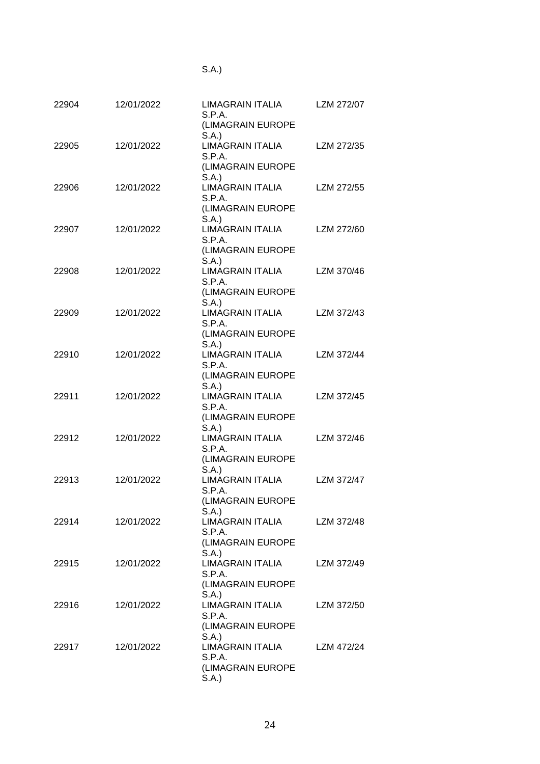| v |
|---|
|---|

| 22904 | 12/01/2022 | LIMAGRAIN ITALIA<br>S.P.A.<br>(LIMAGRAIN EUROPE        | LZM 272/07 |
|-------|------------|--------------------------------------------------------|------------|
| 22905 | 12/01/2022 | S.A.)<br><b>LIMAGRAIN ITALIA</b><br>S.P.A.             | LZM 272/35 |
|       |            | (LIMAGRAIN EUROPE<br>S.A.                              |            |
| 22906 | 12/01/2022 | <b>LIMAGRAIN ITALIA</b><br>S.P.A.<br>(LIMAGRAIN EUROPE | LZM 272/55 |
| 22907 | 12/01/2022 | S.A.<br><b>LIMAGRAIN ITALIA</b><br>S.P.A.              | LZM 272/60 |
|       |            | (LIMAGRAIN EUROPE<br>S.A.                              |            |
| 22908 | 12/01/2022 | <b>LIMAGRAIN ITALIA</b><br>S.P.A.                      | LZM 370/46 |
|       |            | (LIMAGRAIN EUROPE<br>S.A.)                             |            |
| 22909 | 12/01/2022 | <b>LIMAGRAIN ITALIA</b><br>S.P.A.                      | LZM 372/43 |
|       |            | (LIMAGRAIN EUROPE<br>S.A.                              |            |
| 22910 | 12/01/2022 | LIMAGRAIN ITALIA<br>S.P.A.                             | LZM 372/44 |
|       |            | (LIMAGRAIN EUROPE<br>S.A.)                             |            |
| 22911 | 12/01/2022 | <b>LIMAGRAIN ITALIA</b>                                | LZM 372/45 |
|       |            | S.P.A.<br>(LIMAGRAIN EUROPE                            |            |
| 22912 | 12/01/2022 | S.A.)<br><b>LIMAGRAIN ITALIA</b><br>S.P.A.             | LZM 372/46 |
|       |            | (LIMAGRAIN EUROPE                                      |            |
| 22913 | 12/01/2022 | S.A.<br><b>LIMAGRAIN ITALIA</b><br>S.P.A.              | LZM 372/47 |
|       |            | (LIMAGRAIN EUROPE                                      |            |
| 22914 | 12/01/2022 | S.A.)<br>LIMAGRAIN ITALIA<br>S.P.A.                    | LZM 372/48 |
|       |            | (LIMAGRAIN EUROPE                                      |            |
| 22915 | 12/01/2022 | S.A.)<br><b>LIMAGRAIN ITALIA</b><br>S.P.A.             | LZM 372/49 |
|       |            | (LIMAGRAIN EUROPE                                      |            |
| 22916 | 12/01/2022 | S.A.<br><b>LIMAGRAIN ITALIA</b><br>S.P.A.              | LZM 372/50 |
|       |            | (LIMAGRAIN EUROPE                                      |            |
| 22917 | 12/01/2022 | S.A.<br><b>LIMAGRAIN ITALIA</b>                        | LZM 472/24 |
|       |            | S.P.A.<br>(LIMAGRAIN EUROPE<br>S.A.                    |            |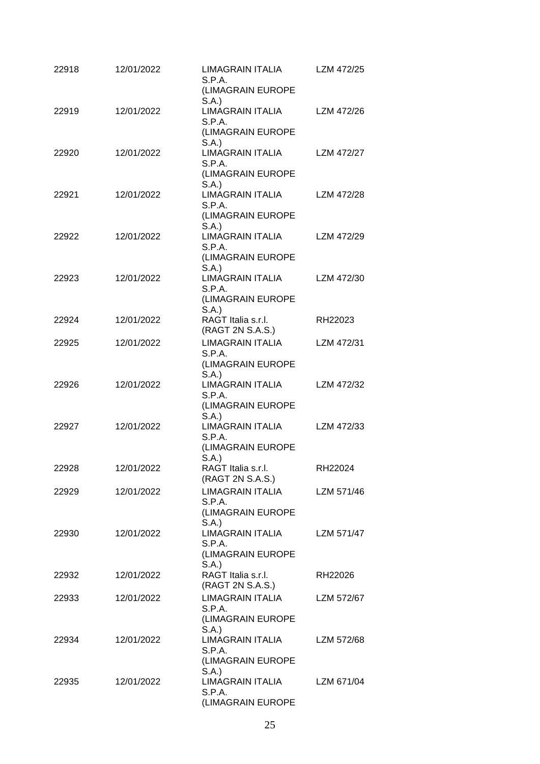| 22918 | 12/01/2022 | LIMAGRAIN ITALIA<br>S.P.A.<br>(LIMAGRAIN EUROPE                               | LZM 472/25 |
|-------|------------|-------------------------------------------------------------------------------|------------|
| 22919 | 12/01/2022 | S.A.<br><b>LIMAGRAIN ITALIA</b><br>S.P.A.<br>(LIMAGRAIN EUROPE                | LZM 472/26 |
| 22920 | 12/01/2022 | S.A.)<br><b>LIMAGRAIN ITALIA</b><br>S.P.A.<br>(LIMAGRAIN EUROPE               | LZM 472/27 |
| 22921 | 12/01/2022 | S.A.<br><b>LIMAGRAIN ITALIA</b><br>S.P.A.<br>(LIMAGRAIN EUROPE                | LZM 472/28 |
| 22922 | 12/01/2022 | S.A.<br><b>LIMAGRAIN ITALIA</b><br>S.P.A.                                     | LZM 472/29 |
| 22923 | 12/01/2022 | (LIMAGRAIN EUROPE<br>S.A.<br><b>LIMAGRAIN ITALIA</b><br>S.P.A.                | LZM 472/30 |
| 22924 | 12/01/2022 | (LIMAGRAIN EUROPE<br>S.A.<br>RAGT Italia s.r.l.<br>(RAGT 2N S.A.S.)           | RH22023    |
| 22925 | 12/01/2022 | <b>LIMAGRAIN ITALIA</b><br>S.P.A.                                             | LZM 472/31 |
| 22926 | 12/01/2022 | (LIMAGRAIN EUROPE<br>S.A.)<br>LIMAGRAIN ITALIA<br>S.P.A.                      | LZM 472/32 |
| 22927 | 12/01/2022 | (LIMAGRAIN EUROPE<br>S.A.<br><b>LIMAGRAIN ITALIA</b><br>S.P.A.                | LZM 472/33 |
| 22928 | 12/01/2022 | (LIMAGRAIN EUROPE<br>S.A.<br>RAGT Italia s.r.l.<br>(RAGT 2N S.A.S.)           | RH22024    |
| 22929 | 12/01/2022 | LIMAGRAIN ITALIA<br>S.P.A.                                                    | LZM 571/46 |
| 22930 | 12/01/2022 | (LIMAGRAIN EUROPE<br>S.A.)<br>LIMAGRAIN ITALIA<br>S.P.A.<br>(LIMAGRAIN EUROPE | LZM 571/47 |
| 22932 | 12/01/2022 | S.A.)<br>RAGT Italia s.r.l.<br>(RAGT 2N S.A.S.)                               | RH22026    |
| 22933 | 12/01/2022 | LIMAGRAIN ITALIA<br>S.P.A.<br>(LIMAGRAIN EUROPE                               | LZM 572/67 |
| 22934 | 12/01/2022 | S.A.<br><b>LIMAGRAIN ITALIA</b><br>S.P.A.<br>(LIMAGRAIN EUROPE                | LZM 572/68 |
| 22935 | 12/01/2022 | S.A.)<br><b>LIMAGRAIN ITALIA</b><br>S.P.A.<br>(LIMAGRAIN EUROPE               | LZM 671/04 |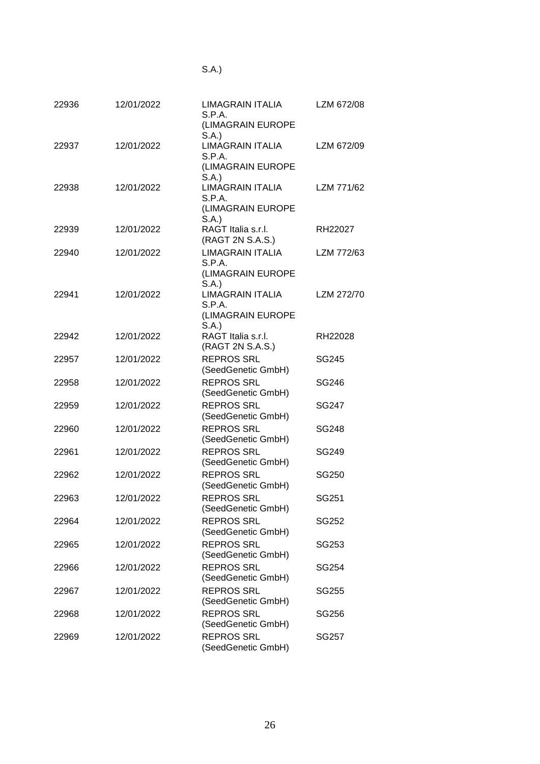| ×<br>v |  |
|--------|--|

| 22936 | 12/01/2022 | LIMAGRAIN ITALIA<br>S.P.A.<br>(LIMAGRAIN EUROPE                 | LZM 672/08   |
|-------|------------|-----------------------------------------------------------------|--------------|
| 22937 | 12/01/2022 | S.A.<br><b>LIMAGRAIN ITALIA</b><br>S.P.A.<br>(LIMAGRAIN EUROPE  | LZM 672/09   |
| 22938 | 12/01/2022 | S.A.)<br><b>LIMAGRAIN ITALIA</b><br>S.P.A.<br>(LIMAGRAIN EUROPE | LZM 771/62   |
| 22939 | 12/01/2022 | S.A.<br>RAGT Italia s.r.l.<br>(RAGT 2N S.A.S.)                  | RH22027      |
| 22940 | 12/01/2022 | <b>LIMAGRAIN ITALIA</b><br>S.P.A.<br>(LIMAGRAIN EUROPE          | LZM 772/63   |
| 22941 | 12/01/2022 | S.A.<br><b>LIMAGRAIN ITALIA</b><br>S.P.A.<br>(LIMAGRAIN EUROPE  | LZM 272/70   |
| 22942 | 12/01/2022 | S.A.<br>RAGT Italia s.r.l.<br>(RAGT 2N S.A.S.)                  | RH22028      |
| 22957 | 12/01/2022 | <b>REPROS SRL</b><br>(SeedGenetic GmbH)                         | <b>SG245</b> |
| 22958 | 12/01/2022 | <b>REPROS SRL</b><br>(SeedGenetic GmbH)                         | SG246        |
| 22959 | 12/01/2022 | <b>REPROS SRL</b><br>(SeedGenetic GmbH)                         | SG247        |
| 22960 | 12/01/2022 | <b>REPROS SRL</b><br>(SeedGenetic GmbH)                         | SG248        |
| 22961 | 12/01/2022 | <b>REPROS SRL</b><br>(SeedGenetic GmbH)                         | SG249        |
| 22962 | 12/01/2022 | <b>REPROS SRL</b><br>(SeedGenetic GmbH)                         | SG250        |
| 22963 | 12/01/2022 | <b>REPROS SRL</b><br>(SeedGenetic GmbH)                         | SG251        |
| 22964 | 12/01/2022 | <b>REPROS SRL</b><br>(SeedGenetic GmbH)                         | SG252        |
| 22965 | 12/01/2022 | <b>REPROS SRL</b><br>(SeedGenetic GmbH)                         | SG253        |
| 22966 | 12/01/2022 | <b>REPROS SRL</b><br>(SeedGenetic GmbH)                         | SG254        |
| 22967 | 12/01/2022 | <b>REPROS SRL</b><br>(SeedGenetic GmbH)                         | SG255        |
| 22968 | 12/01/2022 | <b>REPROS SRL</b><br>(SeedGenetic GmbH)                         | SG256        |
| 22969 | 12/01/2022 | <b>REPROS SRL</b><br>(SeedGenetic GmbH)                         | SG257        |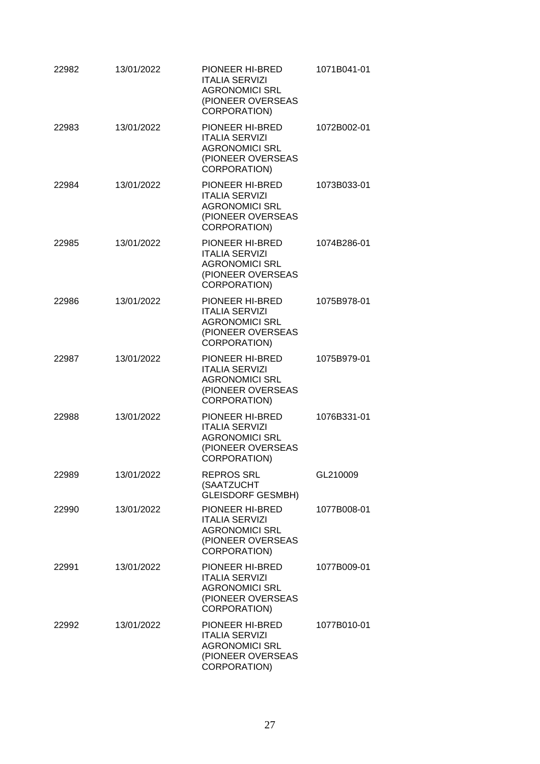| 22982 | 13/01/2022 | PIONEER HI-BRED<br><b>ITALIA SERVIZI</b><br><b>AGRONOMICI SRL</b><br>(PIONEER OVERSEAS<br>CORPORATION)        | 1071B041-01 |
|-------|------------|---------------------------------------------------------------------------------------------------------------|-------------|
| 22983 | 13/01/2022 | PIONEER HI-BRED<br><b>ITALIA SERVIZI</b><br><b>AGRONOMICI SRL</b><br>(PIONEER OVERSEAS<br><b>CORPORATION)</b> | 1072B002-01 |
| 22984 | 13/01/2022 | PIONEER HI-BRED<br><b>ITALIA SERVIZI</b><br><b>AGRONOMICI SRL</b><br>(PIONEER OVERSEAS<br>CORPORATION)        | 1073B033-01 |
| 22985 | 13/01/2022 | PIONEER HI-BRED<br><b>ITALIA SERVIZI</b><br><b>AGRONOMICI SRL</b><br>(PIONEER OVERSEAS<br>CORPORATION)        | 1074B286-01 |
| 22986 | 13/01/2022 | PIONEER HI-BRED<br><b>ITALIA SERVIZI</b><br><b>AGRONOMICI SRL</b><br>(PIONEER OVERSEAS<br>CORPORATION)        | 1075B978-01 |
| 22987 | 13/01/2022 | PIONEER HI-BRED<br><b>ITALIA SERVIZI</b><br><b>AGRONOMICI SRL</b><br>(PIONEER OVERSEAS<br>CORPORATION)        | 1075B979-01 |
| 22988 | 13/01/2022 | PIONEER HI-BRED<br><b>ITALIA SERVIZI</b><br><b>AGRONOMICI SRL</b><br>(PIONEER OVERSEAS<br>CORPORATION)        | 1076B331-01 |
| 22989 | 13/01/2022 | <b>REPROS SRL</b><br>(SAATZUCHT<br><b>GLEISDORF GESMBH)</b>                                                   | GL210009    |
| 22990 | 13/01/2022 | PIONEER HI-BRED<br><b>ITALIA SERVIZI</b><br><b>AGRONOMICI SRL</b><br>(PIONEER OVERSEAS<br><b>CORPORATION)</b> | 1077B008-01 |
| 22991 | 13/01/2022 | PIONEER HI-BRED<br><b>ITALIA SERVIZI</b><br><b>AGRONOMICI SRL</b><br>(PIONEER OVERSEAS<br>CORPORATION)        | 1077B009-01 |
| 22992 | 13/01/2022 | PIONEER HI-BRED<br><b>ITALIA SERVIZI</b><br><b>AGRONOMICI SRL</b><br>(PIONEER OVERSEAS<br>CORPORATION)        | 1077B010-01 |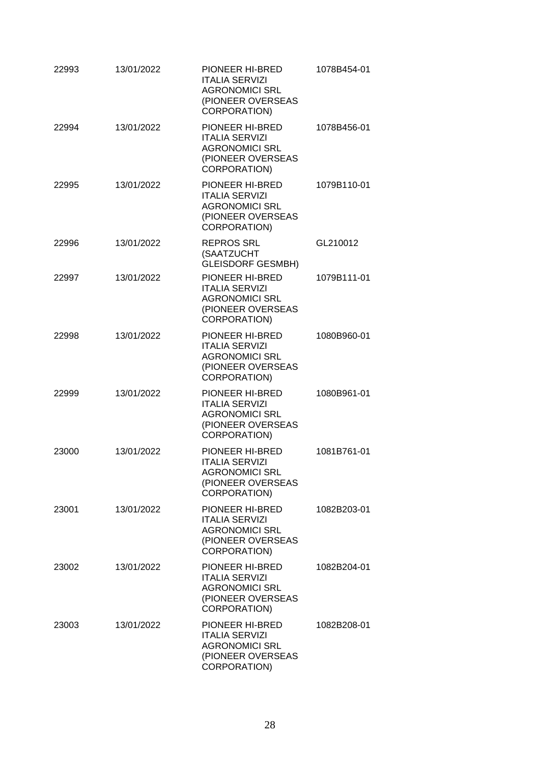| 22993 | 13/01/2022 | PIONEER HI-BRED<br><b>ITALIA SERVIZI</b><br><b>AGRONOMICI SRL</b><br>(PIONEER OVERSEAS<br>CORPORATION)        | 1078B454-01 |
|-------|------------|---------------------------------------------------------------------------------------------------------------|-------------|
| 22994 | 13/01/2022 | PIONEER HI-BRED<br><b>ITALIA SERVIZI</b><br><b>AGRONOMICI SRL</b><br>(PIONEER OVERSEAS<br>CORPORATION)        | 1078B456-01 |
| 22995 | 13/01/2022 | PIONEER HI-BRED<br><b>ITALIA SERVIZI</b><br><b>AGRONOMICI SRL</b><br>(PIONEER OVERSEAS<br>CORPORATION)        | 1079B110-01 |
| 22996 | 13/01/2022 | <b>REPROS SRL</b><br>(SAATZUCHT<br>GLEISDORF GESMBH)                                                          | GL210012    |
| 22997 | 13/01/2022 | PIONEER HI-BRED<br><b>ITALIA SERVIZI</b><br><b>AGRONOMICI SRL</b><br>(PIONEER OVERSEAS<br><b>CORPORATION)</b> | 1079B111-01 |
| 22998 | 13/01/2022 | PIONEER HI-BRED<br><b>ITALIA SERVIZI</b><br><b>AGRONOMICI SRL</b><br>(PIONEER OVERSEAS<br>CORPORATION)        | 1080B960-01 |
| 22999 | 13/01/2022 | PIONEER HI-BRED<br><b>ITALIA SERVIZI</b><br><b>AGRONOMICI SRL</b><br>(PIONEER OVERSEAS<br>CORPORATION)        | 1080B961-01 |
| 23000 | 13/01/2022 | <b>PIONEER HI-BRED</b><br><b>ITALIA SERVIZI</b><br><b>AGRONOMICI SRL</b><br>(PIONEER OVERSEAS<br>CORPORATION) | 1081B761-01 |
| 23001 | 13/01/2022 | PIONEER HI-BRED<br><b>ITALIA SERVIZI</b><br><b>AGRONOMICI SRL</b><br>(PIONEER OVERSEAS<br>CORPORATION)        | 1082B203-01 |
| 23002 | 13/01/2022 | PIONEER HI-BRED<br><b>ITALIA SERVIZI</b><br><b>AGRONOMICI SRL</b><br>(PIONEER OVERSEAS<br>CORPORATION)        | 1082B204-01 |
| 23003 | 13/01/2022 | PIONEER HI-BRED<br><b>ITALIA SERVIZI</b><br><b>AGRONOMICI SRL</b><br>(PIONEER OVERSEAS<br>CORPORATION)        | 1082B208-01 |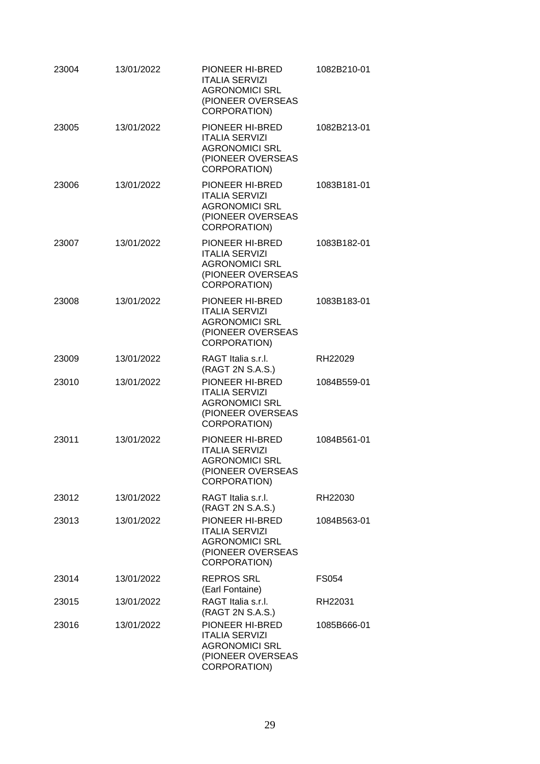| 23004 | 13/01/2022 | PIONEER HI-BRED<br><b>ITALIA SERVIZI</b><br><b>AGRONOMICI SRL</b><br>(PIONEER OVERSEAS<br>CORPORATION)        | 1082B210-01 |
|-------|------------|---------------------------------------------------------------------------------------------------------------|-------------|
| 23005 | 13/01/2022 | PIONEER HI-BRED<br><b>ITALIA SERVIZI</b><br><b>AGRONOMICI SRL</b><br>(PIONEER OVERSEAS<br>CORPORATION)        | 1082B213-01 |
| 23006 | 13/01/2022 | PIONEER HI-BRED<br><b>ITALIA SERVIZI</b><br><b>AGRONOMICI SRL</b><br>(PIONEER OVERSEAS<br>CORPORATION)        | 1083B181-01 |
| 23007 | 13/01/2022 | PIONEER HI-BRED<br><b>ITALIA SERVIZI</b><br><b>AGRONOMICI SRL</b><br>(PIONEER OVERSEAS<br>CORPORATION)        | 1083B182-01 |
| 23008 | 13/01/2022 | PIONEER HI-BRED<br><b>ITALIA SERVIZI</b><br><b>AGRONOMICI SRL</b><br>(PIONEER OVERSEAS<br>CORPORATION)        | 1083B183-01 |
| 23009 | 13/01/2022 | RAGT Italia s.r.l.<br>(RAGT 2N S.A.S.)                                                                        | RH22029     |
| 23010 | 13/01/2022 | PIONEER HI-BRED<br><b>ITALIA SERVIZI</b><br><b>AGRONOMICI SRL</b><br>(PIONEER OVERSEAS<br>CORPORATION)        | 1084B559-01 |
| 23011 | 13/01/2022 | PIONEER HI-BRED<br><b>ITALIA SERVIZI</b><br><b>AGRONOMICI SRL</b><br>(PIONEER OVERSEAS<br><b>CORPORATION)</b> | 1084B561-01 |
| 23012 | 13/01/2022 | RAGT Italia s.r.l.<br>(RAGT 2N S.A.S.)                                                                        | RH22030     |
| 23013 | 13/01/2022 | PIONEER HI-BRED<br><b>ITALIA SERVIZI</b><br><b>AGRONOMICI SRL</b><br>(PIONEER OVERSEAS<br>CORPORATION)        | 1084B563-01 |
| 23014 | 13/01/2022 | <b>REPROS SRL</b><br>(Earl Fontaine)                                                                          | FS054       |
| 23015 | 13/01/2022 | RAGT Italia s.r.l.<br>(RAGT 2N S.A.S.)                                                                        | RH22031     |
| 23016 | 13/01/2022 | PIONEER HI-BRED<br><b>ITALIA SERVIZI</b><br><b>AGRONOMICI SRL</b><br>(PIONEER OVERSEAS<br>CORPORATION)        | 1085B666-01 |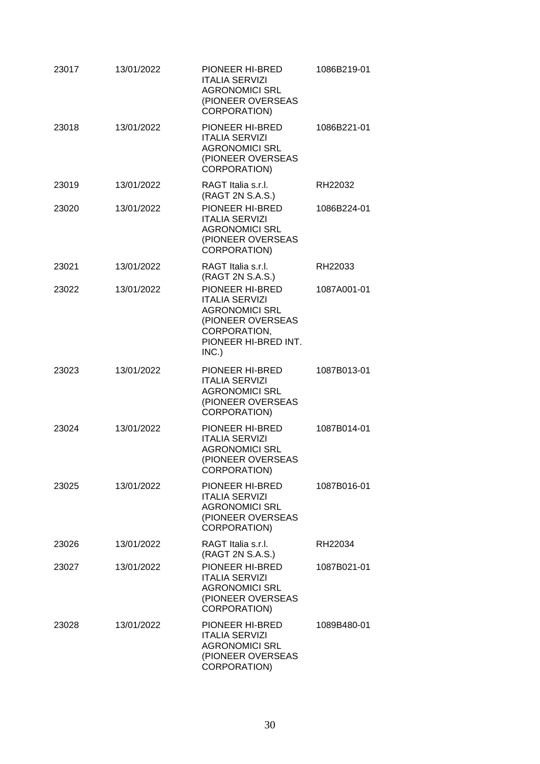| 23017 | 13/01/2022 | PIONEER HI-BRED<br><b>ITALIA SERVIZI</b><br><b>AGRONOMICI SRL</b><br>(PIONEER OVERSEAS<br>CORPORATION)                                  | 1086B219-01 |
|-------|------------|-----------------------------------------------------------------------------------------------------------------------------------------|-------------|
| 23018 | 13/01/2022 | PIONEER HI-BRED<br><b>ITALIA SERVIZI</b><br><b>AGRONOMICI SRL</b><br>(PIONEER OVERSEAS<br>CORPORATION)                                  | 1086B221-01 |
| 23019 | 13/01/2022 | RAGT Italia s.r.l.<br>(RAGT 2N S.A.S.)                                                                                                  | RH22032     |
| 23020 | 13/01/2022 | PIONEER HI-BRED<br><b>ITALIA SERVIZI</b><br><b>AGRONOMICI SRL</b><br>(PIONEER OVERSEAS<br>CORPORATION)                                  | 1086B224-01 |
| 23021 | 13/01/2022 | RAGT Italia s.r.l.<br>(RAGT 2N S.A.S.)                                                                                                  | RH22033     |
| 23022 | 13/01/2022 | PIONEER HI-BRED<br><b>ITALIA SERVIZI</b><br><b>AGRONOMICI SRL</b><br>(PIONEER OVERSEAS<br>CORPORATION,<br>PIONEER HI-BRED INT.<br>INC.) | 1087A001-01 |
| 23023 | 13/01/2022 | PIONEER HI-BRED<br><b>ITALIA SERVIZI</b><br><b>AGRONOMICI SRL</b><br>(PIONEER OVERSEAS<br>CORPORATION)                                  | 1087B013-01 |
| 23024 | 13/01/2022 | PIONEER HI-BRED<br><b>ITALIA SERVIZI</b><br><b>AGRONOMICI SRL</b><br>(PIONEER OVERSEAS<br>CORPORATION)                                  | 1087B014-01 |
| 23025 | 13/01/2022 | PIONEER HI-BRED<br><b>ITALIA SERVIZI</b><br><b>AGRONOMICI SRL</b><br>(PIONEER OVERSEAS<br>CORPORATION)                                  | 1087B016-01 |
| 23026 | 13/01/2022 | RAGT Italia s.r.l.<br>(RAGT 2N S.A.S.)                                                                                                  | RH22034     |
| 23027 | 13/01/2022 | PIONEER HI-BRED<br><b>ITALIA SERVIZI</b><br><b>AGRONOMICI SRL</b><br>(PIONEER OVERSEAS<br>CORPORATION)                                  | 1087B021-01 |
| 23028 | 13/01/2022 | PIONEER HI-BRED<br><b>ITALIA SERVIZI</b><br><b>AGRONOMICI SRL</b><br>(PIONEER OVERSEAS<br>CORPORATION)                                  | 1089B480-01 |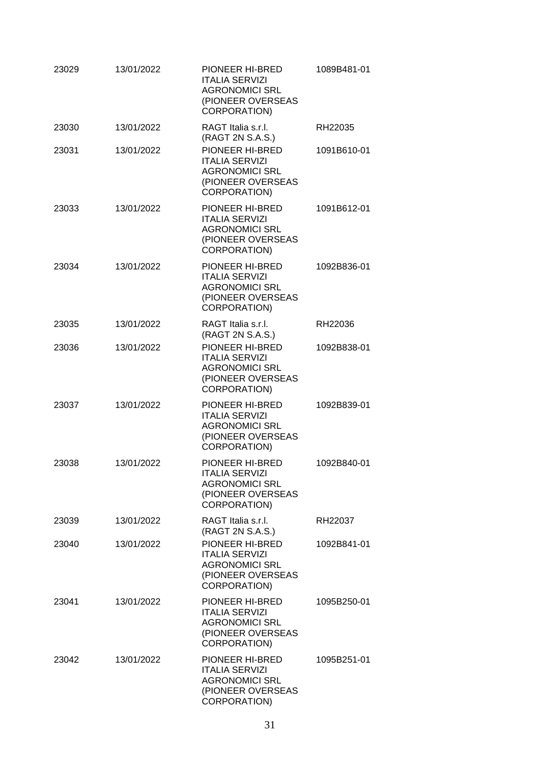| 23029 | 13/01/2022 | PIONEER HI-BRED<br><b>ITALIA SERVIZI</b><br><b>AGRONOMICI SRL</b><br>(PIONEER OVERSEAS<br>CORPORATION)        | 1089B481-01 |
|-------|------------|---------------------------------------------------------------------------------------------------------------|-------------|
| 23030 | 13/01/2022 | RAGT Italia s.r.l.<br>(RAGT 2N S.A.S.)                                                                        | RH22035     |
| 23031 | 13/01/2022 | PIONEER HI-BRED<br><b>ITALIA SERVIZI</b><br><b>AGRONOMICI SRL</b><br>(PIONEER OVERSEAS<br><b>CORPORATION)</b> | 1091B610-01 |
| 23033 | 13/01/2022 | PIONEER HI-BRED<br><b>ITALIA SERVIZI</b><br><b>AGRONOMICI SRL</b><br>(PIONEER OVERSEAS<br><b>CORPORATION)</b> | 1091B612-01 |
| 23034 | 13/01/2022 | PIONEER HI-BRED<br><b>ITALIA SERVIZI</b><br><b>AGRONOMICI SRL</b><br>(PIONEER OVERSEAS<br><b>CORPORATION)</b> | 1092B836-01 |
| 23035 | 13/01/2022 | RAGT Italia s.r.l.<br>(RAGT 2N S.A.S.)                                                                        | RH22036     |
| 23036 | 13/01/2022 | PIONEER HI-BRED<br><b>ITALIA SERVIZI</b><br><b>AGRONOMICI SRL</b><br>(PIONEER OVERSEAS<br><b>CORPORATION)</b> | 1092B838-01 |
| 23037 | 13/01/2022 | PIONEER HI-BRED<br><b>ITALIA SERVIZI</b><br><b>AGRONOMICI SRL</b><br>(PIONEER OVERSEAS<br>CORPORATION)        | 1092B839-01 |
| 23038 | 13/01/2022 | <b>PIONEER HI-BRED</b><br><b>ITALIA SERVIZI</b><br><b>AGRONOMICI SRL</b><br>(PIONEER OVERSEAS<br>CORPORATION) | 1092B840-01 |
| 23039 | 13/01/2022 | RAGT Italia s.r.l.<br>(RAGT 2N S.A.S.)                                                                        | RH22037     |
| 23040 | 13/01/2022 | PIONEER HI-BRED<br><b>ITALIA SERVIZI</b><br><b>AGRONOMICI SRL</b><br>(PIONEER OVERSEAS<br>CORPORATION)        | 1092B841-01 |
| 23041 | 13/01/2022 | PIONEER HI-BRED<br><b>ITALIA SERVIZI</b><br><b>AGRONOMICI SRL</b><br>(PIONEER OVERSEAS<br>CORPORATION)        | 1095B250-01 |
| 23042 | 13/01/2022 | PIONEER HI-BRED<br><b>ITALIA SERVIZI</b><br><b>AGRONOMICI SRL</b><br>(PIONEER OVERSEAS<br>CORPORATION)        | 1095B251-01 |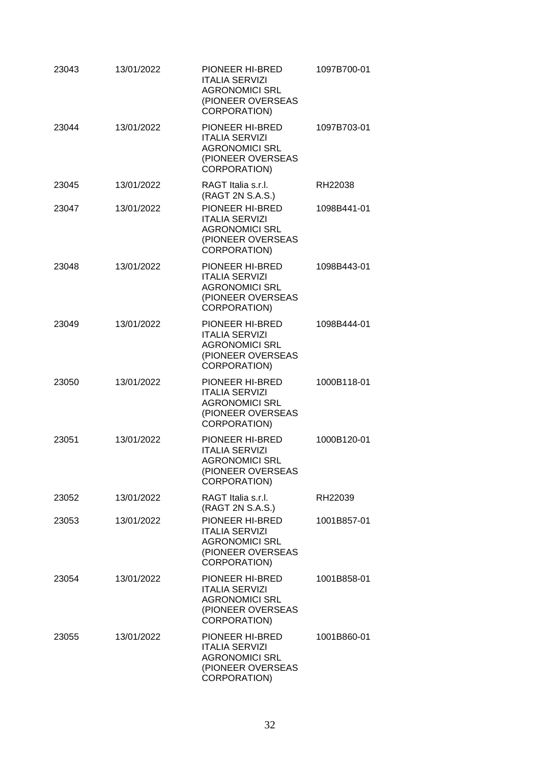| 23043 | 13/01/2022 | PIONEER HI-BRED<br><b>ITALIA SERVIZI</b><br><b>AGRONOMICI SRL</b><br>(PIONEER OVERSEAS<br><b>CORPORATION)</b> | 1097B700-01 |
|-------|------------|---------------------------------------------------------------------------------------------------------------|-------------|
| 23044 | 13/01/2022 | PIONEER HI-BRED<br><b>ITALIA SERVIZI</b><br><b>AGRONOMICI SRL</b><br>(PIONEER OVERSEAS<br>CORPORATION)        | 1097B703-01 |
| 23045 | 13/01/2022 | RAGT Italia s.r.l.<br>(RAGT 2N S.A.S.)                                                                        | RH22038     |
| 23047 | 13/01/2022 | PIONEER HI-BRED<br><b>ITALIA SERVIZI</b><br><b>AGRONOMICI SRL</b><br>(PIONEER OVERSEAS<br><b>CORPORATION)</b> | 1098B441-01 |
| 23048 | 13/01/2022 | PIONEER HI-BRED<br><b>ITALIA SERVIZI</b><br><b>AGRONOMICI SRL</b><br>(PIONEER OVERSEAS<br><b>CORPORATION)</b> | 1098B443-01 |
| 23049 | 13/01/2022 | PIONEER HI-BRED<br><b>ITALIA SERVIZI</b><br><b>AGRONOMICI SRL</b><br>(PIONEER OVERSEAS<br>CORPORATION)        | 1098B444-01 |
| 23050 | 13/01/2022 | PIONEER HI-BRED<br><b>ITALIA SERVIZI</b><br><b>AGRONOMICI SRL</b><br>(PIONEER OVERSEAS<br><b>CORPORATION)</b> | 1000B118-01 |
| 23051 | 13/01/2022 | PIONEER HI-BRED<br><b>ITALIA SERVIZI</b><br><b>AGRONOMICI SRL</b><br>(PIONEER OVERSEAS<br>CORPORATION)        | 1000B120-01 |
| 23052 | 13/01/2022 | RAGT Italia s.r.l.<br>(RAGT 2N S.A.S.)                                                                        | RH22039     |
| 23053 | 13/01/2022 | PIONEER HI-BRED<br><b>ITALIA SERVIZI</b><br><b>AGRONOMICI SRL</b><br>(PIONEER OVERSEAS<br>CORPORATION)        | 1001B857-01 |
| 23054 | 13/01/2022 | PIONEER HI-BRED<br><b>ITALIA SERVIZI</b><br><b>AGRONOMICI SRL</b><br>(PIONEER OVERSEAS<br>CORPORATION)        | 1001B858-01 |
| 23055 | 13/01/2022 | PIONEER HI-BRED<br><b>ITALIA SERVIZI</b><br><b>AGRONOMICI SRL</b><br>(PIONEER OVERSEAS<br>CORPORATION)        | 1001B860-01 |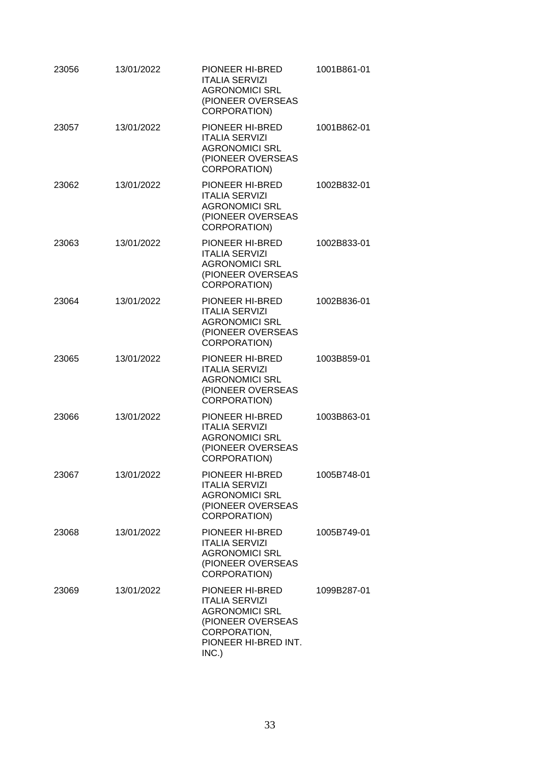| 23056 | 13/01/2022 | PIONEER HI-BRED<br><b>ITALIA SERVIZI</b><br><b>AGRONOMICI SRL</b><br>(PIONEER OVERSEAS<br><b>CORPORATION)</b>                           | 1001B861-01 |
|-------|------------|-----------------------------------------------------------------------------------------------------------------------------------------|-------------|
| 23057 | 13/01/2022 | PIONEER HI-BRED<br><b>ITALIA SERVIZI</b><br><b>AGRONOMICI SRL</b><br>(PIONEER OVERSEAS<br><b>CORPORATION)</b>                           | 1001B862-01 |
| 23062 | 13/01/2022 | PIONEER HI-BRED<br><b>ITALIA SERVIZI</b><br><b>AGRONOMICI SRL</b><br>(PIONEER OVERSEAS<br><b>CORPORATION)</b>                           | 1002B832-01 |
| 23063 | 13/01/2022 | PIONEER HI-BRED<br><b>ITALIA SERVIZI</b><br><b>AGRONOMICI SRL</b><br>(PIONEER OVERSEAS<br><b>CORPORATION)</b>                           | 1002B833-01 |
| 23064 | 13/01/2022 | PIONEER HI-BRED<br><b>ITALIA SERVIZI</b><br><b>AGRONOMICI SRL</b><br>(PIONEER OVERSEAS<br><b>CORPORATION)</b>                           | 1002B836-01 |
| 23065 | 13/01/2022 | PIONEER HI-BRED<br><b>ITALIA SERVIZI</b><br><b>AGRONOMICI SRL</b><br>(PIONEER OVERSEAS<br>CORPORATION)                                  | 1003B859-01 |
| 23066 | 13/01/2022 | PIONEER HI-BRED<br><b>ITALIA SERVIZI</b><br><b>AGRONOMICI SRL</b><br>(PIONEER OVERSEAS<br>CORPORATION)                                  | 1003B863-01 |
| 23067 | 13/01/2022 | PIONEER HI-BRED<br><b>ITALIA SERVIZI</b><br><b>AGRONOMICI SRL</b><br>(PIONEER OVERSEAS<br>CORPORATION)                                  | 1005B748-01 |
| 23068 | 13/01/2022 | PIONEER HI-BRED<br><b>ITALIA SERVIZI</b><br><b>AGRONOMICI SRL</b><br>(PIONEER OVERSEAS<br><b>CORPORATION)</b>                           | 1005B749-01 |
| 23069 | 13/01/2022 | PIONEER HI-BRED<br><b>ITALIA SERVIZI</b><br><b>AGRONOMICI SRL</b><br>(PIONEER OVERSEAS<br>CORPORATION,<br>PIONEER HI-BRED INT.<br>INC.) | 1099B287-01 |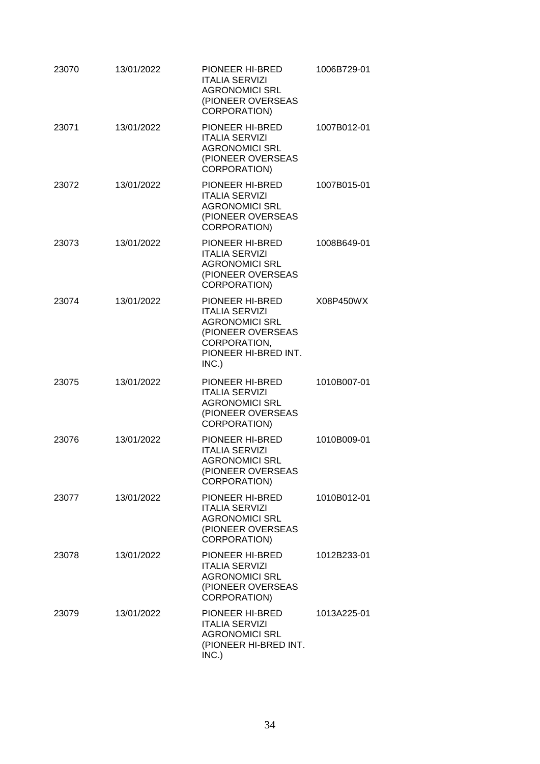| 23070 | 13/01/2022 | PIONEER HI-BRED<br><b>ITALIA SERVIZI</b><br><b>AGRONOMICI SRL</b><br>(PIONEER OVERSEAS<br>CORPORATION)                                  | 1006B729-01 |
|-------|------------|-----------------------------------------------------------------------------------------------------------------------------------------|-------------|
| 23071 | 13/01/2022 | PIONEER HI-BRED<br><b>ITALIA SERVIZI</b><br><b>AGRONOMICI SRL</b><br>(PIONEER OVERSEAS<br><b>CORPORATION)</b>                           | 1007B012-01 |
| 23072 | 13/01/2022 | PIONEER HI-BRED<br><b>ITALIA SERVIZI</b><br><b>AGRONOMICI SRL</b><br>(PIONEER OVERSEAS<br>CORPORATION)                                  | 1007B015-01 |
| 23073 | 13/01/2022 | PIONEER HI-BRED<br><b>ITALIA SERVIZI</b><br><b>AGRONOMICI SRL</b><br>(PIONEER OVERSEAS<br><b>CORPORATION)</b>                           | 1008B649-01 |
| 23074 | 13/01/2022 | PIONEER HI-BRED<br><b>ITALIA SERVIZI</b><br><b>AGRONOMICI SRL</b><br>(PIONEER OVERSEAS<br>CORPORATION,<br>PIONEER HI-BRED INT.<br>INC.) | X08P450WX   |
| 23075 | 13/01/2022 | PIONEER HI-BRED<br><b>ITALIA SERVIZI</b><br><b>AGRONOMICI SRL</b><br>(PIONEER OVERSEAS<br>CORPORATION)                                  | 1010B007-01 |
| 23076 | 13/01/2022 | PIONEER HI-BRED<br><b>ITALIA SERVIZI</b><br><b>AGRONOMICI SRL</b><br>(PIONEER OVERSEAS<br>CORPORATION)                                  | 1010B009-01 |
| 23077 | 13/01/2022 | PIONEER HI-BRED<br><b>ITALIA SERVIZI</b><br><b>AGRONOMICI SRL</b><br>(PIONEER OVERSEAS<br>CORPORATION)                                  | 1010B012-01 |
| 23078 | 13/01/2022 | PIONEER HI-BRED<br><b>ITALIA SERVIZI</b><br><b>AGRONOMICI SRL</b><br>(PIONEER OVERSEAS<br>CORPORATION)                                  | 1012B233-01 |
| 23079 | 13/01/2022 | PIONEER HI-BRED<br><b>ITALIA SERVIZI</b><br><b>AGRONOMICI SRL</b><br>(PIONEER HI-BRED INT.<br>INC.)                                     | 1013A225-01 |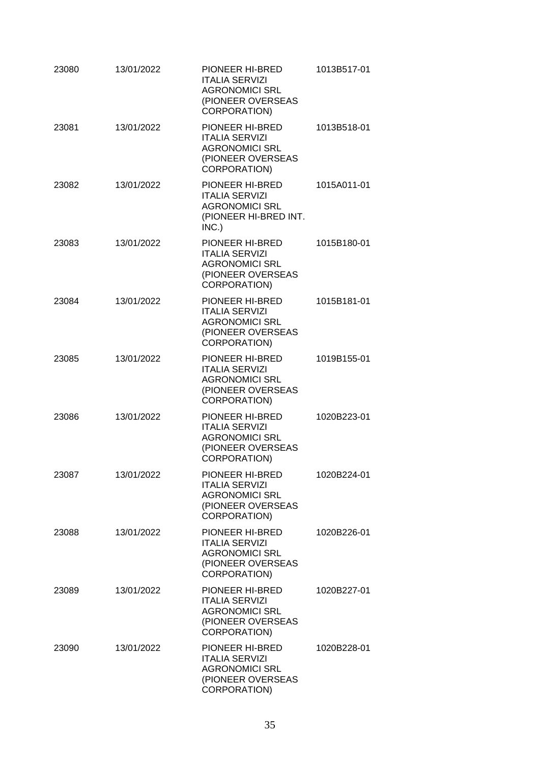| 23080 | 13/01/2022 | PIONEER HI-BRED<br><b>ITALIA SERVIZI</b><br><b>AGRONOMICI SRL</b><br>(PIONEER OVERSEAS<br>CORPORATION)        | 1013B517-01 |
|-------|------------|---------------------------------------------------------------------------------------------------------------|-------------|
| 23081 | 13/01/2022 | PIONEER HI-BRED<br><b>ITALIA SERVIZI</b><br><b>AGRONOMICI SRL</b><br>(PIONEER OVERSEAS<br>CORPORATION)        | 1013B518-01 |
| 23082 | 13/01/2022 | PIONEER HI-BRED<br><b>ITALIA SERVIZI</b><br><b>AGRONOMICI SRL</b><br>(PIONEER HI-BRED INT.<br>INC.)           | 1015A011-01 |
| 23083 | 13/01/2022 | PIONEER HI-BRED<br><b>ITALIA SERVIZI</b><br><b>AGRONOMICI SRL</b><br>(PIONEER OVERSEAS<br><b>CORPORATION)</b> | 1015B180-01 |
| 23084 | 13/01/2022 | PIONEER HI-BRED<br><b>ITALIA SERVIZI</b><br><b>AGRONOMICI SRL</b><br>(PIONEER OVERSEAS<br>CORPORATION)        | 1015B181-01 |
| 23085 | 13/01/2022 | <b>PIONEER HI-BRED</b><br><b>ITALIA SERVIZI</b><br><b>AGRONOMICI SRL</b><br>(PIONEER OVERSEAS<br>CORPORATION) | 1019B155-01 |
| 23086 | 13/01/2022 | PIONEER HI-BRED<br><b>ITALIA SERVIZI</b><br><b>AGRONOMICI SRL</b><br>(PIONEER OVERSEAS<br>CORPORATION)        | 1020B223-01 |
| 23087 | 13/01/2022 | PIONEER HI-BRED<br><b>ITALIA SERVIZI</b><br><b>AGRONOMICI SRL</b><br>(PIONEER OVERSEAS<br>CORPORATION)        | 1020B224-01 |
| 23088 | 13/01/2022 | PIONEER HI-BRED<br><b>ITALIA SERVIZI</b><br><b>AGRONOMICI SRL</b><br>(PIONEER OVERSEAS<br>CORPORATION)        | 1020B226-01 |
| 23089 | 13/01/2022 | PIONEER HI-BRED<br><b>ITALIA SERVIZI</b><br><b>AGRONOMICI SRL</b><br>(PIONEER OVERSEAS<br>CORPORATION)        | 1020B227-01 |
| 23090 | 13/01/2022 | PIONEER HI-BRED<br><b>ITALIA SERVIZI</b><br><b>AGRONOMICI SRL</b><br>(PIONEER OVERSEAS<br>CORPORATION)        | 1020B228-01 |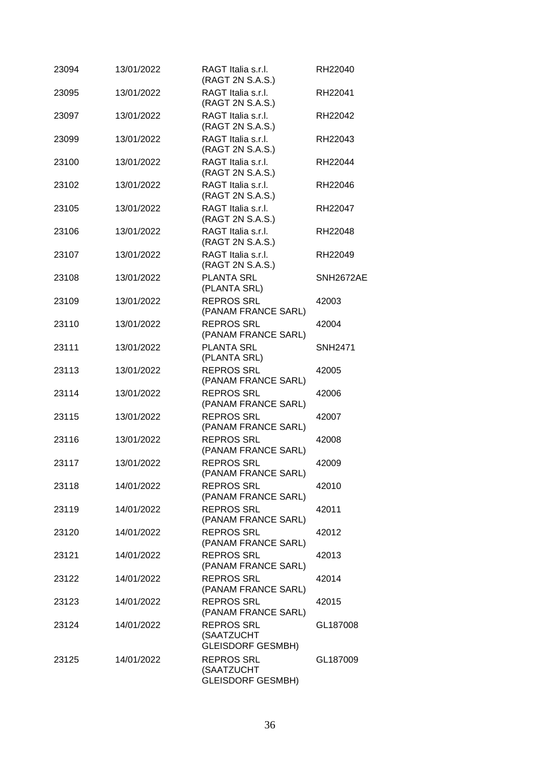| 23094 | 13/01/2022 | RAGT Italia s.r.l.<br>(RAGT 2N S.A.S.)                      | RH22040        |
|-------|------------|-------------------------------------------------------------|----------------|
| 23095 | 13/01/2022 | RAGT Italia s.r.l.<br>(RAGT 2N S.A.S.)                      | RH22041        |
| 23097 | 13/01/2022 | RAGT Italia s.r.l.<br>(RAGT 2N S.A.S.)                      | RH22042        |
| 23099 | 13/01/2022 | RAGT Italia s.r.l.<br>(RAGT 2N S.A.S.)                      | RH22043        |
| 23100 | 13/01/2022 | RAGT Italia s.r.l.<br>(RAGT 2N S.A.S.)                      | RH22044        |
| 23102 | 13/01/2022 | RAGT Italia s.r.l.<br>(RAGT 2N S.A.S.)                      | RH22046        |
| 23105 | 13/01/2022 | RAGT Italia s.r.l.<br>(RAGT 2N S.A.S.)                      | RH22047        |
| 23106 | 13/01/2022 | RAGT Italia s.r.l.<br>(RAGT 2N S.A.S.)                      | RH22048        |
| 23107 | 13/01/2022 | RAGT Italia s.r.l.<br>(RAGT 2N S.A.S.)                      | RH22049        |
| 23108 | 13/01/2022 | PLANTA SRL<br>(PLANTA SRL)                                  | SNH2672AE      |
| 23109 | 13/01/2022 | <b>REPROS SRL</b><br>(PANAM FRANCE SARL)                    | 42003          |
| 23110 | 13/01/2022 | <b>REPROS SRL</b><br>(PANAM FRANCE SARL)                    | 42004          |
| 23111 | 13/01/2022 | <b>PLANTA SRL</b><br>(PLANTA SRL)                           | <b>SNH2471</b> |
| 23113 | 13/01/2022 | <b>REPROS SRL</b><br>(PANAM FRANCE SARL)                    | 42005          |
| 23114 | 13/01/2022 | <b>REPROS SRL</b><br>(PANAM FRANCE SARL)                    | 42006          |
| 23115 | 13/01/2022 | <b>REPROS SRL</b><br>(PANAM FRANCE SARL)                    | 42007          |
| 23116 | 13/01/2022 | <b>REPROS SRL</b><br>(PANAM FRANCE SARL)                    | 42008          |
| 23117 | 13/01/2022 | <b>REPROS SRL</b><br>(PANAM FRANCE SARL)                    | 42009          |
| 23118 | 14/01/2022 | <b>REPROS SRL</b><br>(PANAM FRANCE SARL)                    | 42010          |
| 23119 | 14/01/2022 | <b>REPROS SRL</b><br>(PANAM FRANCE SARL)                    | 42011          |
| 23120 | 14/01/2022 | <b>REPROS SRL</b><br>(PANAM FRANCE SARL)                    | 42012          |
| 23121 | 14/01/2022 | <b>REPROS SRL</b><br>(PANAM FRANCE SARL)                    | 42013          |
| 23122 | 14/01/2022 | <b>REPROS SRL</b><br>(PANAM FRANCE SARL)                    | 42014          |
| 23123 | 14/01/2022 | <b>REPROS SRL</b><br>(PANAM FRANCE SARL)                    | 42015          |
| 23124 | 14/01/2022 | <b>REPROS SRL</b><br>(SAATZUCHT<br><b>GLEISDORF GESMBH)</b> | GL187008       |
| 23125 | 14/01/2022 | <b>REPROS SRL</b><br>(SAATZUCHT<br><b>GLEISDORF GESMBH)</b> | GL187009       |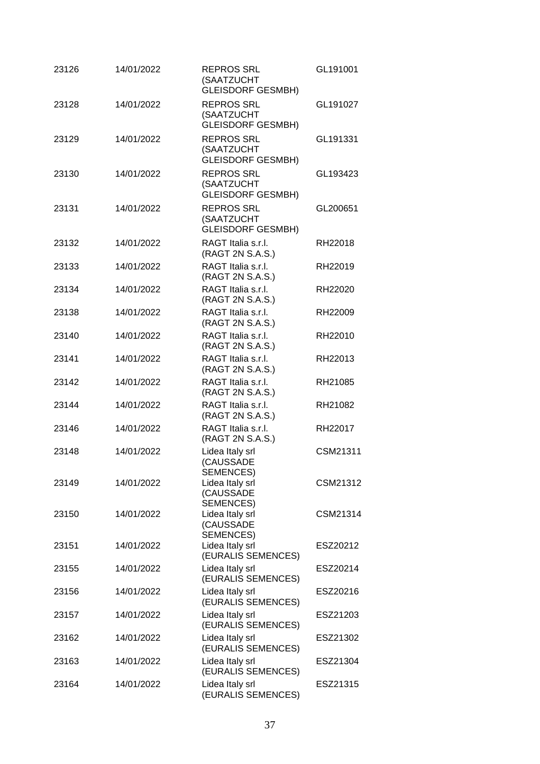| 23126 | 14/01/2022 | <b>REPROS SRL</b><br>(SAATZUCHT<br><b>GLEISDORF GESMBH)</b> | GL191001 |
|-------|------------|-------------------------------------------------------------|----------|
| 23128 | 14/01/2022 | <b>REPROS SRL</b><br>(SAATZUCHT<br><b>GLEISDORF GESMBH)</b> | GL191027 |
| 23129 | 14/01/2022 | <b>REPROS SRL</b><br>(SAATZUCHT<br><b>GLEISDORF GESMBH)</b> | GL191331 |
| 23130 | 14/01/2022 | <b>REPROS SRL</b><br>(SAATZUCHT<br><b>GLEISDORF GESMBH)</b> | GL193423 |
| 23131 | 14/01/2022 | <b>REPROS SRL</b><br>(SAATZUCHT<br><b>GLEISDORF GESMBH)</b> | GL200651 |
| 23132 | 14/01/2022 | RAGT Italia s.r.l.<br>(RAGT 2N S.A.S.)                      | RH22018  |
| 23133 | 14/01/2022 | RAGT Italia s.r.l.<br>(RAGT 2N S.A.S.)                      | RH22019  |
| 23134 | 14/01/2022 | RAGT Italia s.r.l.<br>(RAGT 2N S.A.S.)                      | RH22020  |
| 23138 | 14/01/2022 | RAGT Italia s.r.l.<br>(RAGT 2N S.A.S.)                      | RH22009  |
| 23140 | 14/01/2022 | RAGT Italia s.r.l.<br>(RAGT 2N S.A.S.)                      | RH22010  |
| 23141 | 14/01/2022 | RAGT Italia s.r.l.<br>(RAGT 2N S.A.S.)                      | RH22013  |
| 23142 | 14/01/2022 | RAGT Italia s.r.l.<br>(RAGT 2N S.A.S.)                      | RH21085  |
| 23144 | 14/01/2022 | RAGT Italia s.r.l.<br>(RAGT 2N S.A.S.)                      | RH21082  |
| 23146 | 14/01/2022 | RAGT Italia s.r.l.<br>(RAGT 2N S.A.S.)                      | RH22017  |
| 23148 | 14/01/2022 | Lidea Italy srl<br>(CAUSSADE<br>SEMENCES)                   | CSM21311 |
| 23149 | 14/01/2022 | Lidea Italy srl<br>(CAUSSADE<br><b>SEMENCES)</b>            | CSM21312 |
| 23150 | 14/01/2022 | Lidea Italy srl<br>(CAUSSADE<br>SEMENCES)                   | CSM21314 |
| 23151 | 14/01/2022 | Lidea Italy srl<br>(EURALIS SEMENCES)                       | ESZ20212 |
| 23155 | 14/01/2022 | Lidea Italy srl<br>(EURALIS SEMENCES)                       | ESZ20214 |
| 23156 | 14/01/2022 | Lidea Italy srl<br>(EURALIS SEMENCES)                       | ESZ20216 |
| 23157 | 14/01/2022 | Lidea Italy srl<br>(EURALIS SEMENCES)                       | ESZ21203 |
| 23162 | 14/01/2022 | Lidea Italy srl<br>(EURALIS SEMENCES)                       | ESZ21302 |
| 23163 | 14/01/2022 | Lidea Italy srl<br>(EURALIS SEMENCES)                       | ESZ21304 |
| 23164 | 14/01/2022 | Lidea Italy srl<br>(EURALIS SEMENCES)                       | ESZ21315 |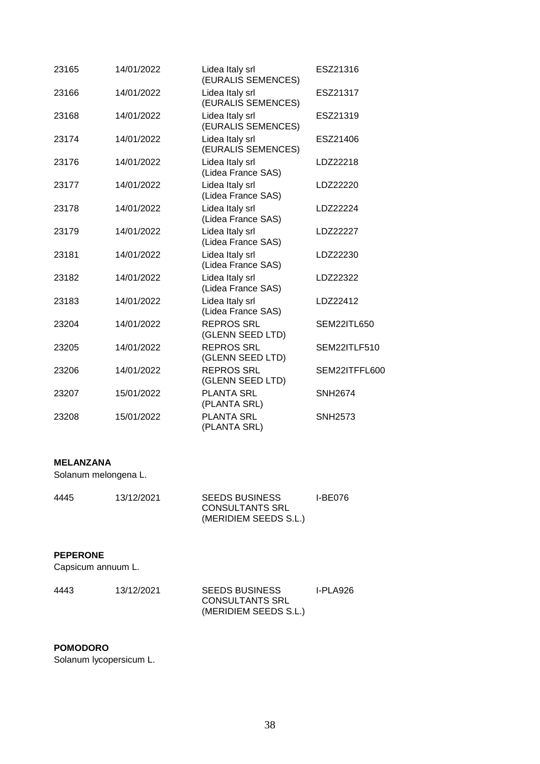| 23165 | 14/01/2022 | Lidea Italy srl<br>(EURALIS SEMENCES) | ESZ21316       |
|-------|------------|---------------------------------------|----------------|
| 23166 | 14/01/2022 | Lidea Italy srl<br>(EURALIS SEMENCES) | ESZ21317       |
| 23168 | 14/01/2022 | Lidea Italy srl<br>(EURALIS SEMENCES) | ESZ21319       |
| 23174 | 14/01/2022 | Lidea Italy srl<br>(EURALIS SEMENCES) | ESZ21406       |
| 23176 | 14/01/2022 | Lidea Italy srl<br>(Lidea France SAS) | LDZ22218       |
| 23177 | 14/01/2022 | Lidea Italy srl<br>(Lidea France SAS) | LDZ22220       |
| 23178 | 14/01/2022 | Lidea Italy srl<br>(Lidea France SAS) | LDZ22224       |
| 23179 | 14/01/2022 | Lidea Italy srl<br>(Lidea France SAS) | LDZ22227       |
| 23181 | 14/01/2022 | Lidea Italy srl<br>(Lidea France SAS) | LDZ22230       |
| 23182 | 14/01/2022 | Lidea Italy srl<br>(Lidea France SAS) | LDZ22322       |
| 23183 | 14/01/2022 | Lidea Italy srl<br>(Lidea France SAS) | LDZ22412       |
| 23204 | 14/01/2022 | <b>REPROS SRL</b><br>(GLENN SEED LTD) | SEM22ITL650    |
| 23205 | 14/01/2022 | <b>REPROS SRL</b><br>(GLENN SEED LTD) | SEM22ITLF510   |
| 23206 | 14/01/2022 | <b>REPROS SRL</b><br>(GLENN SEED LTD) | SEM22ITFFL600  |
| 23207 | 15/01/2022 | <b>PLANTA SRL</b><br>(PLANTA SRL)     | <b>SNH2674</b> |
| 23208 | 15/01/2022 | <b>PLANTA SRL</b><br>(PLANTA SRL)     | <b>SNH2573</b> |

### **MELANZANA**

Solanum melongena L.

| 4445 | 13/12/2021 | <b>SEEDS BUSINESS</b>  | I-BE076 |
|------|------------|------------------------|---------|
|      |            | <b>CONSULTANTS SRL</b> |         |
|      |            | (MERIDIEM SEEDS S.L.)  |         |

### **PEPERONE**

Capsicum annuum L.

| 4443 | 13/12/2021 | <b>SEEDS BUSINESS</b>  | I-PLA926 |
|------|------------|------------------------|----------|
|      |            | <b>CONSULTANTS SRL</b> |          |
|      |            | (MERIDIEM SEEDS S.L.)  |          |

### **POMODORO**

Solanum lycopersicum L.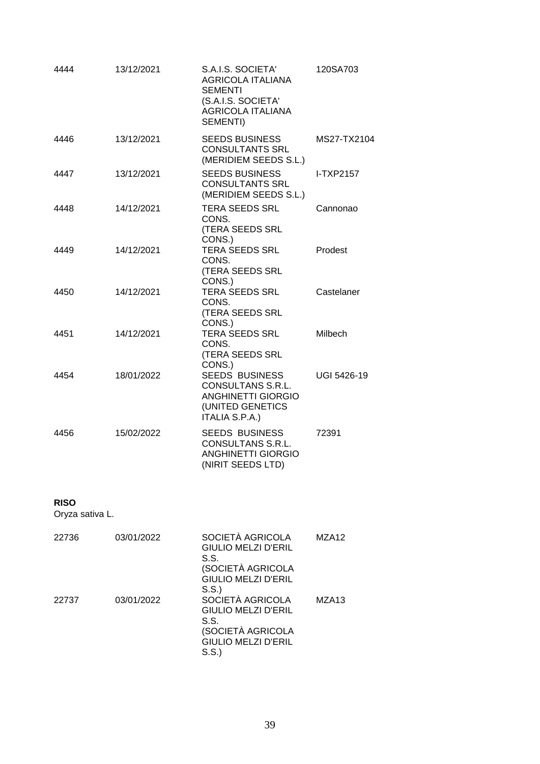| 4444 | 13/12/2021 | S.A.I.S. SOCIETA'<br><b>AGRICOLA ITALIANA</b><br><b>SEMENTI</b><br>(S.A.I.S. SOCIETA'<br><b>AGRICOLA ITALIANA</b><br>SEMENTI) | 120SA703         |
|------|------------|-------------------------------------------------------------------------------------------------------------------------------|------------------|
| 4446 | 13/12/2021 | <b>SEEDS BUSINESS</b><br><b>CONSULTANTS SRL</b><br>(MERIDIEM SEEDS S.L.)                                                      | MS27-TX2104      |
| 4447 | 13/12/2021 | <b>SEEDS BUSINESS</b><br><b>CONSULTANTS SRL</b><br>(MERIDIEM SEEDS S.L.)                                                      | <b>I-TXP2157</b> |
| 4448 | 14/12/2021 | <b>TERA SEEDS SRL</b><br>CONS.<br>(TERA SEEDS SRL<br>CONS.)                                                                   | Cannonao         |
| 4449 | 14/12/2021 | TERA SEEDS SRL<br>CONS.<br>(TERA SEEDS SRL<br>CONS.)                                                                          | Prodest          |
| 4450 | 14/12/2021 | <b>TERA SEEDS SRL</b><br>CONS.<br>(TERA SEEDS SRL<br>CONS.)                                                                   | Castelaner       |
| 4451 | 14/12/2021 | <b>TERA SEEDS SRL</b><br>CONS.<br>(TERA SEEDS SRL<br>CONS.)                                                                   | Milbech          |
| 4454 | 18/01/2022 | <b>SEEDS BUSINESS</b><br>CONSULTANS S.R.L.<br><b>ANGHINETTI GIORGIO</b><br>(UNITED GENETICS<br>ITALIA S.P.A.)                 | UGI 5426-19      |
| 4456 | 15/02/2022 | <b>SEEDS BUSINESS</b><br>CONSULTANS S.R.L.<br><b>ANGHINETTI GIORGIO</b><br>(NIRIT SEEDS LTD)                                  | 72391            |

# **RISO**

Oryza sativa L.

| 22736 | 03/01/2022 | SOCIETÀ AGRICOLA<br>GIULIO MELZI D'ERIL<br>S.S.<br>(SOCIETÀ AGRICOLA<br>GIULIO MELZI D'ERIL                               | MZA <sub>12</sub> |
|-------|------------|---------------------------------------------------------------------------------------------------------------------------|-------------------|
| 22737 | 03/01/2022 | S.S.<br>SOCIETÀ AGRICOLA<br><b>GIULIO MELZI D'ERIL</b><br>S.S.<br>(SOCIETÀ AGRICOLA<br><b>GIULIO MELZI D'ERIL</b><br>S.S. | MZA <sub>13</sub> |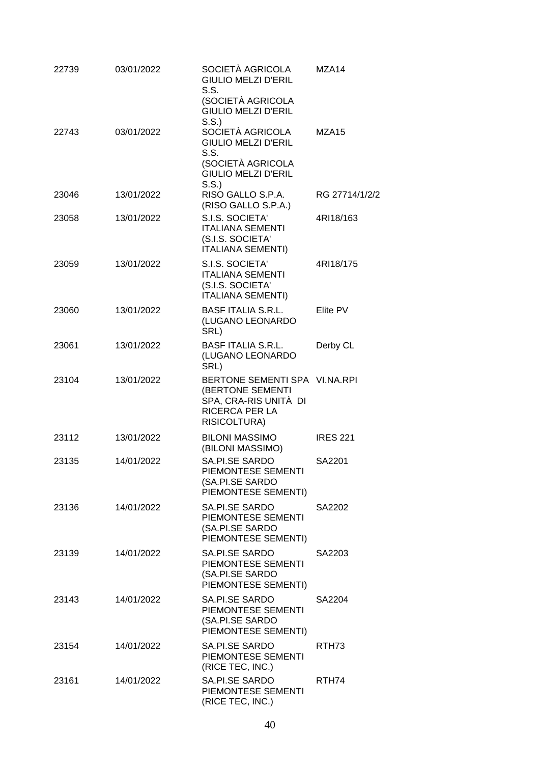| 22739 | 03/01/2022 | SOCIETÀ AGRICOLA<br><b>GIULIO MELZI D'ERIL</b>                                                                      | MZA14             |
|-------|------------|---------------------------------------------------------------------------------------------------------------------|-------------------|
|       |            | S.S.<br>(SOCIETÀ AGRICOLA<br><b>GIULIO MELZI D'ERIL</b>                                                             |                   |
| 22743 | 03/01/2022 | S.S.<br>SOCIETÀ AGRICOLA<br><b>GIULIO MELZI D'ERIL</b><br>S.S.                                                      | MZA <sub>15</sub> |
|       |            | (SOCIETÀ AGRICOLA<br><b>GIULIO MELZI D'ERIL</b><br>S.S.                                                             |                   |
| 23046 | 13/01/2022 | RISO GALLO S.P.A.<br>(RISO GALLO S.P.A.)                                                                            | RG 27714/1/2/2    |
| 23058 | 13/01/2022 | S.I.S. SOCIETA'<br><b>ITALIANA SEMENTI</b><br>(S.I.S. SOCIETA'<br><b>ITALIANA SEMENTI)</b>                          | 4RI18/163         |
| 23059 | 13/01/2022 | S.I.S. SOCIETA'<br><b>ITALIANA SEMENTI</b><br>(S.I.S. SOCIETA'<br><b>ITALIANA SEMENTI)</b>                          | 4RI18/175         |
| 23060 | 13/01/2022 | <b>BASF ITALIA S.R.L.</b><br>(LUGANO LEONARDO<br>SRL)                                                               | Elite PV          |
| 23061 | 13/01/2022 | <b>BASF ITALIA S.R.L.</b><br>(LUGANO LEONARDO<br>SRL)                                                               | Derby CL          |
| 23104 | 13/01/2022 | BERTONE SEMENTI SPA VI.NA.RPI<br>(BERTONE SEMENTI<br>SPA, CRA-RIS UNITÀ DI<br><b>RICERCA PER LA</b><br>RISICOLTURA) |                   |
| 23112 | 13/01/2022 | <b>BILONI MASSIMO</b><br>(BILONI MASSIMO)                                                                           | <b>IRES 221</b>   |
| 23135 | 14/01/2022 | SA.PI.SE SARDO<br>PIEMONTESE SEMENTI<br>(SA.PI.SE SARDO<br>PIEMONTESE SEMENTI)                                      | SA2201            |
| 23136 | 14/01/2022 | SA.PI.SE SARDO<br>PIEMONTESE SEMENTI<br>(SA.PI.SE SARDO<br>PIEMONTESE SEMENTI)                                      | SA2202            |
| 23139 | 14/01/2022 | SA.PI.SE SARDO<br>PIEMONTESE SEMENTI<br>(SA.PI.SE SARDO<br>PIEMONTESE SEMENTI)                                      | SA2203            |
| 23143 | 14/01/2022 | SA.PI.SE SARDO<br>PIEMONTESE SEMENTI<br>(SA.PI.SE SARDO<br>PIEMONTESE SEMENTI)                                      | SA2204            |
| 23154 | 14/01/2022 | SA.PI.SE SARDO<br>PIEMONTESE SEMENTI<br>(RICE TEC, INC.)                                                            | RTH <sub>73</sub> |
| 23161 | 14/01/2022 | SA.PI.SE SARDO<br>PIEMONTESE SEMENTI<br>(RICE TEC, INC.)                                                            | RTH74             |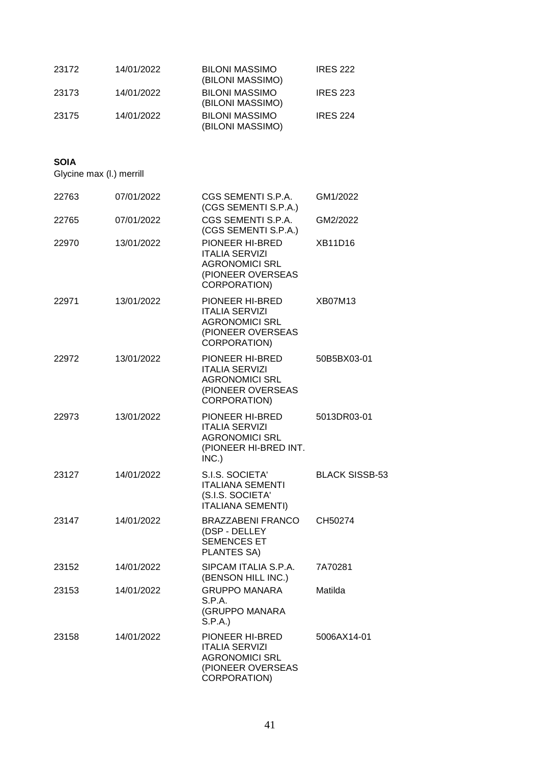| 23172 | 14/01/2022 | <b>BILONI MASSIMO</b><br>(BILONI MASSIMO) | <b>IRES 222</b> |
|-------|------------|-------------------------------------------|-----------------|
| 23173 | 14/01/2022 | <b>BILONI MASSIMO</b><br>(BILONI MASSIMO) | <b>IRES 223</b> |
| 23175 | 14/01/2022 | <b>BILONI MASSIMO</b><br>(BILONI MASSIMO) | <b>IRES 224</b> |

#### **SOIA**

Glycine max (l.) merrill

| 22763 | 07/01/2022 | CGS SEMENTI S.P.A.<br>(CGS SEMENTI S.P.A.)                                                                    | GM1/2022              |
|-------|------------|---------------------------------------------------------------------------------------------------------------|-----------------------|
| 22765 | 07/01/2022 | CGS SEMENTI S.P.A.<br>(CGS SEMENTI S.P.A.)                                                                    | GM2/2022              |
| 22970 | 13/01/2022 | PIONEER HI-BRED<br><b>ITALIA SERVIZI</b><br><b>AGRONOMICI SRL</b><br>(PIONEER OVERSEAS<br>CORPORATION)        | XB11D16               |
| 22971 | 13/01/2022 | PIONEER HI-BRED<br><b>ITALIA SERVIZI</b><br><b>AGRONOMICI SRL</b><br>(PIONEER OVERSEAS<br>CORPORATION)        | <b>XB07M13</b>        |
| 22972 | 13/01/2022 | PIONEER HI-BRED<br><b>ITALIA SERVIZI</b><br><b>AGRONOMICI SRL</b><br>(PIONEER OVERSEAS<br>CORPORATION)        | 50B5BX03-01           |
| 22973 | 13/01/2022 | PIONEER HI-BRED<br><b>ITALIA SERVIZI</b><br><b>AGRONOMICI SRL</b><br>(PIONEER HI-BRED INT.<br>INC.)           | 5013DR03-01           |
| 23127 | 14/01/2022 | S.I.S. SOCIETA'<br><b>ITALIANA SEMENTI</b><br>(S.I.S. SOCIETA'<br><b>ITALIANA SEMENTI)</b>                    | <b>BLACK SISSB-53</b> |
| 23147 | 14/01/2022 | <b>BRAZZABENI FRANCO</b><br>(DSP - DELLEY<br><b>SEMENCES ET</b><br>PLANTES SA)                                | CH50274               |
| 23152 | 14/01/2022 | SIPCAM ITALIA S.P.A.<br>(BENSON HILL INC.)                                                                    | 7A70281               |
| 23153 | 14/01/2022 | <b>GRUPPO MANARA</b><br>S.P.A.<br>(GRUPPO MANARA<br>S.P.A.                                                    | Matilda               |
| 23158 | 14/01/2022 | PIONEER HI-BRED<br><b>ITALIA SERVIZI</b><br><b>AGRONOMICI SRL</b><br>(PIONEER OVERSEAS<br><b>CORPORATION)</b> | 5006AX14-01           |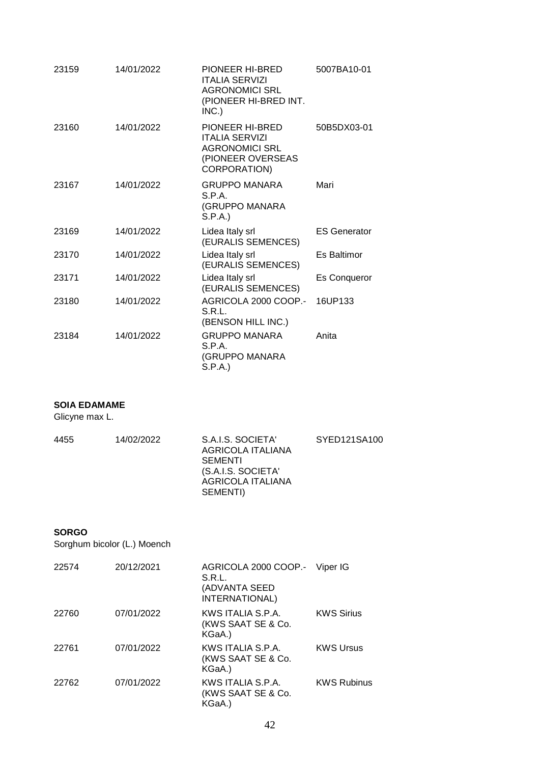| 23159 | 14/01/2022 | PIONEER HI-BRED<br><b>ITALIA SERVIZI</b><br><b>AGRONOMICI SRL</b><br>(PIONEER HI-BRED INT.<br>INC.)    | 5007BA10-01         |
|-------|------------|--------------------------------------------------------------------------------------------------------|---------------------|
| 23160 | 14/01/2022 | PIONEER HI-BRED<br><b>ITALIA SERVIZI</b><br><b>AGRONOMICI SRL</b><br>(PIONEER OVERSEAS<br>CORPORATION) | 50B5DX03-01         |
| 23167 | 14/01/2022 | <b>GRUPPO MANARA</b><br>S.P.A.<br>(GRUPPO MANARA<br>S.P.A.)                                            | Mari                |
| 23169 | 14/01/2022 | Lidea Italy srl<br>(EURALIS SEMENCES)                                                                  | <b>ES Generator</b> |
| 23170 | 14/01/2022 | Lidea Italy srl<br>(EURALIS SEMENCES)                                                                  | Es Baltimor         |
| 23171 | 14/01/2022 | Lidea Italy srl<br>(EURALIS SEMENCES)                                                                  | <b>Es Conqueror</b> |
| 23180 | 14/01/2022 | AGRICOLA 2000 COOP.-<br>S.R.L.<br>(BENSON HILL INC.)                                                   | 16UP133             |
| 23184 | 14/01/2022 | <b>GRUPPO MANARA</b><br>S.P.A.<br>(GRUPPO MANARA<br>S.P.A.)                                            | Anita               |

### **SOIA EDAMAME**

Glicyne max L.

| 4455 | 14/02/2022 | S.A.I.S. SOCIETA'<br>AGRICOLA ITALIANA<br><b>SEMENTI</b><br>(S.A.I.S. SOCIETA'<br>AGRICOLA ITALIANA | SYED121SA100 |
|------|------------|-----------------------------------------------------------------------------------------------------|--------------|
|      |            | SEMENTI)                                                                                            |              |

### **SORGO**

Sorghum bicolor (L.) Moench

| 22574 | 20/12/2021 | AGRICOLA 2000 COOP.- Viper IG<br>S.R.L.<br>(ADVANTA SEED<br>INTERNATIONAL) |                    |
|-------|------------|----------------------------------------------------------------------------|--------------------|
| 22760 | 07/01/2022 | KWS ITALIA S.P.A.<br>(KWS SAAT SE & Co.<br>KGaA.)                          | <b>KWS Sirius</b>  |
| 22761 | 07/01/2022 | KWS ITALIA S.P.A.<br>(KWS SAAT SE & Co.<br>KGaA.)                          | <b>KWS Ursus</b>   |
| 22762 | 07/01/2022 | KWS ITALIA S.P.A.<br>(KWS SAAT SE & Co.<br>KGaA.)                          | <b>KWS Rubinus</b> |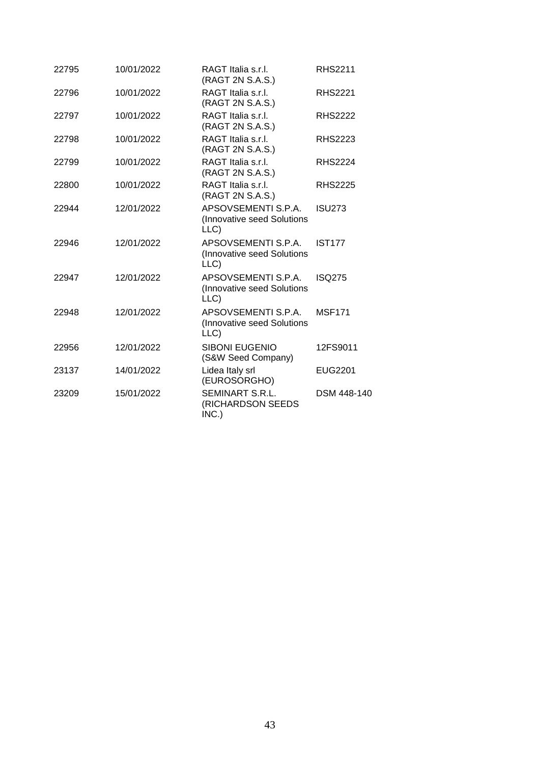| 22795 | 10/01/2022 | RAGT Italia s.r.l.<br>(RAGT 2N S.A.S.)                    | <b>RHS2211</b> |
|-------|------------|-----------------------------------------------------------|----------------|
| 22796 | 10/01/2022 | RAGT Italia s.r.l.<br>(RAGT 2N S.A.S.)                    | <b>RHS2221</b> |
| 22797 | 10/01/2022 | RAGT Italia s.r.l.<br>(RAGT 2N S.A.S.)                    | <b>RHS2222</b> |
| 22798 | 10/01/2022 | RAGT Italia s.r.l.<br>(RAGT 2N S.A.S.)                    | <b>RHS2223</b> |
| 22799 | 10/01/2022 | RAGT Italia s.r.l.<br>(RAGT 2N S.A.S.)                    | <b>RHS2224</b> |
| 22800 | 10/01/2022 | RAGT Italia s.r.l.<br>(RAGT 2N S.A.S.)                    | <b>RHS2225</b> |
| 22944 | 12/01/2022 | APSOVSEMENTI S.P.A.<br>(Innovative seed Solutions<br>LLC) | <b>ISU273</b>  |
| 22946 | 12/01/2022 | APSOVSEMENTI S.P.A.<br>(Innovative seed Solutions<br>LLC) | <b>IST177</b>  |
| 22947 | 12/01/2022 | APSOVSEMENTI S.P.A.<br>(Innovative seed Solutions<br>LLC) | <b>ISQ275</b>  |
| 22948 | 12/01/2022 | APSOVSEMENTI S.P.A.<br>(Innovative seed Solutions<br>LLC) | <b>MSF171</b>  |
| 22956 | 12/01/2022 | <b>SIBONI EUGENIO</b><br>(S&W Seed Company)               | 12FS9011       |
| 23137 | 14/01/2022 | Lidea Italy srl<br>(EUROSORGHO)                           | EUG2201        |
| 23209 | 15/01/2022 | SEMINART S.R.L.<br>(RICHARDSON SEEDS<br>INC.)             | DSM 448-140    |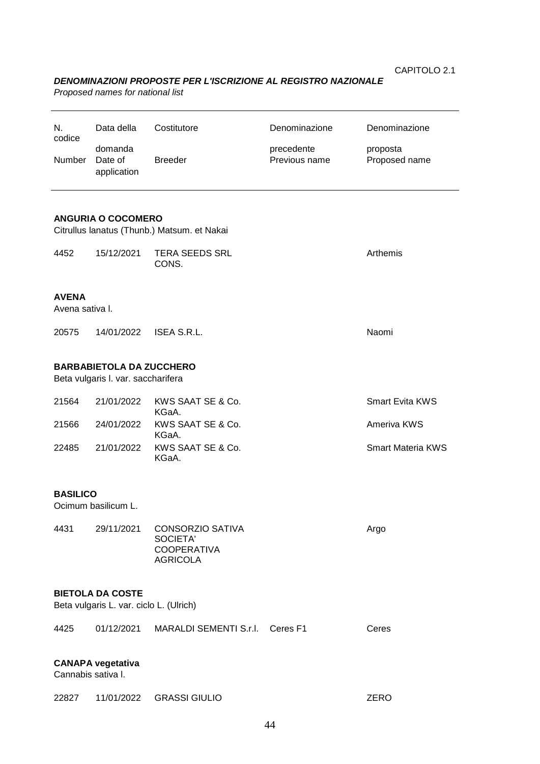### *DENOMINAZIONI PROPOSTE PER L'ISCRIZIONE AL REGISTRO NAZIONALE*

*Proposed names for national list*

| N.<br>codice<br>Number          | Data della<br>domanda<br>Date of<br>application                          | Costitutore<br><b>Breeder</b>                                                | Denominazione<br>precedente<br>Previous name | Denominazione<br>proposta<br>Proposed name |  |  |  |
|---------------------------------|--------------------------------------------------------------------------|------------------------------------------------------------------------------|----------------------------------------------|--------------------------------------------|--|--|--|
|                                 | <b>ANGURIA O COCOMERO</b><br>Citrullus lanatus (Thunb.) Matsum. et Nakai |                                                                              |                                              |                                            |  |  |  |
| 4452                            | 15/12/2021                                                               | <b>TERA SEEDS SRL</b><br>CONS.                                               |                                              | Arthemis                                   |  |  |  |
| <b>AVENA</b><br>Avena sativa I. |                                                                          |                                                                              |                                              |                                            |  |  |  |
| 20575                           | 14/01/2022                                                               | ISEA S.R.L.                                                                  |                                              | Naomi                                      |  |  |  |
|                                 | <b>BARBABIETOLA DA ZUCCHERO</b><br>Beta vulgaris I. var. saccharifera    |                                                                              |                                              |                                            |  |  |  |
| 21564                           | 21/01/2022                                                               | KWS SAAT SE & Co.<br>KGaA.                                                   |                                              | Smart Evita KWS                            |  |  |  |
| 21566                           | 24/01/2022                                                               | KWS SAAT SE & Co.<br>KGaA.                                                   |                                              | Ameriva KWS                                |  |  |  |
| 22485                           | 21/01/2022                                                               | KWS SAAT SE & Co.<br>KGaA.                                                   |                                              | <b>Smart Materia KWS</b>                   |  |  |  |
| <b>BASILICO</b><br>4431         | Ocimum basilicum L.<br>29/11/2021                                        | <b>CONSORZIO SATIVA</b><br>SOCIETA'<br><b>COOPERATIVA</b><br><b>AGRICOLA</b> |                                              | Argo                                       |  |  |  |
|                                 | <b>BIETOLA DA COSTE</b><br>Beta vulgaris L. var. ciclo L. (Ulrich)       |                                                                              |                                              |                                            |  |  |  |
| 4425                            | 01/12/2021                                                               | MARALDI SEMENTI S.r.I.                                                       | Ceres <sub>F1</sub>                          | Ceres                                      |  |  |  |
| Cannabis sativa I.              | <b>CANAPA</b> vegetativa                                                 |                                                                              |                                              |                                            |  |  |  |
| 22827                           | 11/01/2022                                                               | <b>GRASSI GIULIO</b>                                                         |                                              | <b>ZERO</b>                                |  |  |  |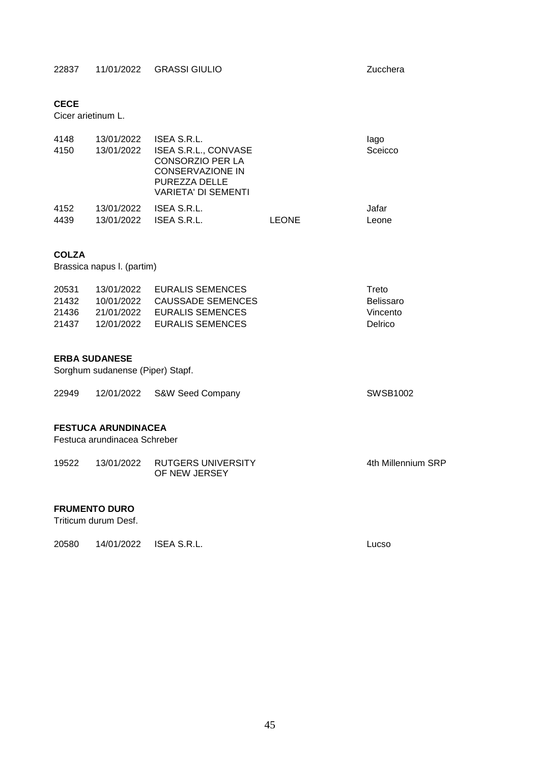#### **CECE**

Cicer arietinum L.

| 4148<br>4150 | 13/01/2022<br>13/01/2022 | ISEA S.R.L.<br><b>ISEA S.R.L., CONVASE</b><br><b>CONSORZIO PER LA</b><br><b>CONSERVAZIONE IN</b><br>PUREZZA DELLE<br><b>VARIETA' DI SEMENTI</b> |       | lago<br>Sceicco |
|--------------|--------------------------|-------------------------------------------------------------------------------------------------------------------------------------------------|-------|-----------------|
| 4152         | 13/01/2022               | ISEA S.R.L.                                                                                                                                     |       | Jafar           |
| 4439         | 13/01/2022               | ISEA S.R.L.                                                                                                                                     | LEONE | Leone           |

### **COLZA**

Brassica napus l. (partim)

| 20531 |            | 13/01/2022 EURALIS SEMENCES  | Treto     |
|-------|------------|------------------------------|-----------|
| 21432 |            | 10/01/2022 CAUSSADE SEMENCES | Belissaro |
| 21436 | 21/01/2022 | EURALIS SEMENCES             | Vincento  |
| 21437 |            | 12/01/2022 EURALIS SEMENCES  | Delrico.  |

#### **ERBA SUDANESE**

Sorghum sudanense (Piper) Stapf.

| 22949 | 12/01/2022 S&W Seed Company | SWSB1002 |
|-------|-----------------------------|----------|
|       |                             |          |
|       |                             |          |

# **FESTUCA ARUNDINACEA**

Festuca arundinacea Schreber

| 19522 | 13/01/2022 RUTGERS UNIVERSITY | 4th Millennium SRP |
|-------|-------------------------------|--------------------|
|       | OF NEW JERSEY                 |                    |

#### **FRUMENTO DURO**

Triticum durum Desf.

20580 14/01/2022 ISEA S.R.L. Lucso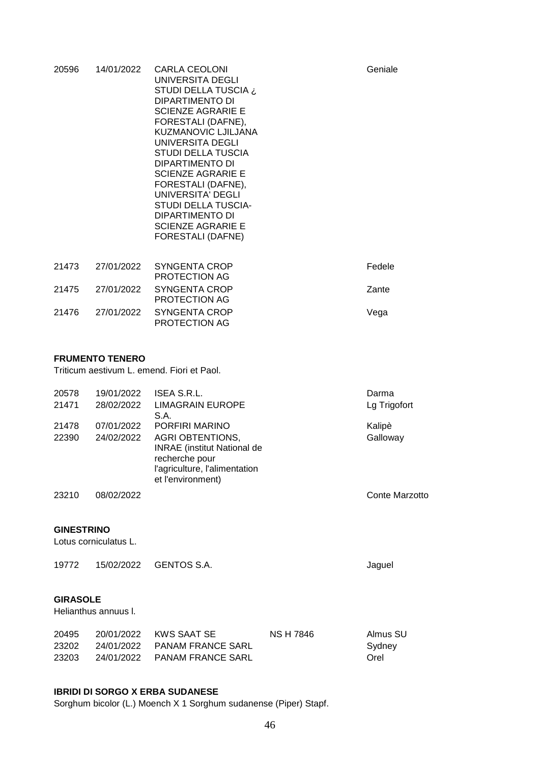| 20596 | 14/01/2022             | CARLA CEOLONI<br>UNIVERSITA DEGLI<br>STUDI DELLA TUSCIA ¿<br>DIPARTIMENTO DI<br><b>SCIENZE AGRARIE E</b><br>FORESTALI (DAFNE),<br><b>KUZMANOVIC LJILJANA</b><br>UNIVERSITA DEGLI<br>STUDI DELLA TUSCIA<br>DIPARTIMENTO DI<br><b>SCIENZE AGRARIE E</b><br>FORESTALI (DAFNE),<br>UNIVERSITA' DEGLI<br>STUDI DELLA TUSCIA-<br>DIPARTIMENTO DI<br><b>SCIENZE AGRARIE E</b><br><b>FORESTALI (DAFNE)</b> | Geniale |
|-------|------------------------|----------------------------------------------------------------------------------------------------------------------------------------------------------------------------------------------------------------------------------------------------------------------------------------------------------------------------------------------------------------------------------------------------|---------|
| 21473 | 27/01/2022             | SYNGENTA CROP<br>PROTECTION AG                                                                                                                                                                                                                                                                                                                                                                     | Fedele  |
| 21475 | 27/01/2022             | SYNGENTA CROP<br>PROTECTION AG                                                                                                                                                                                                                                                                                                                                                                     | Zante   |
| 21476 | 27/01/2022             | SYNGENTA CROP<br>PROTECTION AG                                                                                                                                                                                                                                                                                                                                                                     | Vega    |
|       | <b>FRUMENTO TENERO</b> |                                                                                                                                                                                                                                                                                                                                                                                                    |         |

#### **FRUMENTO TENERO**

Triticum aestivum L. emend. Fiori et Paol.

| 20578 | 19/01/2022 | ISEA S.R.L.                                                                                                                           | Darma          |
|-------|------------|---------------------------------------------------------------------------------------------------------------------------------------|----------------|
| 21471 | 28/02/2022 | <b>LIMAGRAIN EUROPE</b><br>S.A.                                                                                                       | Lg Trigofort   |
| 21478 | 07/01/2022 | PORFIRI MARINO                                                                                                                        | Kalipè         |
| 22390 | 24/02/2022 | <b>AGRI OBTENTIONS,</b><br><b>INRAE</b> (institut National de<br>recherche pour<br>l'agriculture, l'alimentation<br>et l'environment) | Galloway       |
| 23210 | 08/02/2022 |                                                                                                                                       | Conte Marzotto |

#### **GINESTRINO**

Lotus corniculatus L.

| 19772 |  | 15/02/2022 GENTOS S.A. | Jaguel |
|-------|--|------------------------|--------|
|-------|--|------------------------|--------|

#### **GIRASOLE**

Helianthus annuus l.

| 20495 | 20/01/2022 KWS SAAT SE       | NS H 7846 | Almus SU |
|-------|------------------------------|-----------|----------|
| 23202 | 24/01/2022 PANAM FRANCE SARL |           | Sydney   |
| 23203 | 24/01/2022 PANAM FRANCE SARL |           | Orel     |

### **IBRIDI DI SORGO X ERBA SUDANESE**

Sorghum bicolor (L.) Moench X 1 Sorghum sudanense (Piper) Stapf.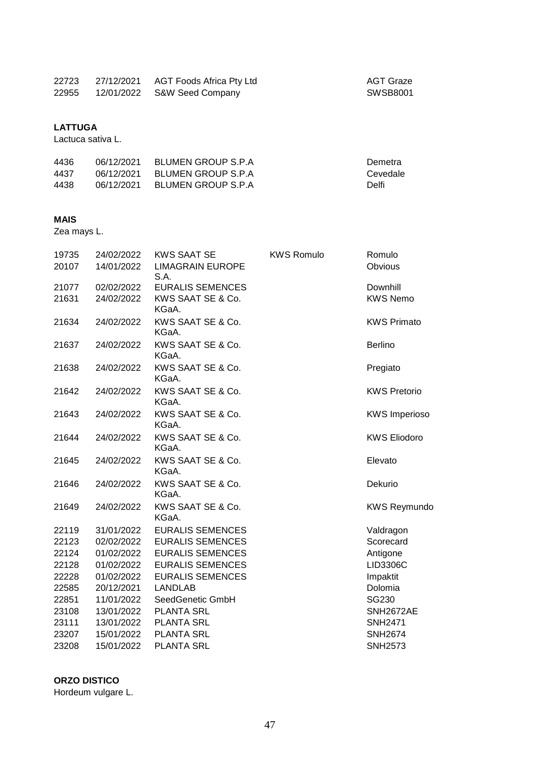| 22723 | 27/12/2021 AGT Foods Africa Pty Ltd |  |
|-------|-------------------------------------|--|
| 22955 | 12/01/2022 S&W Seed Company         |  |

AGT Graze  $SWSB8001$ 

# **LATTUGA**

Lactuca sativa L.

| 4436 | 06/12/2021 | BLUMEN GROUP S.P.A  | Demetra  |
|------|------------|---------------------|----------|
| 4437 | 06/12/2021 | BLUMEN GROUP S.P.A. | Cevedale |
| 4438 | 06/12/2021 | BLUMEN GROUP S.P.A  | Delfi    |

#### **MAIS**

Zea mays L.

| 19735 | 24/02/2022 | <b>KWS SAAT SE</b>              | <b>KWS Romulo</b> | Romulo               |
|-------|------------|---------------------------------|-------------------|----------------------|
| 20107 | 14/01/2022 | <b>LIMAGRAIN EUROPE</b><br>S.A. |                   | Obvious              |
| 21077 | 02/02/2022 | <b>EURALIS SEMENCES</b>         |                   | Downhill             |
| 21631 | 24/02/2022 | KWS SAAT SE & Co.<br>KGaA.      |                   | <b>KWS Nemo</b>      |
| 21634 | 24/02/2022 | KWS SAAT SE & Co.<br>KGaA.      |                   | <b>KWS Primato</b>   |
| 21637 | 24/02/2022 | KWS SAAT SE & Co.<br>KGaA.      |                   | <b>Berlino</b>       |
| 21638 | 24/02/2022 | KWS SAAT SE & Co.<br>KGaA.      |                   | Pregiato             |
| 21642 | 24/02/2022 | KWS SAAT SE & Co.<br>KGaA.      |                   | <b>KWS Pretorio</b>  |
| 21643 | 24/02/2022 | KWS SAAT SE & Co.<br>KGaA.      |                   | <b>KWS Imperioso</b> |
| 21644 | 24/02/2022 | KWS SAAT SE & Co.<br>KGaA.      |                   | <b>KWS Eliodoro</b>  |
| 21645 | 24/02/2022 | KWS SAAT SE & Co.<br>KGaA.      |                   | Elevato              |
| 21646 | 24/02/2022 | KWS SAAT SE & Co.<br>KGaA.      |                   | Dekurio              |
| 21649 | 24/02/2022 | KWS SAAT SE & Co.<br>KGaA.      |                   | <b>KWS Reymundo</b>  |
| 22119 | 31/01/2022 | <b>EURALIS SEMENCES</b>         |                   | Valdragon            |
| 22123 | 02/02/2022 | <b>EURALIS SEMENCES</b>         |                   | Scorecard            |
| 22124 | 01/02/2022 | <b>EURALIS SEMENCES</b>         |                   | Antigone             |
| 22128 | 01/02/2022 | <b>EURALIS SEMENCES</b>         |                   | LID3306C             |
| 22228 | 01/02/2022 | <b>EURALIS SEMENCES</b>         |                   | Impaktit             |
| 22585 | 20/12/2021 | <b>LANDLAB</b>                  |                   | Dolomia              |
| 22851 | 11/01/2022 | SeedGenetic GmbH                |                   | SG230                |
| 23108 | 13/01/2022 | <b>PLANTA SRL</b>               |                   | SNH2672AE            |
| 23111 | 13/01/2022 | <b>PLANTA SRL</b>               |                   | <b>SNH2471</b>       |
| 23207 | 15/01/2022 | <b>PLANTA SRL</b>               |                   | <b>SNH2674</b>       |
| 23208 | 15/01/2022 | <b>PLANTA SRL</b>               |                   | <b>SNH2573</b>       |

# **ORZO DISTICO**

Hordeum vulgare L.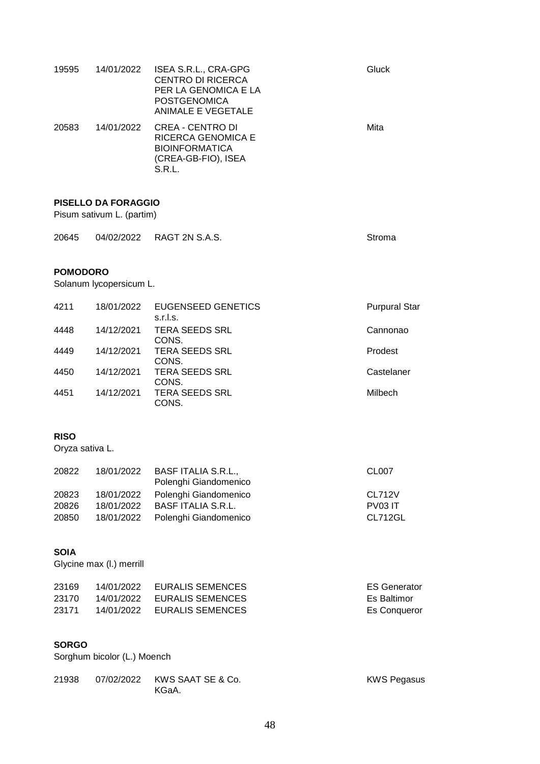| 19595 | 14/01/2022 | ISEA S.R.L., CRA-GPG<br><b>CENTRO DI RICERCA</b><br>PER LA GENOMICA E LA<br><b>POSTGENOMICA</b><br>ANIMALE E VEGETALE | Gluck |
|-------|------------|-----------------------------------------------------------------------------------------------------------------------|-------|
| 20583 | 14/01/2022 | CREA - CENTRO DI<br>RICERCA GENOMICA E<br><b>BIOINFORMATICA</b><br>(CREA-GB-FIO), ISEA<br>S.R.L.                      | Mita  |

#### **PISELLO DA FORAGGIO**

Pisum sativum L. (partim)

| 20645 | 04/02/2022 | RAGT 2N S.A.S. | Stroma |
|-------|------------|----------------|--------|
|       |            |                |        |

#### **POMODORO**

Solanum lycopersicum L.

| 4211 | 18/01/2022 | EUGENSEED GENETICS<br>s.r.l.s. | <b>Purpural Star</b> |
|------|------------|--------------------------------|----------------------|
| 4448 | 14/12/2021 | <b>TERA SEEDS SRL</b><br>CONS. | Cannonao             |
| 4449 | 14/12/2021 | <b>TERA SEEDS SRL</b><br>CONS. | Prodest              |
| 4450 | 14/12/2021 | <b>TERA SEEDS SRL</b><br>CONS. | Castelaner           |
| 4451 | 14/12/2021 | <b>TERA SEEDS SRL</b><br>CONS. | Milbech              |

### **RISO**

Oryza sativa L.

| 20822 | 18/01/2022 | <b>BASF ITALIA S.R.L.,</b><br>Polenghi Giandomenico | CL <sub>0</sub> 07 |
|-------|------------|-----------------------------------------------------|--------------------|
| 20823 | 18/01/2022 | Polenghi Giandomenico                               | CL712V             |
| 20826 | 18/01/2022 | <b>BASF ITALIA S.R.L.</b>                           | PV03 IT            |
| 20850 | 18/01/2022 | Polenghi Giandomenico                               | CL712GL            |

### **SOIA**

Glycine max (l.) merrill

| 23169 | 14/01/2022 EURALIS SEMENCES | <b>ES Generator</b> |
|-------|-----------------------------|---------------------|
| 23170 | 14/01/2022 EURALIS SEMENCES | Es Baltimor         |
| 23171 | 14/01/2022 EURALIS SEMENCES | Es Conqueror        |

### **SORGO**

Sorghum bicolor (L.) Moench

| 21938 |       | <b>KWS Pegasus</b> |
|-------|-------|--------------------|
|       | KGaA. |                    |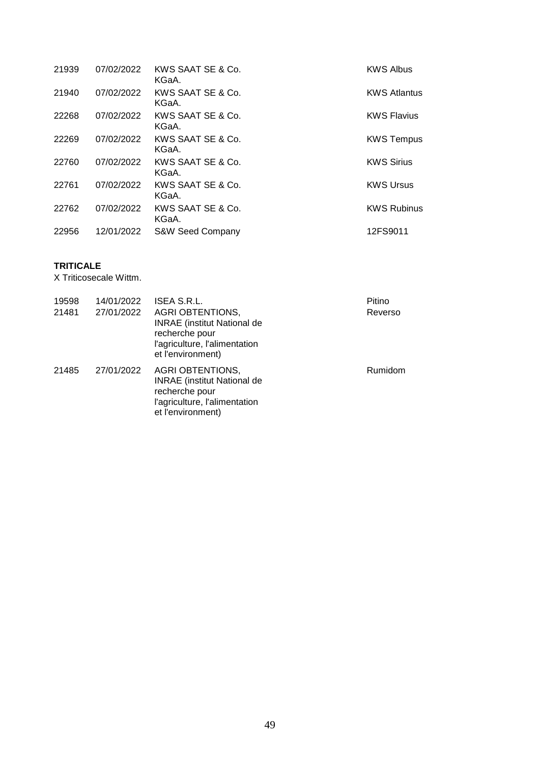| 21939 | 07/02/2022 | KWS SAAT SE & Co.<br>KGaA.  | <b>KWS Albus</b>    |
|-------|------------|-----------------------------|---------------------|
| 21940 | 07/02/2022 | KWS SAAT SE & Co.<br>KGaA.  | <b>KWS Atlantus</b> |
| 22268 | 07/02/2022 | KWS SAAT SE & Co.<br>KGaA.  | <b>KWS Flavius</b>  |
| 22269 | 07/02/2022 | KWS SAAT SE & Co.<br>KGaA.  | <b>KWS Tempus</b>   |
| 22760 | 07/02/2022 | KWS SAAT SE & Co.<br>KGaA.  | <b>KWS Sirius</b>   |
| 22761 | 07/02/2022 | KWS SAAT SE & Co.<br>KGaA.  | <b>KWS Ursus</b>    |
| 22762 | 07/02/2022 | KWS SAAT SE & Co.<br>KGaA.  | <b>KWS Rubinus</b>  |
| 22956 | 12/01/2022 | <b>S&amp;W Seed Company</b> | 12FS9011            |

### **TRITICALE**

X Triticosecale Wittm.

| 19598<br>21481 | 14/01/2022<br>27/01/2022 | ISEA S.R.L.<br><b>AGRI OBTENTIONS,</b><br><b>INRAE</b> (institut National de<br>recherche pour<br>l'agriculture, l'alimentation<br>et l'environment) | Pitino<br>Reverso |
|----------------|--------------------------|------------------------------------------------------------------------------------------------------------------------------------------------------|-------------------|
| 21485          | 27/01/2022               | <b>AGRI OBTENTIONS,</b><br><b>INRAE</b> (institut National de<br>recherche pour<br>l'agriculture, l'alimentation<br>et l'environment)                | Rumidom           |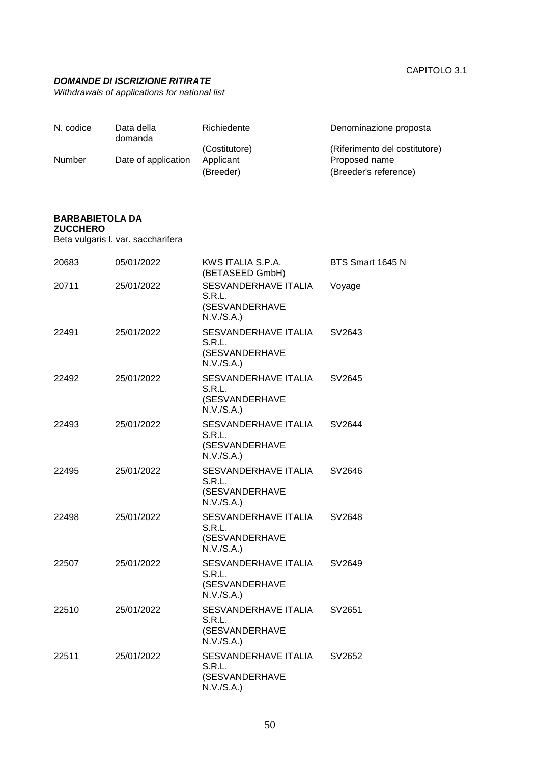### *DOMANDE DI ISCRIZIONE RITIRATE*

*Withdrawals of applications for national list*

| N. codice     | Data della<br>domanda | Richiedente   | Denominazione proposta        |
|---------------|-----------------------|---------------|-------------------------------|
|               |                       | (Costitutore) | (Riferimento del costitutore) |
| <b>Number</b> | Date of application   | Applicant     | Proposed name                 |
|               |                       | (Breeder)     | (Breeder's reference)         |

# **BARBABIETOLA DA**

### **ZUCCHERO**

Beta vulgaris l. var. saccharifera

| 20683 | 05/01/2022 | KWS ITALIA S.P.A.<br>(BETASEED GmbH)                           | BTS Smart 1645 N |
|-------|------------|----------------------------------------------------------------|------------------|
| 20711 | 25/01/2022 | SESVANDERHAVE ITALIA<br>S.R.L.<br>(SESVANDERHAVE<br>N.V./S.A.) | Voyage           |
| 22491 | 25/01/2022 | SESVANDERHAVE ITALIA<br>S.R.L.<br>(SESVANDERHAVE<br>N.V./S.A.) | SV2643           |
| 22492 | 25/01/2022 | SESVANDERHAVE ITALIA<br>S.R.L.<br>(SESVANDERHAVE<br>N.V./S.A.) | SV2645           |
| 22493 | 25/01/2022 | SESVANDERHAVE ITALIA<br>S.R.L.<br>(SESVANDERHAVE<br>N.V./S.A.) | SV2644           |
| 22495 | 25/01/2022 | SESVANDERHAVE ITALIA<br>S.R.L.<br>(SESVANDERHAVE<br>N.V./S.A.) | SV2646           |
| 22498 | 25/01/2022 | SESVANDERHAVE ITALIA<br>S.R.L.<br>(SESVANDERHAVE<br>N.V./S.A.) | SV2648           |
| 22507 | 25/01/2022 | SESVANDERHAVE ITALIA<br>S.R.L.<br>(SESVANDERHAVE<br>N.V./S.A.) | SV2649           |
| 22510 | 25/01/2022 | SESVANDERHAVE ITALIA<br>S.R.L.<br>(SESVANDERHAVE<br>N.V./S.A.) | SV2651           |
| 22511 | 25/01/2022 | SESVANDERHAVE ITALIA<br>S.R.L.<br>(SESVANDERHAVE<br>N.V./S.A.) | SV2652           |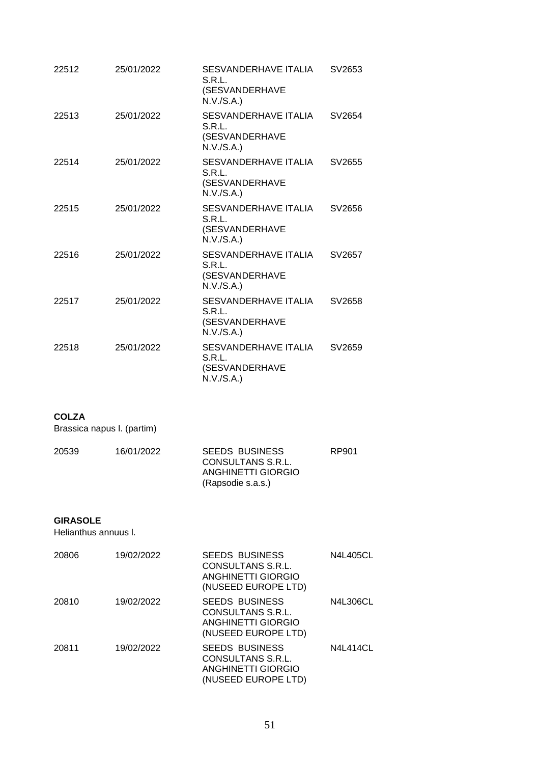| 22512 | 25/01/2022 | SESVANDERHAVE ITALIA<br>S.R.L.<br>(SESVANDERHAVE<br>N.V./S.A.) | SV2653 |
|-------|------------|----------------------------------------------------------------|--------|
| 22513 | 25/01/2022 | SESVANDERHAVE ITALIA<br>S.R.L.<br>(SESVANDERHAVE<br>N.V./S.A.) | SV2654 |
| 22514 | 25/01/2022 | SESVANDERHAVE ITALIA<br>S.R.L.<br>(SESVANDERHAVE<br>N.V./S.A.) | SV2655 |
| 22515 | 25/01/2022 | SESVANDERHAVE ITALIA<br>S.R.L.<br>(SESVANDERHAVE<br>N.V./S.A.) | SV2656 |
| 22516 | 25/01/2022 | SESVANDERHAVE ITALIA<br>S.R.L.<br>(SESVANDERHAVE<br>N.V./S.A.) | SV2657 |
| 22517 | 25/01/2022 | SESVANDERHAVE ITALIA<br>S.R.L.<br>(SESVANDERHAVE<br>N.V./S.A.) | SV2658 |
| 22518 | 25/01/2022 | SESVANDERHAVE ITALIA<br>S.R.L.<br>(SESVANDERHAVE<br>N.V./S.A.) | SV2659 |

### **COLZA**

Brassica napus l. (partim)

| 20539 | 16/01/2022 | <b>SEEDS BUSINESS</b><br>CONSULTANS S.R.L. | RP901 |
|-------|------------|--------------------------------------------|-------|
|       |            | ANGHINETTI GIORGIO                         |       |
|       |            | (Rapsodie s.a.s.)                          |       |

#### **GIRASOLE**

Helianthus annuus l.

| 20806 | 19/02/2022 | <b>SEEDS BUSINESS</b><br>CONSULTANS S.R.L.<br>ANGHINETTI GIORGIO<br>(NUSEED EUROPE LTD)        | <b>N4L405CL</b> |
|-------|------------|------------------------------------------------------------------------------------------------|-----------------|
| 20810 | 19/02/2022 | <b>SEEDS BUSINESS</b><br>CONSULTANS S.R.L.<br><b>ANGHINETTI GIORGIO</b><br>(NUSEED EUROPE LTD) | <b>N4L306CL</b> |
| 20811 | 19/02/2022 | <b>SEEDS BUSINESS</b><br>CONSULTANS S.R.L.<br>ANGHINETTI GIORGIO<br>(NUSEED EUROPE LTD)        | <b>N4L414CL</b> |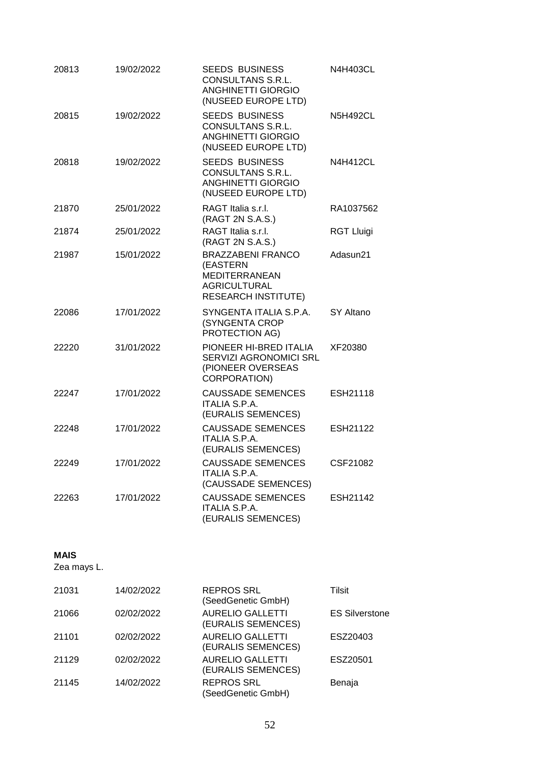| 20813 | 19/02/2022 | <b>SEEDS BUSINESS</b><br>CONSULTANS S.R.L.<br><b>ANGHINETTI GIORGIO</b><br>(NUSEED EUROPE LTD)             | N4H403CL          |
|-------|------------|------------------------------------------------------------------------------------------------------------|-------------------|
| 20815 | 19/02/2022 | <b>SEEDS BUSINESS</b><br>CONSULTANS S.R.L.<br><b>ANGHINETTI GIORGIO</b><br>(NUSEED EUROPE LTD)             | <b>N5H492CL</b>   |
| 20818 | 19/02/2022 | <b>SEEDS BUSINESS</b><br>CONSULTANS S.R.L.<br><b>ANGHINETTI GIORGIO</b><br>(NUSEED EUROPE LTD)             | <b>N4H412CL</b>   |
| 21870 | 25/01/2022 | RAGT Italia s.r.l.<br>(RAGT 2N S.A.S.)                                                                     | RA1037562         |
| 21874 | 25/01/2022 | RAGT Italia s.r.l.<br>(RAGT 2N S.A.S.)                                                                     | <b>RGT Lluigi</b> |
| 21987 | 15/01/2022 | BRAZZABENI FRANCO<br>(EASTERN<br><b>MEDITERRANEAN</b><br><b>AGRICULTURAL</b><br><b>RESEARCH INSTITUTE)</b> | Adasun21          |
| 22086 | 17/01/2022 | SYNGENTA ITALIA S.P.A.<br>(SYNGENTA CROP<br>PROTECTION AG)                                                 | SY Altano         |
| 22220 | 31/01/2022 | PIONEER HI-BRED ITALIA<br>SERVIZI AGRONOMICI SRL<br>(PIONEER OVERSEAS<br><b>CORPORATION)</b>               | XF20380           |
| 22247 | 17/01/2022 | <b>CAUSSADE SEMENCES</b><br><b>ITALIA S.P.A.</b><br>(EURALIS SEMENCES)                                     | ESH21118          |
| 22248 | 17/01/2022 | <b>CAUSSADE SEMENCES</b><br><b>ITALIA S.P.A.</b><br>(EURALIS SEMENCES)                                     | ESH21122          |
| 22249 | 17/01/2022 | <b>CAUSSADE SEMENCES</b><br><b>ITALIA S.P.A.</b><br>(CAUSSADE SEMENCES)                                    | CSF21082          |
| 22263 | 17/01/2022 | <b>CAUSSADE SEMENCES</b><br><b>ITALIA S.P.A.</b><br>(EURALIS SEMENCES)                                     | ESH21142          |

### **MAIS**

Zea mays L.

| 14/02/2022 | <b>REPROS SRL</b><br>(SeedGenetic GmbH)       | Tilsit                |
|------------|-----------------------------------------------|-----------------------|
| 02/02/2022 | <b>AURELIO GALLETTI</b><br>(EURALIS SEMENCES) | <b>ES Silverstone</b> |
| 02/02/2022 | <b>AURELIO GALLETTI</b><br>(EURALIS SEMENCES) | ESZ20403              |
| 02/02/2022 | <b>AURELIO GALLETTI</b><br>(EURALIS SEMENCES) | ESZ20501              |
| 14/02/2022 | <b>REPROS SRL</b><br>(SeedGenetic GmbH)       | Benaja                |
|            |                                               |                       |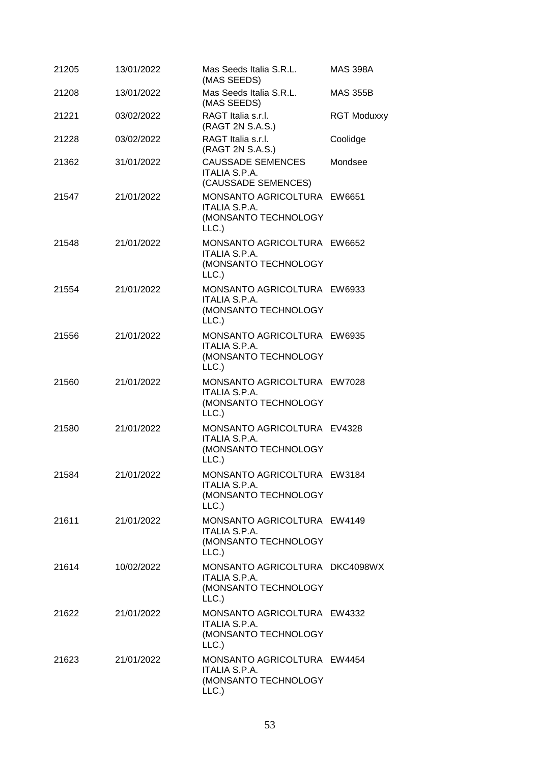| 21205 | 13/01/2022 | Mas Seeds Italia S.R.L.<br>(MAS SEEDS)                                                 | <b>MAS 398A</b>    |
|-------|------------|----------------------------------------------------------------------------------------|--------------------|
| 21208 | 13/01/2022 | Mas Seeds Italia S.R.L.<br>(MAS SEEDS)                                                 | <b>MAS 355B</b>    |
| 21221 | 03/02/2022 | RAGT Italia s.r.l.<br>(RAGT 2N S.A.S.)                                                 | <b>RGT Moduxxy</b> |
| 21228 | 03/02/2022 | RAGT Italia s.r.l.<br>(RAGT 2N S.A.S.)                                                 | Coolidge           |
| 21362 | 31/01/2022 | <b>CAUSSADE SEMENCES</b><br>ITALIA S.P.A.<br>(CAUSSADE SEMENCES)                       | Mondsee            |
| 21547 | 21/01/2022 | MONSANTO AGRICOLTURA EW6651<br>ITALIA S.P.A.<br>(MONSANTO TECHNOLOGY<br>LLC.           |                    |
| 21548 | 21/01/2022 | MONSANTO AGRICOLTURA EW6652<br><b>ITALIA S.P.A.</b><br>(MONSANTO TECHNOLOGY<br>LLC.    |                    |
| 21554 | 21/01/2022 | MONSANTO AGRICOLTURA EW6933<br>ITALIA S.P.A.<br>(MONSANTO TECHNOLOGY<br>LLC.           |                    |
| 21556 | 21/01/2022 | MONSANTO AGRICOLTURA EW6935<br>ITALIA S.P.A.<br>(MONSANTO TECHNOLOGY<br>LLC.           |                    |
| 21560 | 21/01/2022 | MONSANTO AGRICOLTURA EW7028<br><b>ITALIA S.P.A.</b><br>(MONSANTO TECHNOLOGY<br>LLC.    |                    |
| 21580 | 21/01/2022 | MONSANTO AGRICOLTURA EV4328<br><b>ITALIA S.P.A.</b><br>(MONSANTO TECHNOLOGY<br>LLC.    |                    |
| 21584 | 21/01/2022 | MONSANTO AGRICOLTURA EW3184<br>ITALIA S.P.A.<br>(MONSANTO TECHNOLOGY<br>LLC.           |                    |
| 21611 | 21/01/2022 | MONSANTO AGRICOLTURA EW4149<br><b>ITALIA S.P.A.</b><br>(MONSANTO TECHNOLOGY<br>LLC.    |                    |
| 21614 | 10/02/2022 | MONSANTO AGRICOLTURA DKC4098WX<br><b>ITALIA S.P.A.</b><br>(MONSANTO TECHNOLOGY<br>LLC. |                    |
| 21622 | 21/01/2022 | MONSANTO AGRICOLTURA EW4332<br>ITALIA S.P.A.<br>(MONSANTO TECHNOLOGY<br>LLC.           |                    |
| 21623 | 21/01/2022 | MONSANTO AGRICOLTURA EW4454<br><b>ITALIA S.P.A.</b><br>(MONSANTO TECHNOLOGY<br>LLC.    |                    |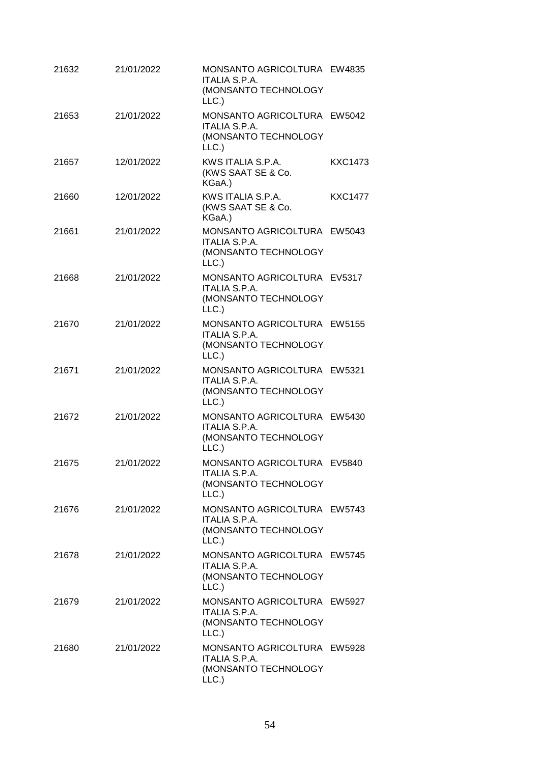| 21632 | 21/01/2022 | MONSANTO AGRICOLTURA EW4835<br><b>ITALIA S.P.A.</b><br>(MONSANTO TECHNOLOGY<br>LLC.  |                |
|-------|------------|--------------------------------------------------------------------------------------|----------------|
| 21653 | 21/01/2022 | MONSANTO AGRICOLTURA EW5042<br>ITALIA S.P.A.<br>(MONSANTO TECHNOLOGY<br>LLC.         |                |
| 21657 | 12/01/2022 | KWS ITALIA S.P.A.<br>(KWS SAAT SE & Co.<br>KGaA.)                                    | <b>KXC1473</b> |
| 21660 | 12/01/2022 | KWS ITALIA S.P.A.<br>(KWS SAAT SE & Co.<br>KGaA.)                                    | <b>KXC1477</b> |
| 21661 | 21/01/2022 | MONSANTO AGRICOLTURA EW5043<br><b>ITALIA S.P.A.</b><br>(MONSANTO TECHNOLOGY<br>LLC.  |                |
| 21668 | 21/01/2022 | MONSANTO AGRICOLTURA EV5317<br>ITALIA S.P.A.<br>(MONSANTO TECHNOLOGY<br>LLC.         |                |
| 21670 | 21/01/2022 | MONSANTO AGRICOLTURA EW5155<br><b>ITALIA S.P.A.</b><br>(MONSANTO TECHNOLOGY<br>LLC.  |                |
| 21671 | 21/01/2022 | MONSANTO AGRICOLTURA EW5321<br><b>ITALIA S.P.A.</b><br>(MONSANTO TECHNOLOGY<br>LLC.) |                |
| 21672 | 21/01/2022 | MONSANTO AGRICOLTURA EW5430<br><b>ITALIA S.P.A.</b><br>(MONSANTO TECHNOLOGY<br>LLC.) |                |
| 21675 | 21/01/2022 | MONSANTO AGRICOLTURA EV5840<br><b>ITALIA S.P.A.</b><br>(MONSANTO TECHNOLOGY<br>LLC.  |                |
| 21676 | 21/01/2022 | MONSANTO AGRICOLTURA EW5743<br>ITALIA S.P.A.<br>(MONSANTO TECHNOLOGY<br>LLC.)        |                |
| 21678 | 21/01/2022 | MONSANTO AGRICOLTURA EW5745<br>ITALIA S.P.A.<br>(MONSANTO TECHNOLOGY<br>LLC.         |                |
| 21679 | 21/01/2022 | MONSANTO AGRICOLTURA EW5927<br>ITALIA S.P.A.<br>(MONSANTO TECHNOLOGY<br>LLC.         |                |
| 21680 | 21/01/2022 | MONSANTO AGRICOLTURA EW5928<br><b>ITALIA S.P.A.</b><br>(MONSANTO TECHNOLOGY<br>LLC.  |                |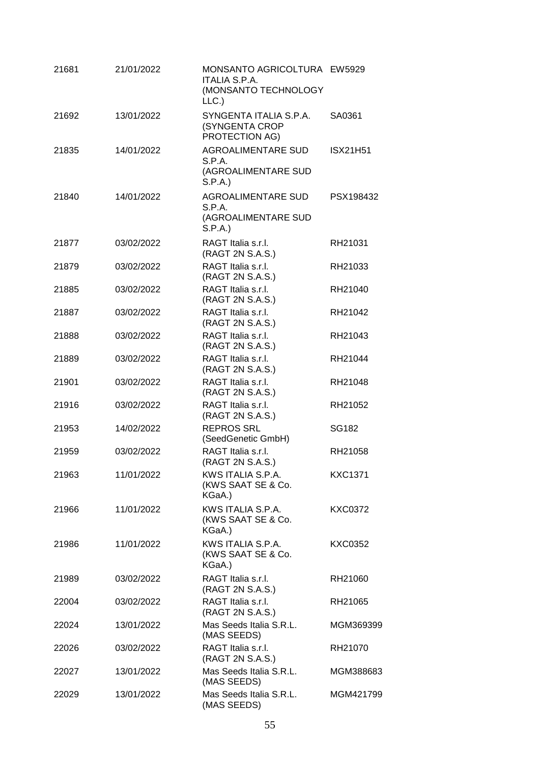| 21681 | 21/01/2022 | MONSANTO AGRICOLTURA EW5929<br><b>ITALIA S.P.A.</b><br>(MONSANTO TECHNOLOGY<br>LLC.) |                 |
|-------|------------|--------------------------------------------------------------------------------------|-----------------|
| 21692 | 13/01/2022 | SYNGENTA ITALIA S.P.A.<br>(SYNGENTA CROP<br>PROTECTION AG)                           | SA0361          |
| 21835 | 14/01/2022 | <b>AGROALIMENTARE SUD</b><br>S.P.A.<br>(AGROALIMENTARE SUD<br>S.P.A.                 | <b>ISX21H51</b> |
| 21840 | 14/01/2022 | <b>AGROALIMENTARE SUD</b><br>S.P.A.<br>(AGROALIMENTARE SUD<br>S.P.A.)                | PSX198432       |
| 21877 | 03/02/2022 | RAGT Italia s.r.l.<br>(RAGT 2N S.A.S.)                                               | RH21031         |
| 21879 | 03/02/2022 | RAGT Italia s.r.l.<br>(RAGT 2N S.A.S.)                                               | RH21033         |
| 21885 | 03/02/2022 | RAGT Italia s.r.l.<br>(RAGT 2N S.A.S.)                                               | RH21040         |
| 21887 | 03/02/2022 | RAGT Italia s.r.l.<br>(RAGT 2N S.A.S.)                                               | RH21042         |
| 21888 | 03/02/2022 | RAGT Italia s.r.l.<br>(RAGT 2N S.A.S.)                                               | RH21043         |
| 21889 | 03/02/2022 | RAGT Italia s.r.l.<br>(RAGT 2N S.A.S.)                                               | RH21044         |
| 21901 | 03/02/2022 | RAGT Italia s.r.l.<br>(RAGT 2N S.A.S.)                                               | RH21048         |
| 21916 | 03/02/2022 | RAGT Italia s.r.l.<br>(RAGT 2N S.A.S.)                                               | RH21052         |
| 21953 | 14/02/2022 | <b>REPROS SRL</b><br>(SeedGenetic GmbH)                                              | SG182           |
| 21959 | 03/02/2022 | RAGT Italia s.r.l.<br>(RAGT 2N S.A.S.)                                               | RH21058         |
| 21963 | 11/01/2022 | KWS ITALIA S.P.A.<br>(KWS SAAT SE & Co.<br>KGaA.)                                    | <b>KXC1371</b>  |
| 21966 | 11/01/2022 | KWS ITALIA S.P.A.<br>(KWS SAAT SE & Co.<br>KGaA.)                                    | <b>KXC0372</b>  |
| 21986 | 11/01/2022 | KWS ITALIA S.P.A.<br>(KWS SAAT SE & Co.<br>KGaA.)                                    | KXC0352         |
| 21989 | 03/02/2022 | RAGT Italia s.r.l.<br>(RAGT 2N S.A.S.)                                               | RH21060         |
| 22004 | 03/02/2022 | RAGT Italia s.r.l.<br>(RAGT 2N S.A.S.)                                               | RH21065         |
| 22024 | 13/01/2022 | Mas Seeds Italia S.R.L.<br>(MAS SEEDS)                                               | MGM369399       |
| 22026 | 03/02/2022 | RAGT Italia s.r.l.<br>(RAGT 2N S.A.S.)                                               | RH21070         |
| 22027 | 13/01/2022 | Mas Seeds Italia S.R.L.<br>(MAS SEEDS)                                               | MGM388683       |
| 22029 | 13/01/2022 | Mas Seeds Italia S.R.L.<br>(MAS SEEDS)                                               | MGM421799       |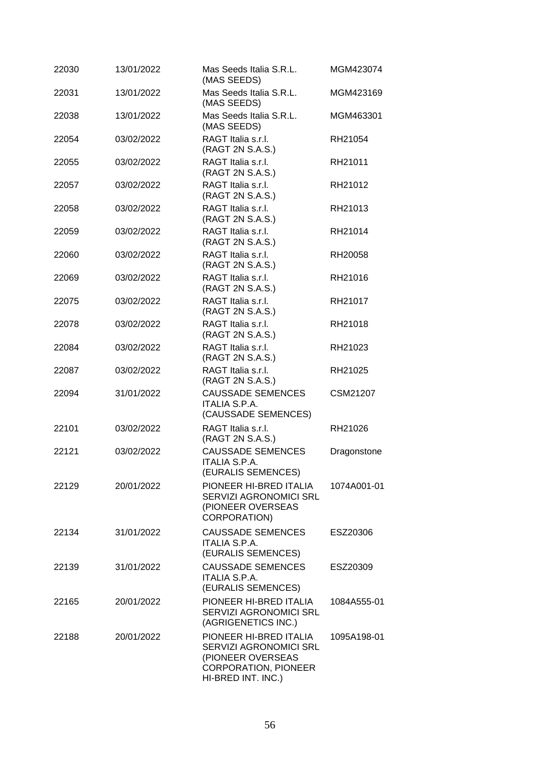| 22030 | 13/01/2022 | Mas Seeds Italia S.R.L.<br>(MAS SEEDS)                                                                                     | MGM423074   |
|-------|------------|----------------------------------------------------------------------------------------------------------------------------|-------------|
| 22031 | 13/01/2022 | Mas Seeds Italia S.R.L.<br>(MAS SEEDS)                                                                                     | MGM423169   |
| 22038 | 13/01/2022 | Mas Seeds Italia S.R.L.<br>(MAS SEEDS)                                                                                     | MGM463301   |
| 22054 | 03/02/2022 | RAGT Italia s.r.l.<br>(RAGT 2N S.A.S.)                                                                                     | RH21054     |
| 22055 | 03/02/2022 | RAGT Italia s.r.l.<br>(RAGT 2N S.A.S.)                                                                                     | RH21011     |
| 22057 | 03/02/2022 | RAGT Italia s.r.l.<br>(RAGT 2N S.A.S.)                                                                                     | RH21012     |
| 22058 | 03/02/2022 | RAGT Italia s.r.l.<br>(RAGT 2N S.A.S.)                                                                                     | RH21013     |
| 22059 | 03/02/2022 | RAGT Italia s.r.l.<br>(RAGT 2N S.A.S.)                                                                                     | RH21014     |
| 22060 | 03/02/2022 | RAGT Italia s.r.l.<br>(RAGT 2N S.A.S.)                                                                                     | RH20058     |
| 22069 | 03/02/2022 | RAGT Italia s.r.l.<br>(RAGT 2N S.A.S.)                                                                                     | RH21016     |
| 22075 | 03/02/2022 | RAGT Italia s.r.l.<br>(RAGT 2N S.A.S.)                                                                                     | RH21017     |
| 22078 | 03/02/2022 | RAGT Italia s.r.l.<br>(RAGT 2N S.A.S.)                                                                                     | RH21018     |
| 22084 | 03/02/2022 | RAGT Italia s.r.l.<br>(RAGT 2N S.A.S.)                                                                                     | RH21023     |
| 22087 | 03/02/2022 | RAGT Italia s.r.l.<br>(RAGT 2N S.A.S.)                                                                                     | RH21025     |
| 22094 | 31/01/2022 | <b>CAUSSADE SEMENCES</b><br><b>ITALIA S.P.A.</b><br>(CAUSSADE SEMENCES)                                                    | CSM21207    |
| 22101 | 03/02/2022 | RAGT Italia s.r.l.<br>(RAGT 2N S.A.S.)                                                                                     | RH21026     |
| 22121 | 03/02/2022 | <b>CAUSSADE SEMENCES</b><br><b>ITALIA S.P.A.</b><br>(EURALIS SEMENCES)                                                     | Dragonstone |
| 22129 | 20/01/2022 | PIONEER HI-BRED ITALIA<br><b>SERVIZI AGRONOMICI SRL</b><br>(PIONEER OVERSEAS<br>CORPORATION)                               | 1074A001-01 |
| 22134 | 31/01/2022 | <b>CAUSSADE SEMENCES</b><br><b>ITALIA S.P.A.</b><br>(EURALIS SEMENCES)                                                     | ESZ20306    |
| 22139 | 31/01/2022 | <b>CAUSSADE SEMENCES</b><br>ITALIA S.P.A.<br>(EURALIS SEMENCES)                                                            | ESZ20309    |
| 22165 | 20/01/2022 | PIONEER HI-BRED ITALIA<br>SERVIZI AGRONOMICI SRL<br>(AGRIGENETICS INC.)                                                    | 1084A555-01 |
| 22188 | 20/01/2022 | PIONEER HI-BRED ITALIA<br>SERVIZI AGRONOMICI SRL<br>(PIONEER OVERSEAS<br><b>CORPORATION, PIONEER</b><br>HI-BRED INT. INC.) | 1095A198-01 |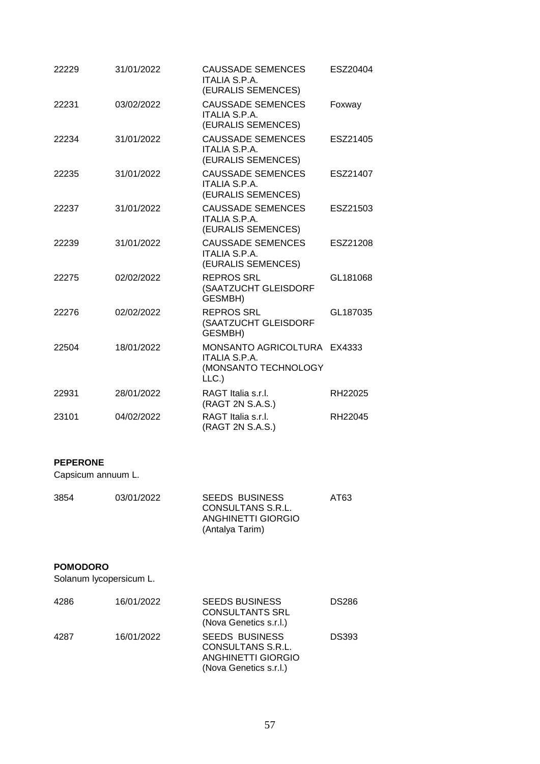| 22229 | 31/01/2022 | <b>CAUSSADE SEMENCES</b><br><b>ITALIA S.P.A.</b><br>(EURALIS SEMENCES)              | ESZ20404 |
|-------|------------|-------------------------------------------------------------------------------------|----------|
| 22231 | 03/02/2022 | <b>CAUSSADE SEMENCES</b><br><b>ITALIA S.P.A.</b><br>(EURALIS SEMENCES)              | Foxway   |
| 22234 | 31/01/2022 | <b>CAUSSADE SEMENCES</b><br><b>ITALIA S.P.A.</b><br>(EURALIS SEMENCES)              | ESZ21405 |
| 22235 | 31/01/2022 | <b>CAUSSADE SEMENCES</b><br><b>ITALIA S.P.A.</b><br>(EURALIS SEMENCES)              | ESZ21407 |
| 22237 | 31/01/2022 | <b>CAUSSADE SEMENCES</b><br>ITALIA S.P.A.<br>(EURALIS SEMENCES)                     | ESZ21503 |
| 22239 | 31/01/2022 | <b>CAUSSADE SEMENCES</b><br><b>ITALIA S.P.A.</b><br>(EURALIS SEMENCES)              | ESZ21208 |
| 22275 | 02/02/2022 | <b>REPROS SRL</b><br>(SAATZUCHT GLEISDORF<br>GESMBH)                                | GL181068 |
| 22276 | 02/02/2022 | <b>REPROS SRL</b><br>(SAATZUCHT GLEISDORF<br><b>GESMBH)</b>                         | GL187035 |
| 22504 | 18/01/2022 | MONSANTO AGRICOLTURA EX4333<br><b>ITALIA S.P.A.</b><br>(MONSANTO TECHNOLOGY<br>LLC. |          |
| 22931 | 28/01/2022 | RAGT Italia s.r.l.<br>(RAGT 2N S.A.S.)                                              | RH22025  |
| 23101 | 04/02/2022 | RAGT Italia s.r.l.<br>(RAGT 2N S.A.S.)                                              | RH22045  |

### **PEPERONE**

Capsicum annuum L.

| 3854 | 03/01/2022 | <b>SEEDS BUSINESS</b><br>CONSULTANS S.R.L. | AT63 |
|------|------------|--------------------------------------------|------|
|      |            | ANGHINETTI GIORGIO                         |      |
|      |            | (Antalya Tarim)                            |      |

#### **POMODORO**

Solanum lycopersicum L.

| 4286 | 16/01/2022 | <b>SEEDS BUSINESS</b><br><b>CONSULTANTS SRL</b><br>(Nova Genetics s.r.l.)                  | <b>DS286</b> |
|------|------------|--------------------------------------------------------------------------------------------|--------------|
| 4287 | 16/01/2022 | <b>SEEDS BUSINESS</b><br>CONSULTANS S.R.L.<br>ANGHINETTI GIORGIO<br>(Nova Genetics s.r.l.) | <b>DS393</b> |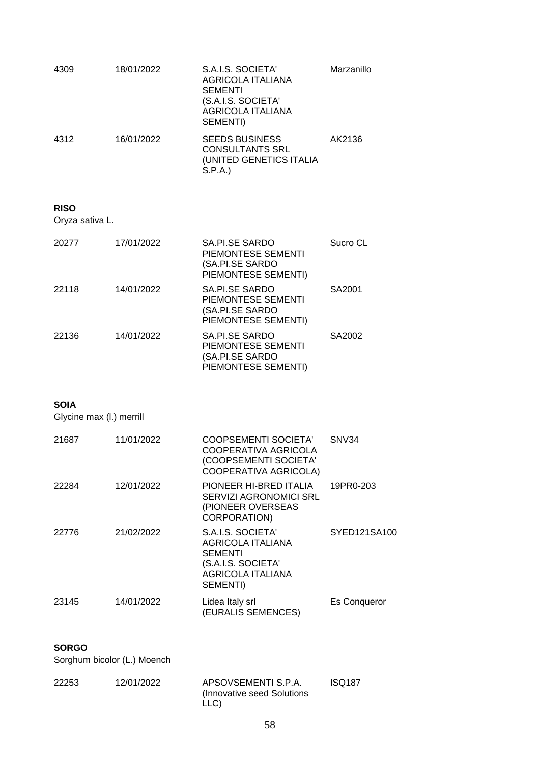| 4309 | 18/01/2022 | S.A.I.S. SOCIETA'<br>AGRICOLA ITALIANA<br><b>SEMENTI</b><br>(S.A.I.S. SOCIETA'<br>AGRICOLA ITALIANA<br>SEMENTI) | Marzanillo |
|------|------------|-----------------------------------------------------------------------------------------------------------------|------------|
| 4312 | 16/01/2022 | <b>SEEDS BUSINESS</b><br><b>CONSULTANTS SRL</b><br>(UNITED GENETICS ITALIA<br>S.P.A.                            | AK2136     |

#### **RISO**

Oryza sativa L.

| 20277 | 17/01/2022 | SA.PI.SE SARDO<br>PIEMONTESE SEMENTI<br>(SA.PI.SE SARDO<br>PIEMONTESE SEMENTI) | Sucro CL |
|-------|------------|--------------------------------------------------------------------------------|----------|
| 22118 | 14/01/2022 | SA.PI.SE SARDO<br>PIEMONTESE SEMENTI<br>(SA.PI.SE SARDO<br>PIEMONTESE SEMENTI) | SA2001   |
| 22136 | 14/01/2022 | SA.PI.SE SARDO<br>PIEMONTESE SEMENTI<br>(SA.PI.SE SARDO<br>PIEMONTESE SEMENTI) | SA2002   |

### **SOIA**

Glycine max (l.) merrill

| 21687 | 11/01/2022 | <b>COOPSEMENTI SOCIETA'</b><br>COOPERATIVA AGRICOLA<br>(COOPSEMENTI SOCIETA'<br>COOPERATIVA AGRICOLA)                  | SNV34               |
|-------|------------|------------------------------------------------------------------------------------------------------------------------|---------------------|
| 22284 | 12/01/2022 | PIONEER HI-BRED ITALIA<br><b>SERVIZI AGRONOMICI SRL</b><br>(PIONEER OVERSEAS<br><b>CORPORATION)</b>                    | 19PR0-203           |
| 22776 | 21/02/2022 | S.A.I.S. SOCIETA'<br><b>AGRICOLA ITALIANA</b><br>SEMENTI<br>(S.A.I.S. SOCIETA'<br><b>AGRICOLA ITALIANA</b><br>SEMENTI) | SYED121SA100        |
| 23145 | 14/01/2022 | Lidea Italy srl<br>(EURALIS SEMENCES)                                                                                  | <b>Es Conqueror</b> |

### **SORGO**

Sorghum bicolor (L.) Moench

| 22253 | 12/01/2022 | APSOVSEMENTI S.P.A.         | <b>ISQ187</b> |
|-------|------------|-----------------------------|---------------|
|       |            | (Innovative seed Solutions) |               |
|       |            | LLC)                        |               |